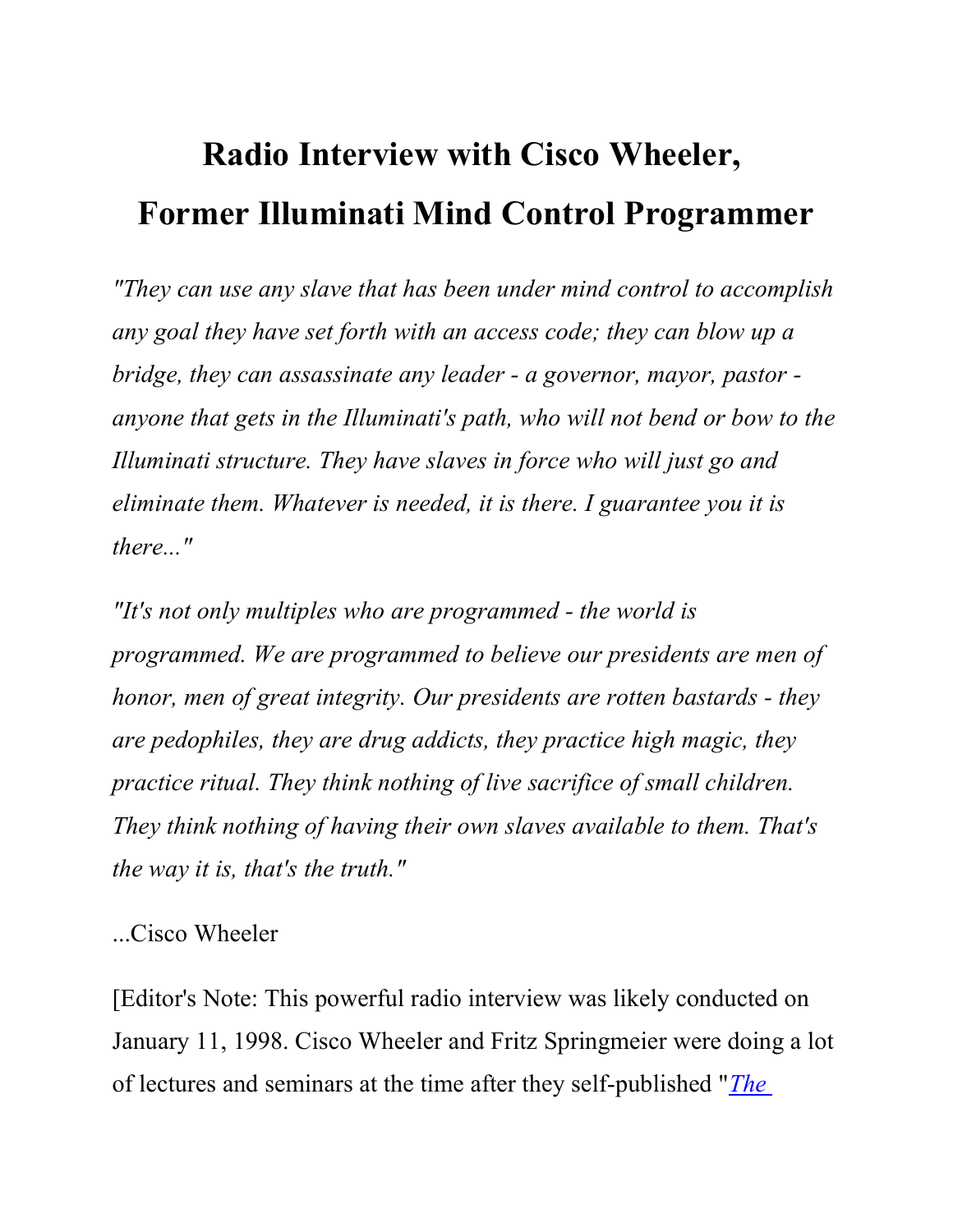# Radio Interview with Cisco Wheeler, Former Illuminati Mind Control Programmer

"They can use any slave that has been under mind control to accomplish any goal they have set forth with an access code; they can blow up a bridge, they can assassinate any leader - a governor, mayor, pastor anyone that gets in the Illuminati's path, who will not bend or bow to the Illuminati structure. They have slaves in force who will just go and eliminate them. Whatever is needed, it is there. I guarantee you it is there..."

"It's not only multiples who are programmed - the world is programmed. We are programmed to believe our presidents are men of honor, men of great integrity. Our presidents are rotten bastards - they are pedophiles, they are drug addicts, they practice high magic, they practice ritual. They think nothing of live sacrifice of small children. They think nothing of having their own slaves available to them. That's the way it is, that's the truth."

...Cisco Wheeler

[Editor's Note: This powerful radio interview was likely conducted on January 11, 1998. Cisco Wheeler and Fritz Springmeier were doing a lot of lectures and seminars at the time after they self-published "*The*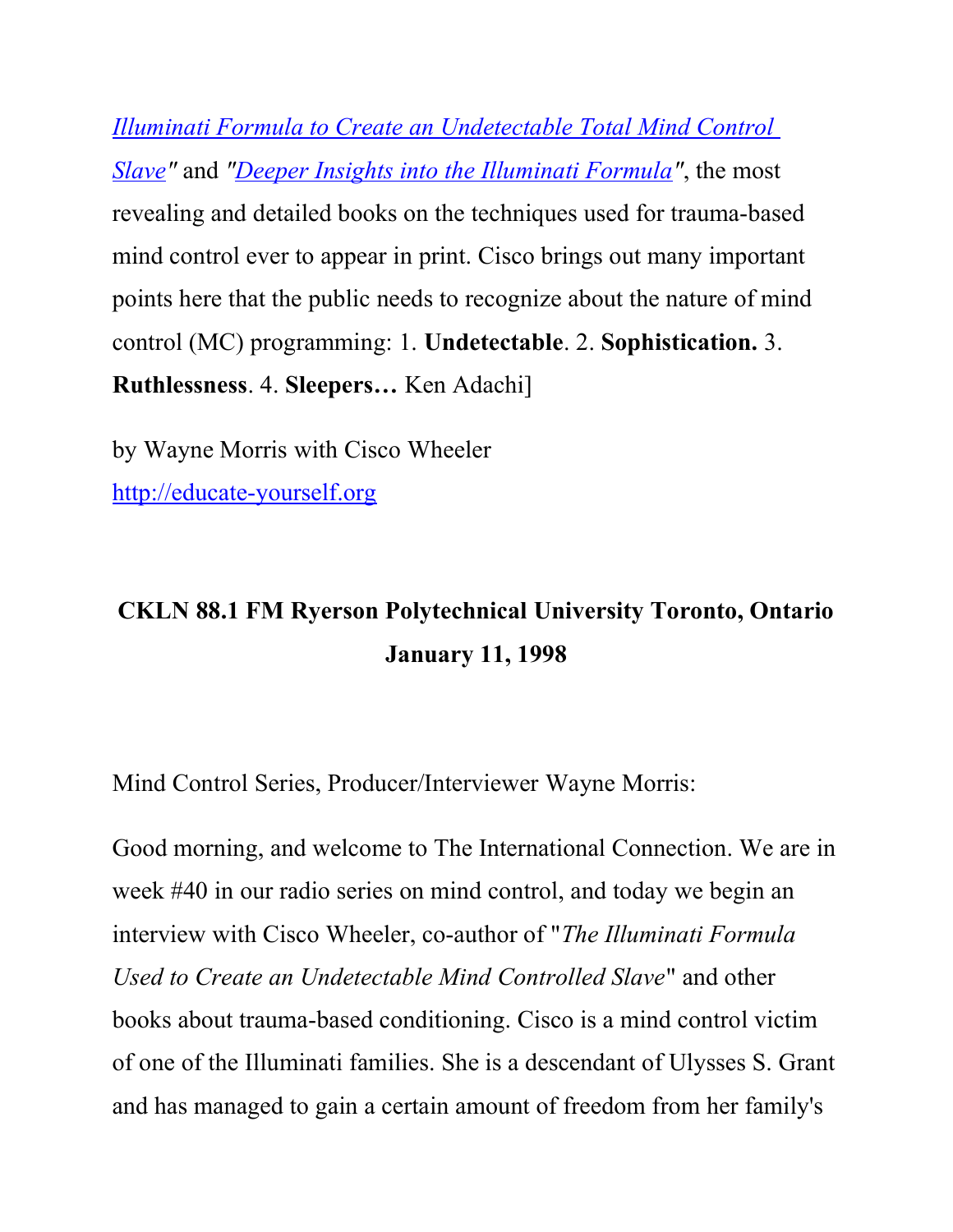Illuminati Formula to Create an Undetectable Total Mind Control Slave" and "Deeper Insights into the Illuminati Formula", the most revealing and detailed books on the techniques used for trauma-based mind control ever to appear in print. Cisco brings out many important points here that the public needs to recognize about the nature of mind control (MC) programming: 1. Undetectable. 2. Sophistication. 3. Ruthlessness. 4. Sleepers… Ken Adachi]

by Wayne Morris with Cisco Wheeler http://educate-yourself.org

## CKLN 88.1 FM Ryerson Polytechnical University Toronto, Ontario January 11, 1998

Mind Control Series, Producer/Interviewer Wayne Morris:

Good morning, and welcome to The International Connection. We are in week #40 in our radio series on mind control, and today we begin an interview with Cisco Wheeler, co-author of "The Illuminati Formula Used to Create an Undetectable Mind Controlled Slave" and other books about trauma-based conditioning. Cisco is a mind control victim of one of the Illuminati families. She is a descendant of Ulysses S. Grant and has managed to gain a certain amount of freedom from her family's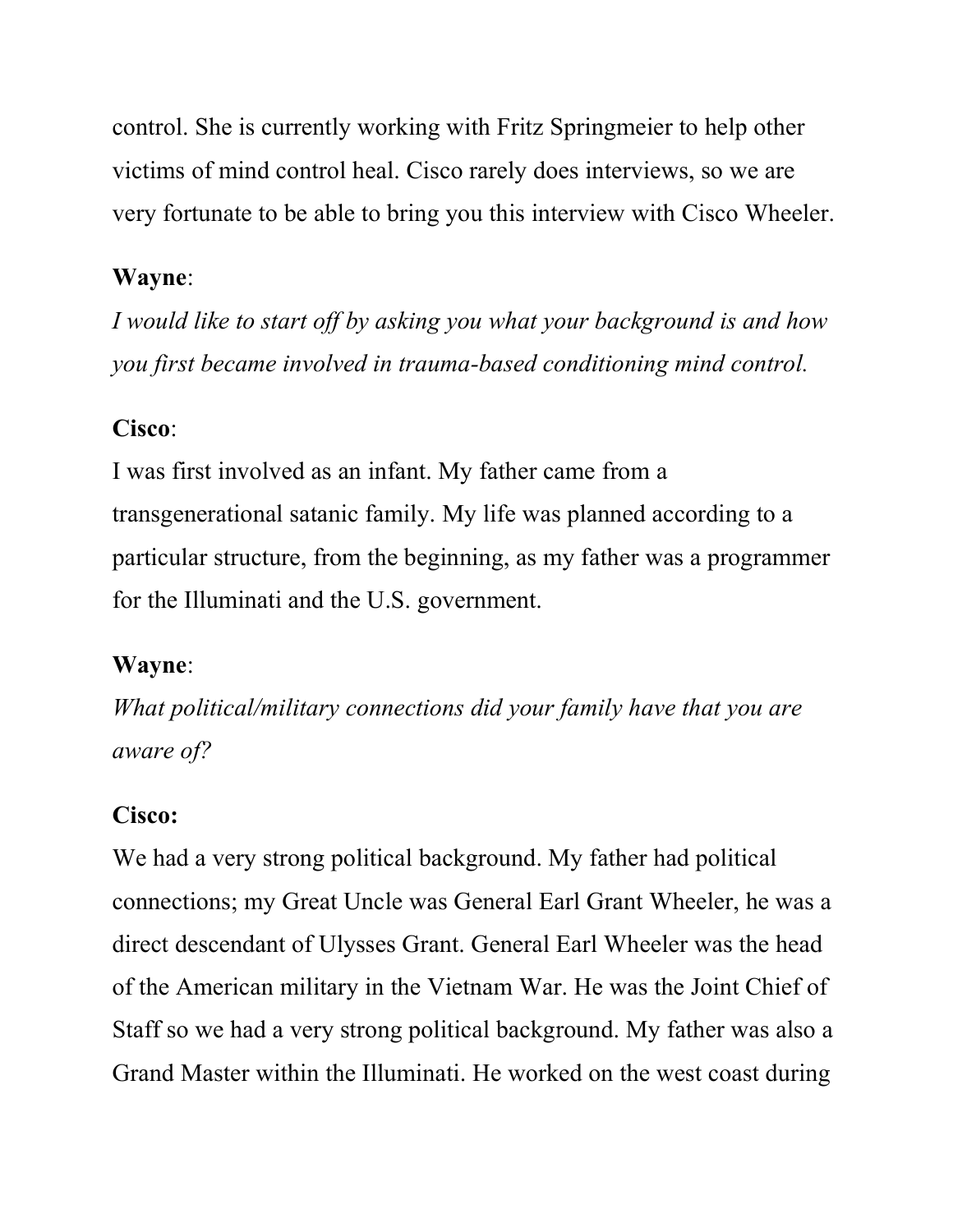control. She is currently working with Fritz Springmeier to help other victims of mind control heal. Cisco rarely does interviews, so we are very fortunate to be able to bring you this interview with Cisco Wheeler.

### Wayne:

I would like to start off by asking you what your background is and how you first became involved in trauma-based conditioning mind control.

### Cisco:

I was first involved as an infant. My father came from a transgenerational satanic family. My life was planned according to a particular structure, from the beginning, as my father was a programmer for the Illuminati and the U.S. government.

### Wayne:

What political/military connections did your family have that you are aware of?

### Cisco:

We had a very strong political background. My father had political connections; my Great Uncle was General Earl Grant Wheeler, he was a direct descendant of Ulysses Grant. General Earl Wheeler was the head of the American military in the Vietnam War. He was the Joint Chief of Staff so we had a very strong political background. My father was also a Grand Master within the Illuminati. He worked on the west coast during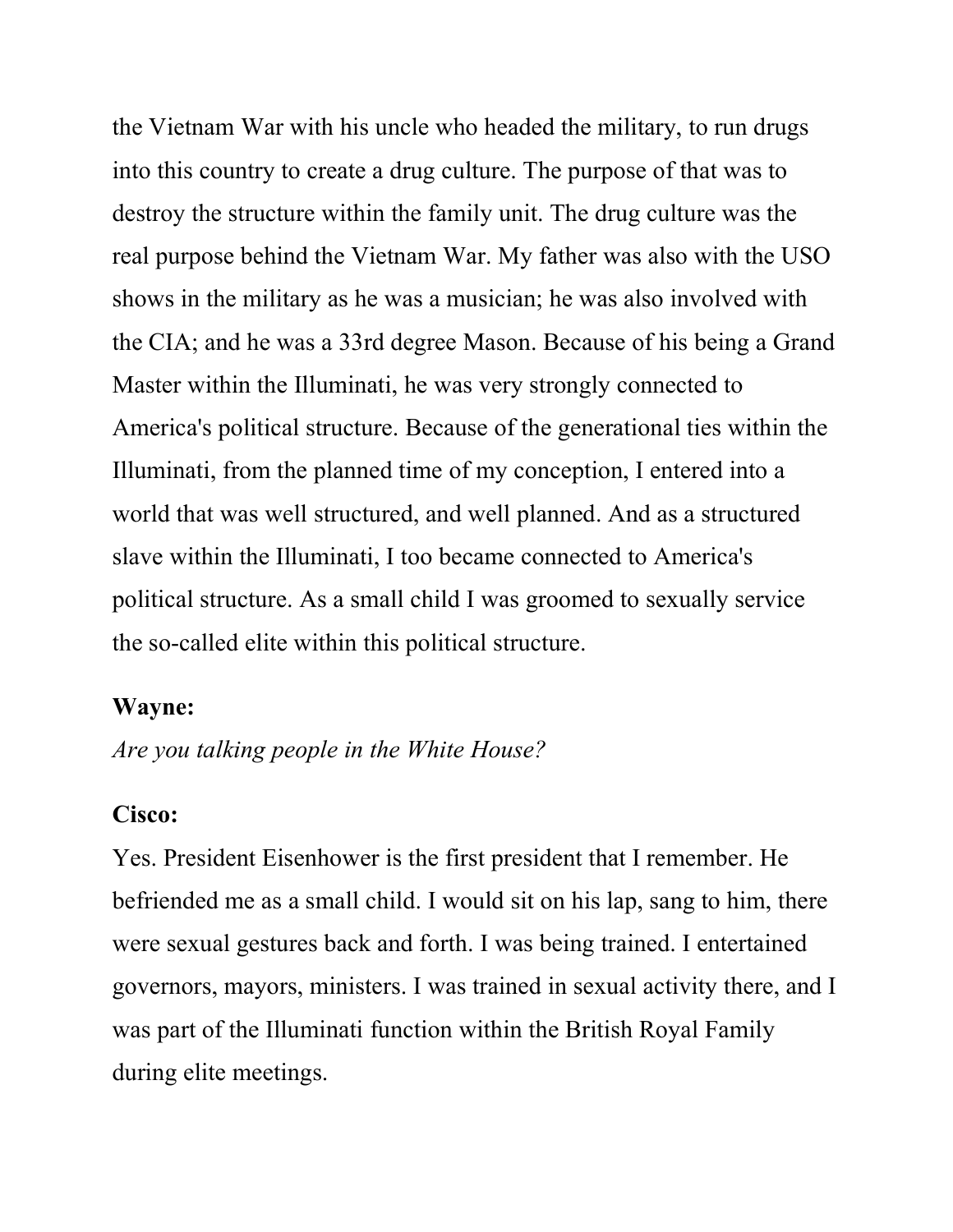the Vietnam War with his uncle who headed the military, to run drugs into this country to create a drug culture. The purpose of that was to destroy the structure within the family unit. The drug culture was the real purpose behind the Vietnam War. My father was also with the USO shows in the military as he was a musician; he was also involved with the CIA; and he was a 33rd degree Mason. Because of his being a Grand Master within the Illuminati, he was very strongly connected to America's political structure. Because of the generational ties within the Illuminati, from the planned time of my conception, I entered into a world that was well structured, and well planned. And as a structured slave within the Illuminati, I too became connected to America's political structure. As a small child I was groomed to sexually service the so-called elite within this political structure.

#### Wayne:

Are you talking people in the White House?

#### Cisco:

Yes. President Eisenhower is the first president that I remember. He befriended me as a small child. I would sit on his lap, sang to him, there were sexual gestures back and forth. I was being trained. I entertained governors, mayors, ministers. I was trained in sexual activity there, and I was part of the Illuminati function within the British Royal Family during elite meetings.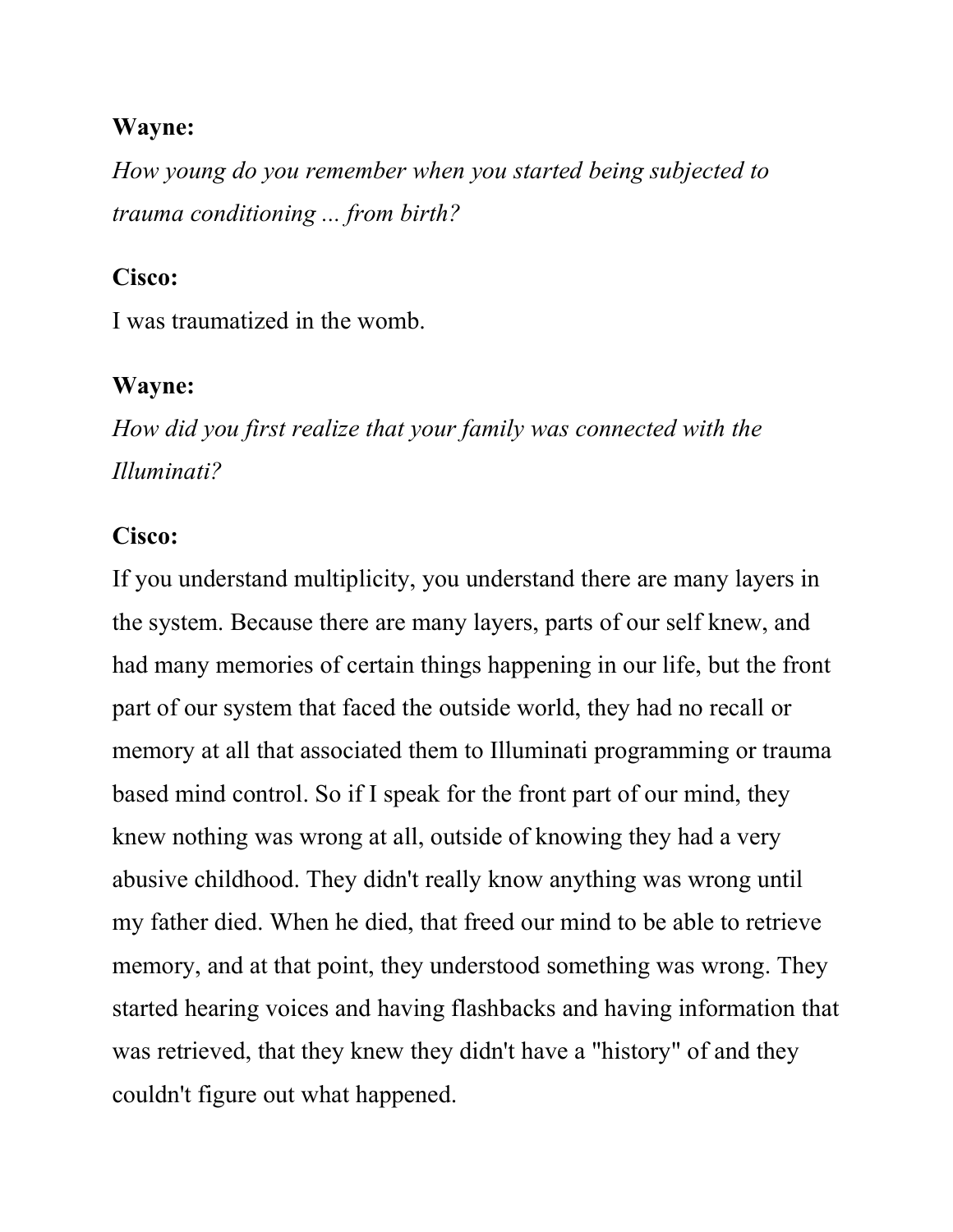How young do you remember when you started being subjected to trauma conditioning ... from birth?

#### Cisco:

I was traumatized in the womb.

### Wayne:

How did you first realize that your family was connected with the Illuminati?

#### Cisco:

If you understand multiplicity, you understand there are many layers in the system. Because there are many layers, parts of our self knew, and had many memories of certain things happening in our life, but the front part of our system that faced the outside world, they had no recall or memory at all that associated them to Illuminati programming or trauma based mind control. So if I speak for the front part of our mind, they knew nothing was wrong at all, outside of knowing they had a very abusive childhood. They didn't really know anything was wrong until my father died. When he died, that freed our mind to be able to retrieve memory, and at that point, they understood something was wrong. They started hearing voices and having flashbacks and having information that was retrieved, that they knew they didn't have a "history" of and they couldn't figure out what happened.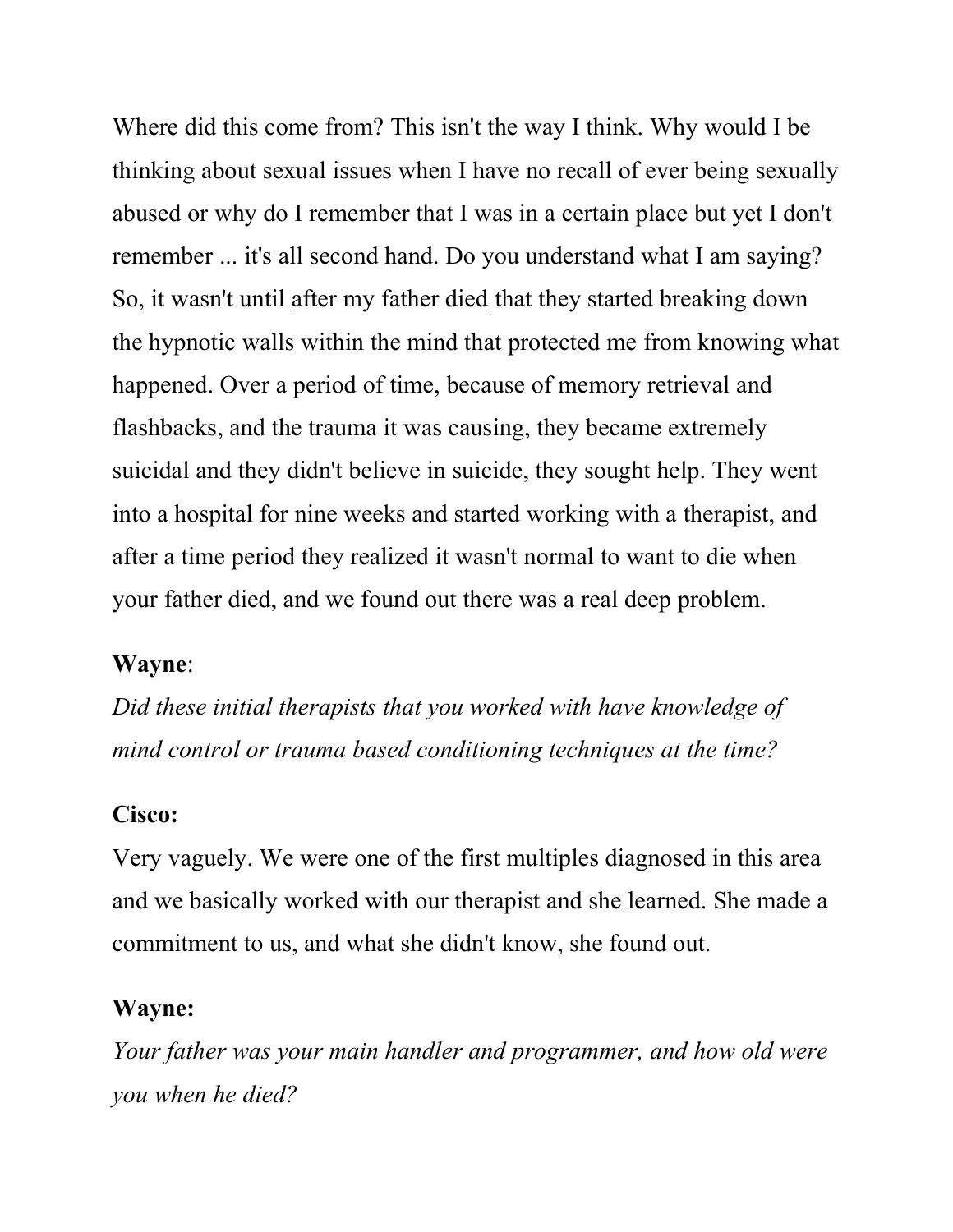Where did this come from? This isn't the way I think. Why would I be thinking about sexual issues when I have no recall of ever being sexually abused or why do I remember that I was in a certain place but yet I don't remember ... it's all second hand. Do you understand what I am saying? So, it wasn't until after my father died that they started breaking down the hypnotic walls within the mind that protected me from knowing what happened. Over a period of time, because of memory retrieval and flashbacks, and the trauma it was causing, they became extremely suicidal and they didn't believe in suicide, they sought help. They went into a hospital for nine weeks and started working with a therapist, and after a time period they realized it wasn't normal to want to die when your father died, and we found out there was a real deep problem.

#### Wayne:

Did these initial therapists that you worked with have knowledge of mind control or trauma based conditioning techniques at the time?

#### Cisco:

Very vaguely. We were one of the first multiples diagnosed in this area and we basically worked with our therapist and she learned. She made a commitment to us, and what she didn't know, she found out.

#### Wayne:

Your father was your main handler and programmer, and how old were you when he died?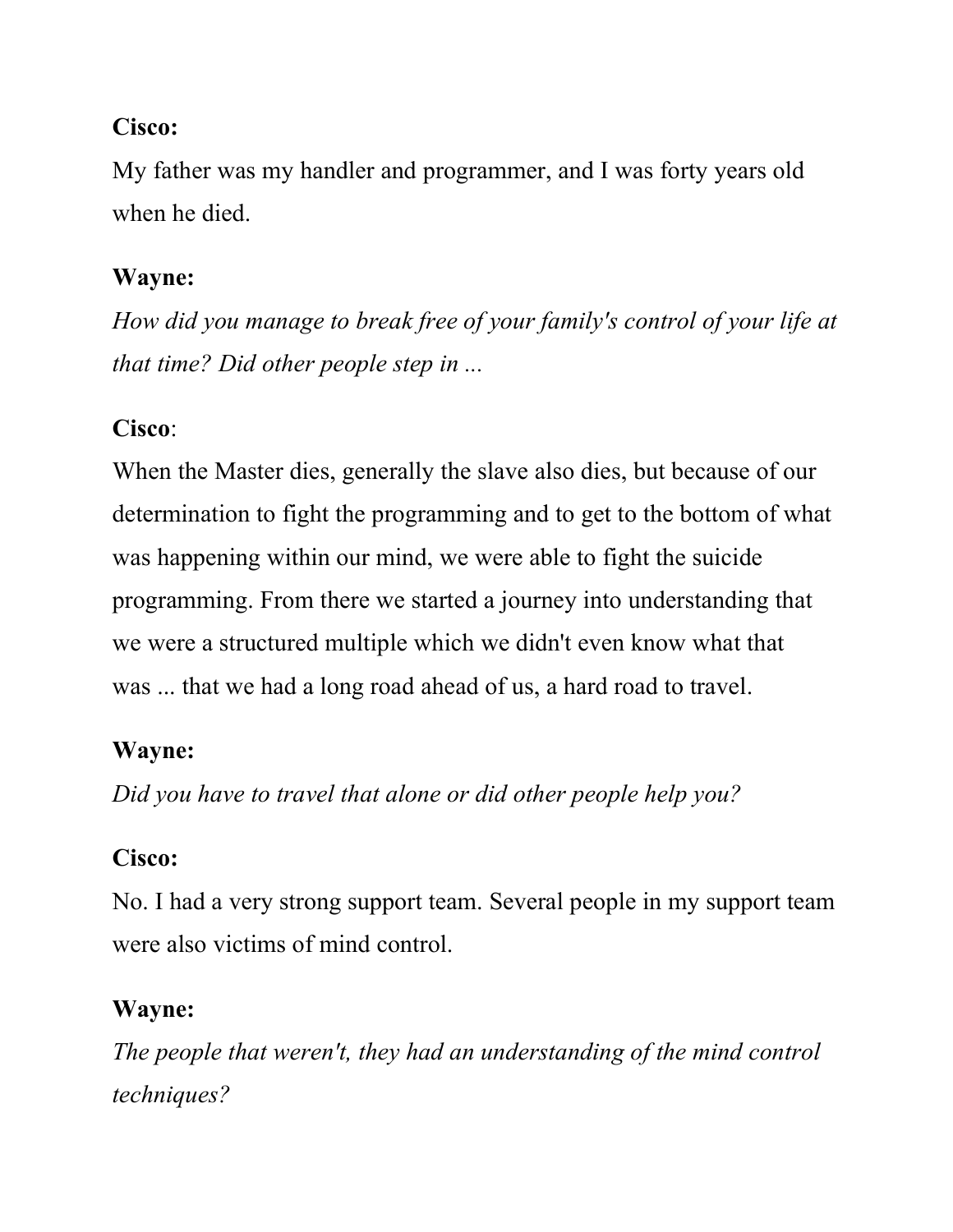### Cisco:

My father was my handler and programmer, and I was forty years old when he died.

### Wayne:

How did you manage to break free of your family's control of your life at that time? Did other people step in ...

## Cisco:

When the Master dies, generally the slave also dies, but because of our determination to fight the programming and to get to the bottom of what was happening within our mind, we were able to fight the suicide programming. From there we started a journey into understanding that we were a structured multiple which we didn't even know what that was ... that we had a long road ahead of us, a hard road to travel.

## Wayne:

Did you have to travel that alone or did other people help you?

## Cisco:

No. I had a very strong support team. Several people in my support team were also victims of mind control.

## Wayne:

The people that weren't, they had an understanding of the mind control techniques?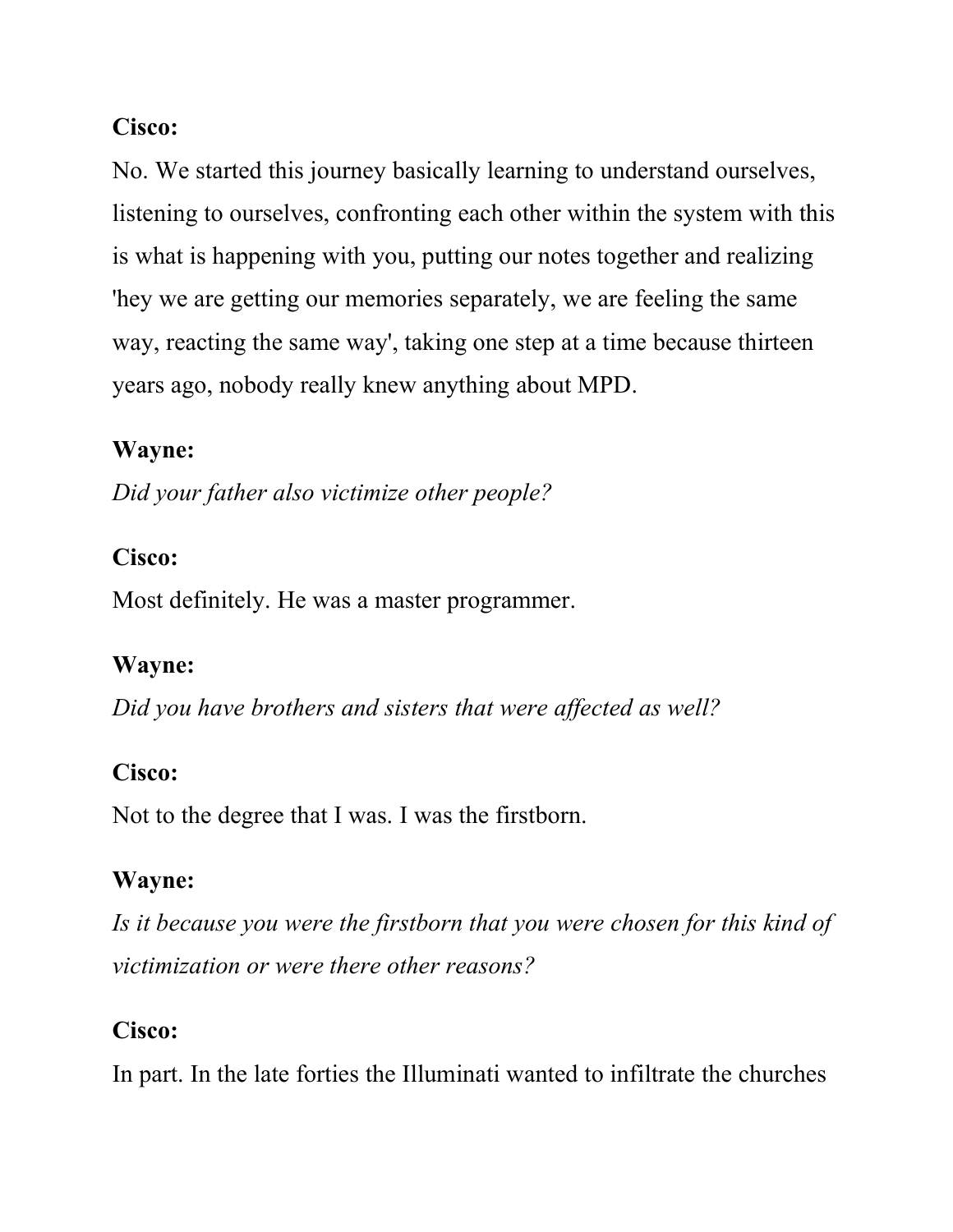### Cisco:

No. We started this journey basically learning to understand ourselves, listening to ourselves, confronting each other within the system with this is what is happening with you, putting our notes together and realizing 'hey we are getting our memories separately, we are feeling the same way, reacting the same way', taking one step at a time because thirteen years ago, nobody really knew anything about MPD.

### Wayne:

Did your father also victimize other people?

### Cisco:

Most definitely. He was a master programmer.

### Wayne:

Did you have brothers and sisters that were affected as well?

### Cisco:

Not to the degree that I was. I was the firstborn.

### Wayne:

Is it because you were the firstborn that you were chosen for this kind of victimization or were there other reasons?

### Cisco:

In part. In the late forties the Illuminati wanted to infiltrate the churches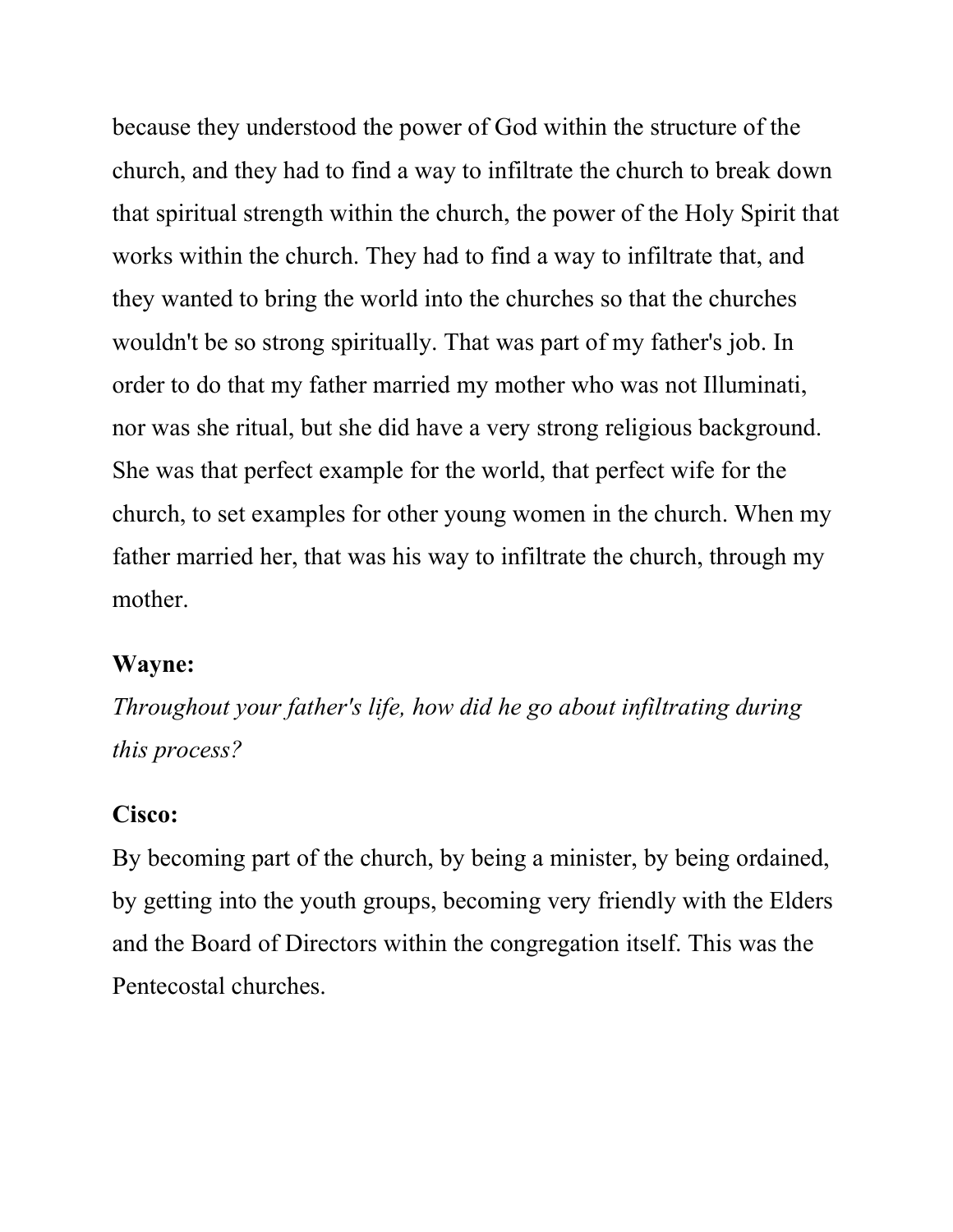because they understood the power of God within the structure of the church, and they had to find a way to infiltrate the church to break down that spiritual strength within the church, the power of the Holy Spirit that works within the church. They had to find a way to infiltrate that, and they wanted to bring the world into the churches so that the churches wouldn't be so strong spiritually. That was part of my father's job. In order to do that my father married my mother who was not Illuminati, nor was she ritual, but she did have a very strong religious background. She was that perfect example for the world, that perfect wife for the church, to set examples for other young women in the church. When my father married her, that was his way to infiltrate the church, through my mother.

#### Wayne:

Throughout your father's life, how did he go about infiltrating during this process?

#### Cisco:

By becoming part of the church, by being a minister, by being ordained, by getting into the youth groups, becoming very friendly with the Elders and the Board of Directors within the congregation itself. This was the Pentecostal churches.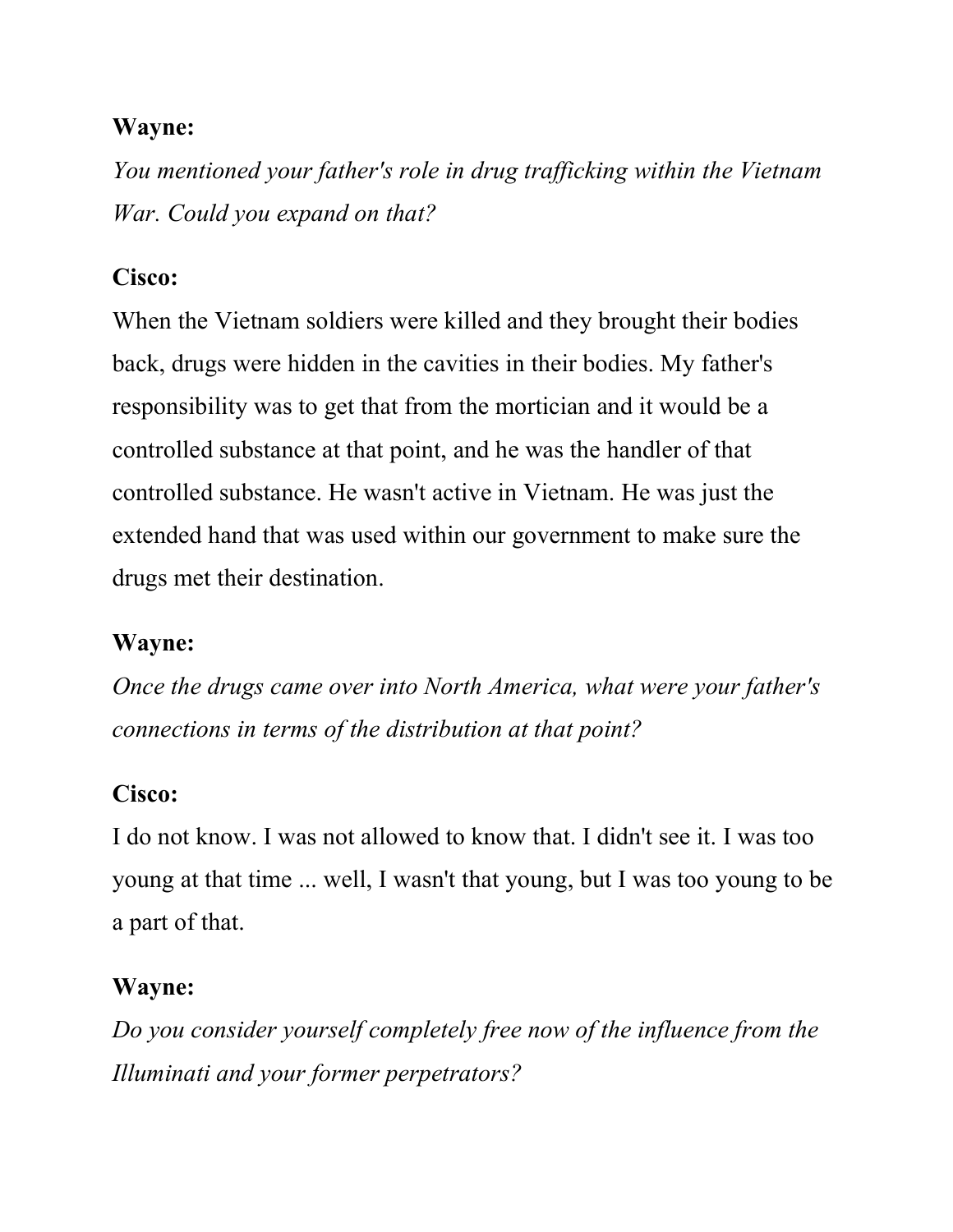You mentioned your father's role in drug trafficking within the Vietnam War. Could you expand on that?

### Cisco:

When the Vietnam soldiers were killed and they brought their bodies back, drugs were hidden in the cavities in their bodies. My father's responsibility was to get that from the mortician and it would be a controlled substance at that point, and he was the handler of that controlled substance. He wasn't active in Vietnam. He was just the extended hand that was used within our government to make sure the drugs met their destination.

### Wayne:

Once the drugs came over into North America, what were your father's connections in terms of the distribution at that point?

### Cisco:

I do not know. I was not allowed to know that. I didn't see it. I was too young at that time ... well, I wasn't that young, but I was too young to be a part of that.

### Wayne:

Do you consider yourself completely free now of the influence from the Illuminati and your former perpetrators?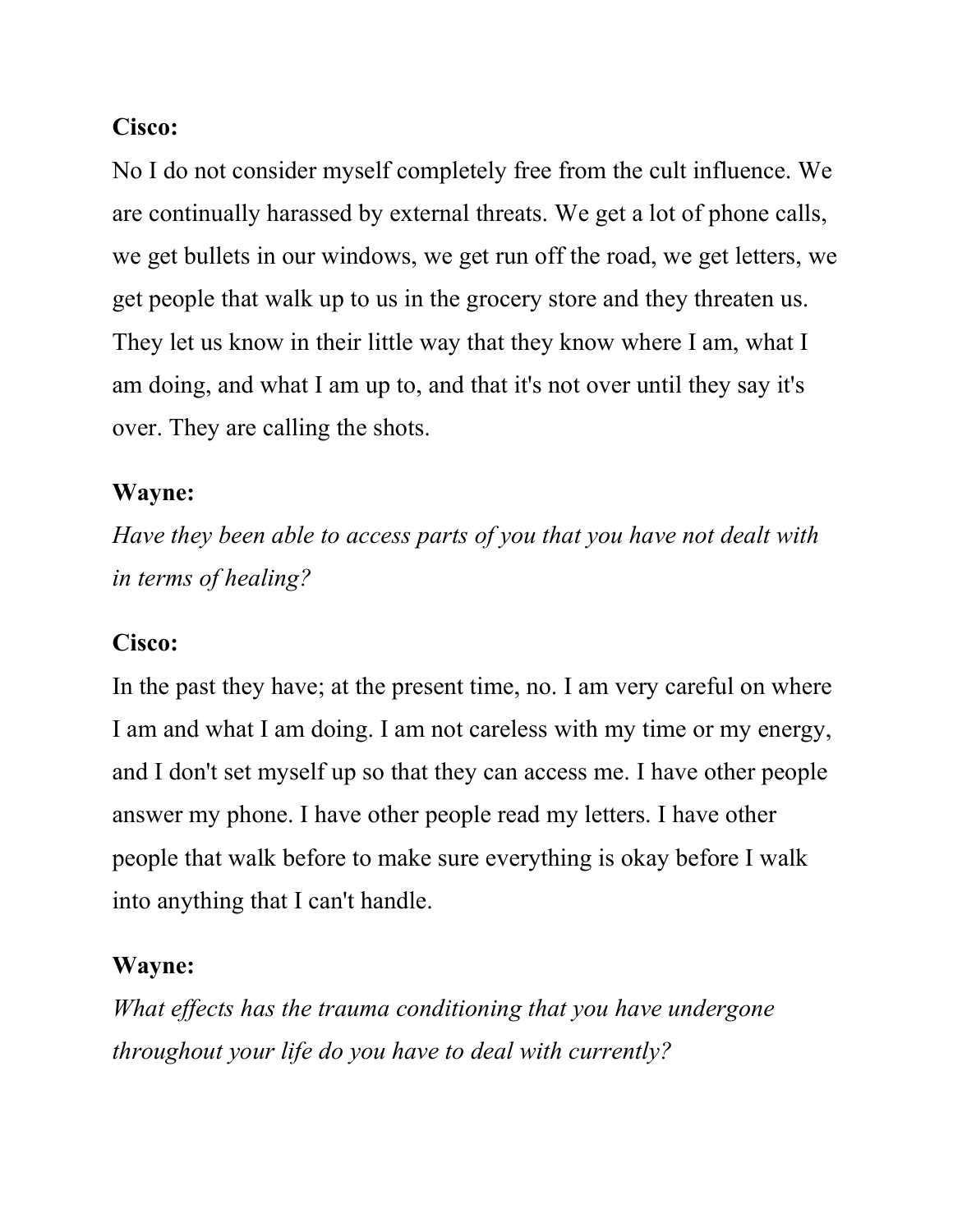### Cisco:

No I do not consider myself completely free from the cult influence. We are continually harassed by external threats. We get a lot of phone calls, we get bullets in our windows, we get run off the road, we get letters, we get people that walk up to us in the grocery store and they threaten us. They let us know in their little way that they know where I am, what I am doing, and what I am up to, and that it's not over until they say it's over. They are calling the shots.

### Wayne:

Have they been able to access parts of you that you have not dealt with in terms of healing?

### Cisco:

In the past they have; at the present time, no. I am very careful on where I am and what I am doing. I am not careless with my time or my energy, and I don't set myself up so that they can access me. I have other people answer my phone. I have other people read my letters. I have other people that walk before to make sure everything is okay before I walk into anything that I can't handle.

### Wayne:

What effects has the trauma conditioning that you have undergone throughout your life do you have to deal with currently?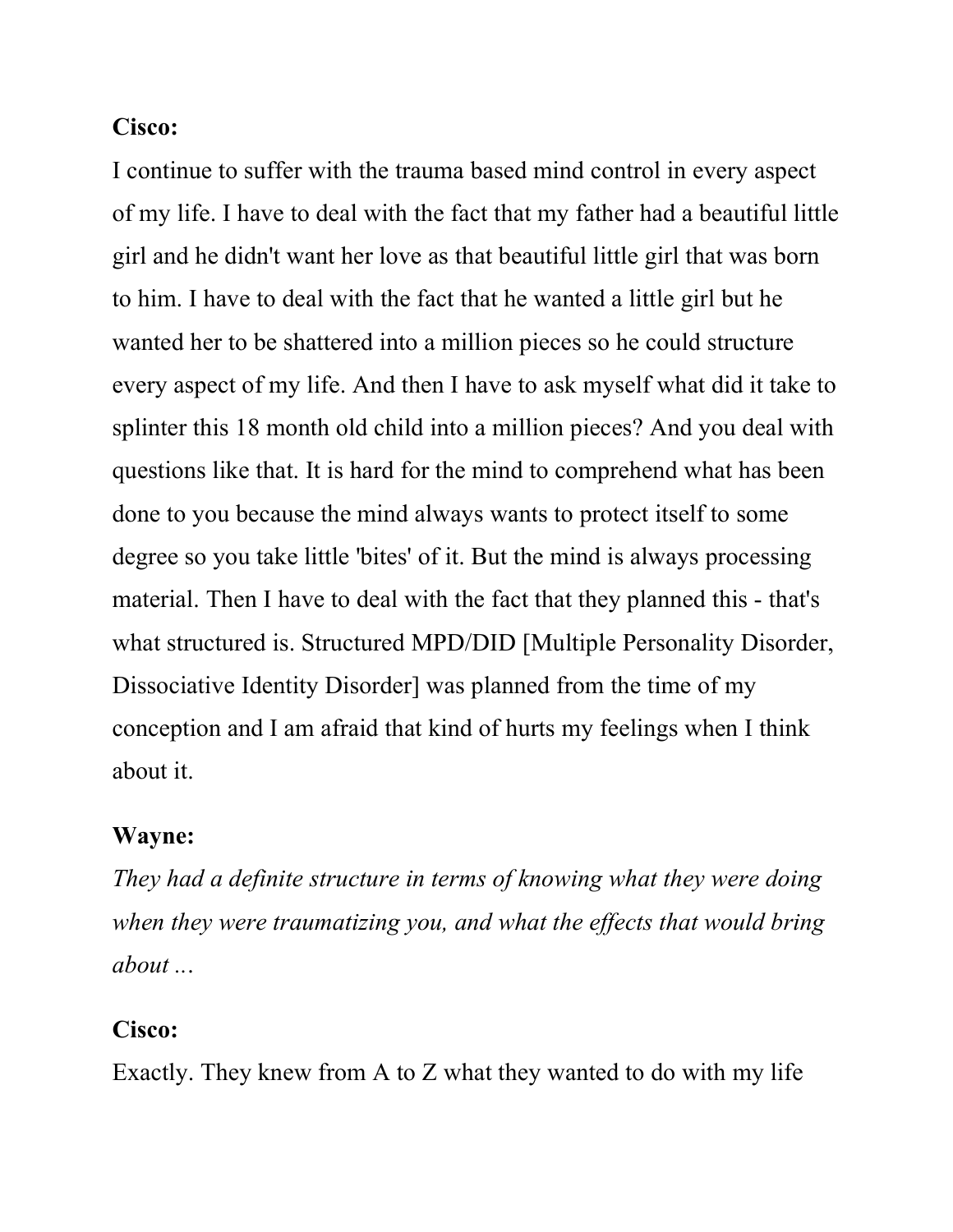#### Cisco:

I continue to suffer with the trauma based mind control in every aspect of my life. I have to deal with the fact that my father had a beautiful little girl and he didn't want her love as that beautiful little girl that was born to him. I have to deal with the fact that he wanted a little girl but he wanted her to be shattered into a million pieces so he could structure every aspect of my life. And then I have to ask myself what did it take to splinter this 18 month old child into a million pieces? And you deal with questions like that. It is hard for the mind to comprehend what has been done to you because the mind always wants to protect itself to some degree so you take little 'bites' of it. But the mind is always processing material. Then I have to deal with the fact that they planned this - that's what structured is. Structured MPD/DID [Multiple Personality Disorder, Dissociative Identity Disorder] was planned from the time of my conception and I am afraid that kind of hurts my feelings when I think about it.

#### Wayne:

They had a definite structure in terms of knowing what they were doing when they were traumatizing you, and what the effects that would bring about ...

#### Cisco:

Exactly. They knew from A to Z what they wanted to do with my life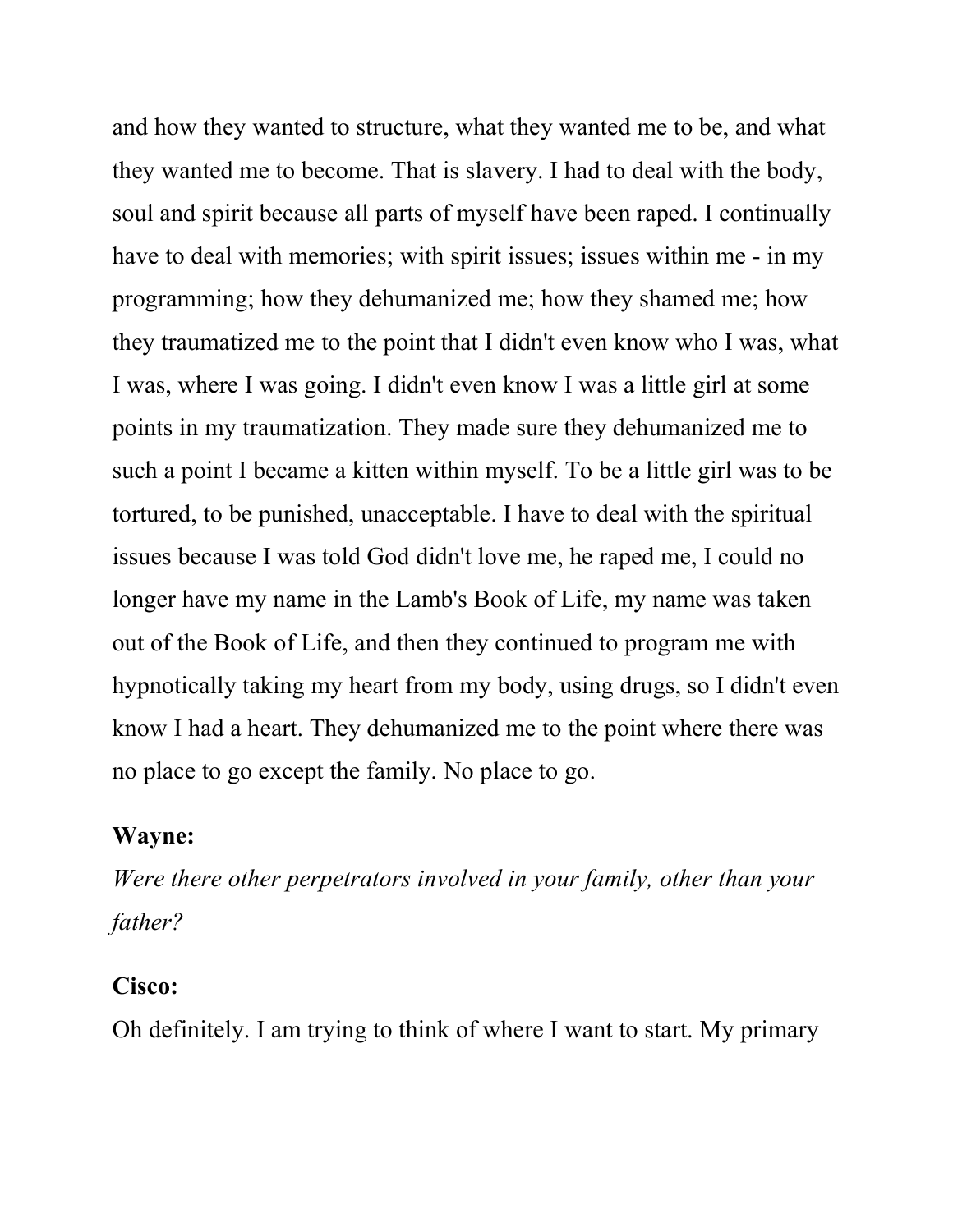and how they wanted to structure, what they wanted me to be, and what they wanted me to become. That is slavery. I had to deal with the body, soul and spirit because all parts of myself have been raped. I continually have to deal with memories; with spirit issues; issues within me - in my programming; how they dehumanized me; how they shamed me; how they traumatized me to the point that I didn't even know who I was, what I was, where I was going. I didn't even know I was a little girl at some points in my traumatization. They made sure they dehumanized me to such a point I became a kitten within myself. To be a little girl was to be tortured, to be punished, unacceptable. I have to deal with the spiritual issues because I was told God didn't love me, he raped me, I could no longer have my name in the Lamb's Book of Life, my name was taken out of the Book of Life, and then they continued to program me with hypnotically taking my heart from my body, using drugs, so I didn't even know I had a heart. They dehumanized me to the point where there was no place to go except the family. No place to go.

#### Wayne:

Were there other perpetrators involved in your family, other than your father?

#### Cisco:

Oh definitely. I am trying to think of where I want to start. My primary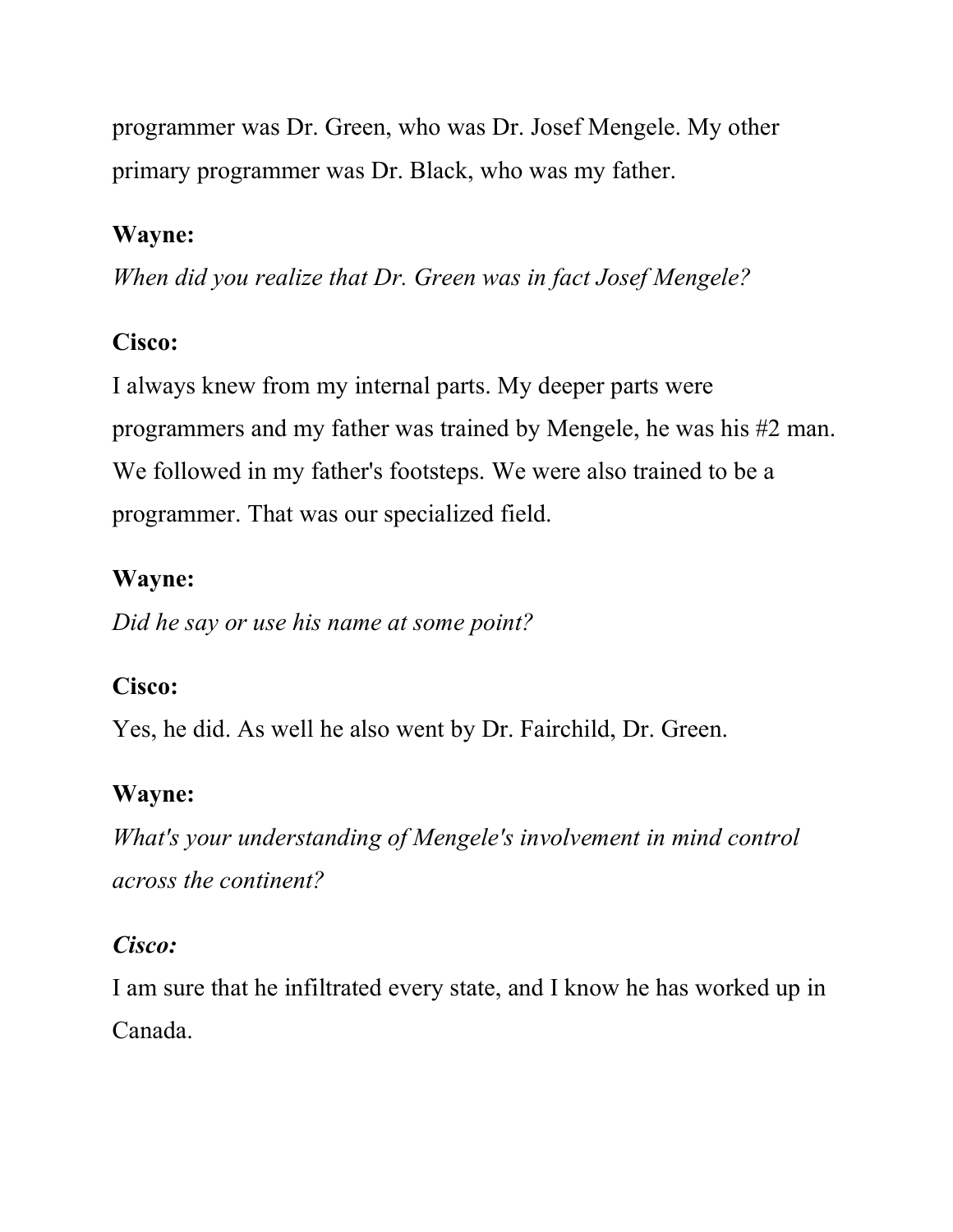programmer was Dr. Green, who was Dr. Josef Mengele. My other primary programmer was Dr. Black, who was my father.

### Wayne:

When did you realize that Dr. Green was in fact Josef Mengele?

## Cisco:

I always knew from my internal parts. My deeper parts were programmers and my father was trained by Mengele, he was his #2 man. We followed in my father's footsteps. We were also trained to be a programmer. That was our specialized field.

## Wayne:

Did he say or use his name at some point?

## Cisco:

Yes, he did. As well he also went by Dr. Fairchild, Dr. Green.

## Wayne:

What's your understanding of Mengele's involvement in mind control across the continent?

## Cisco:

I am sure that he infiltrated every state, and I know he has worked up in Canada.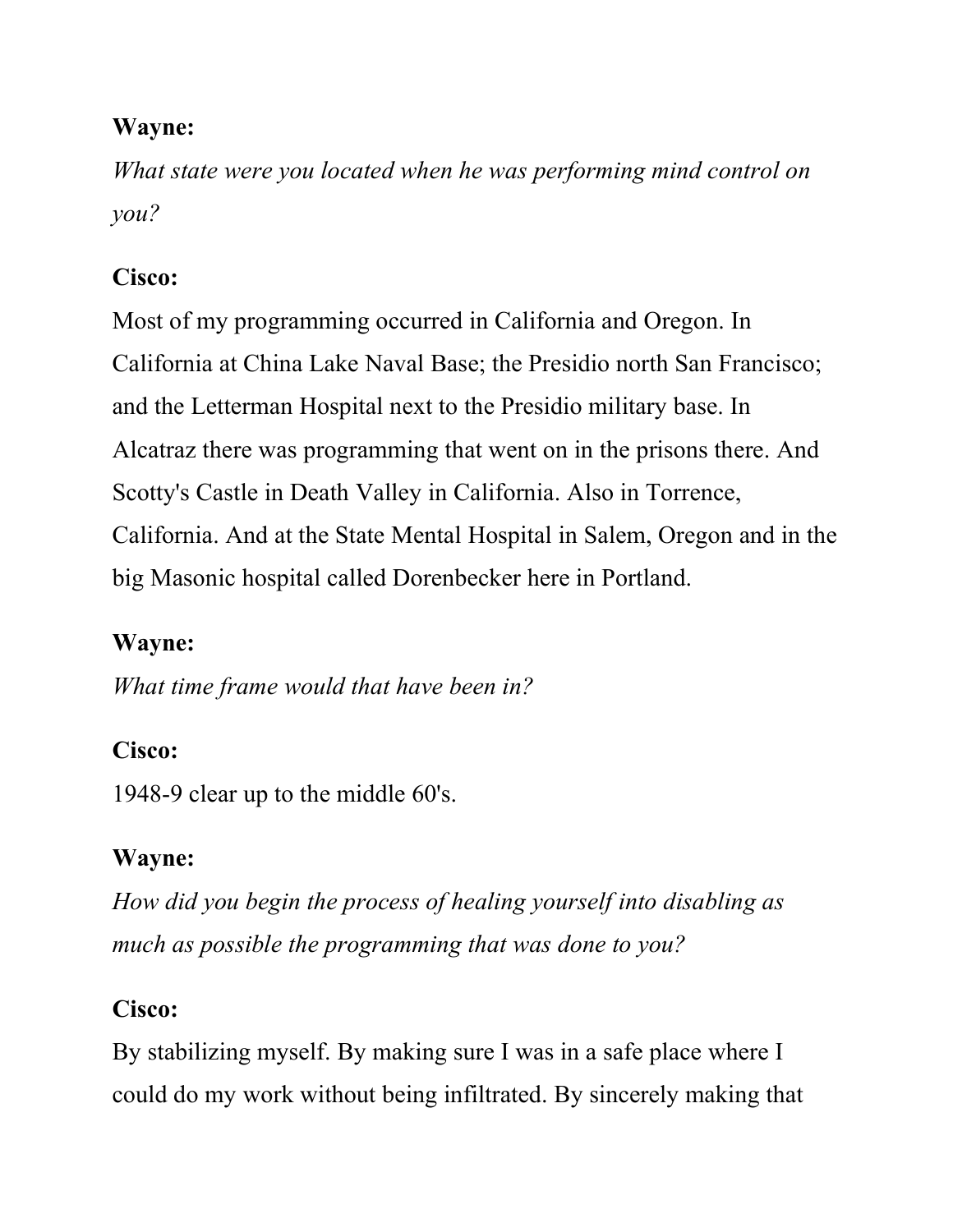What state were you located when he was performing mind control on you?

## Cisco:

Most of my programming occurred in California and Oregon. In California at China Lake Naval Base; the Presidio north San Francisco; and the Letterman Hospital next to the Presidio military base. In Alcatraz there was programming that went on in the prisons there. And Scotty's Castle in Death Valley in California. Also in Torrence, California. And at the State Mental Hospital in Salem, Oregon and in the big Masonic hospital called Dorenbecker here in Portland.

## Wayne:

What time frame would that have been in?

## Cisco:

1948-9 clear up to the middle 60's.

## Wayne:

How did you begin the process of healing yourself into disabling as much as possible the programming that was done to you?

## Cisco:

By stabilizing myself. By making sure I was in a safe place where I could do my work without being infiltrated. By sincerely making that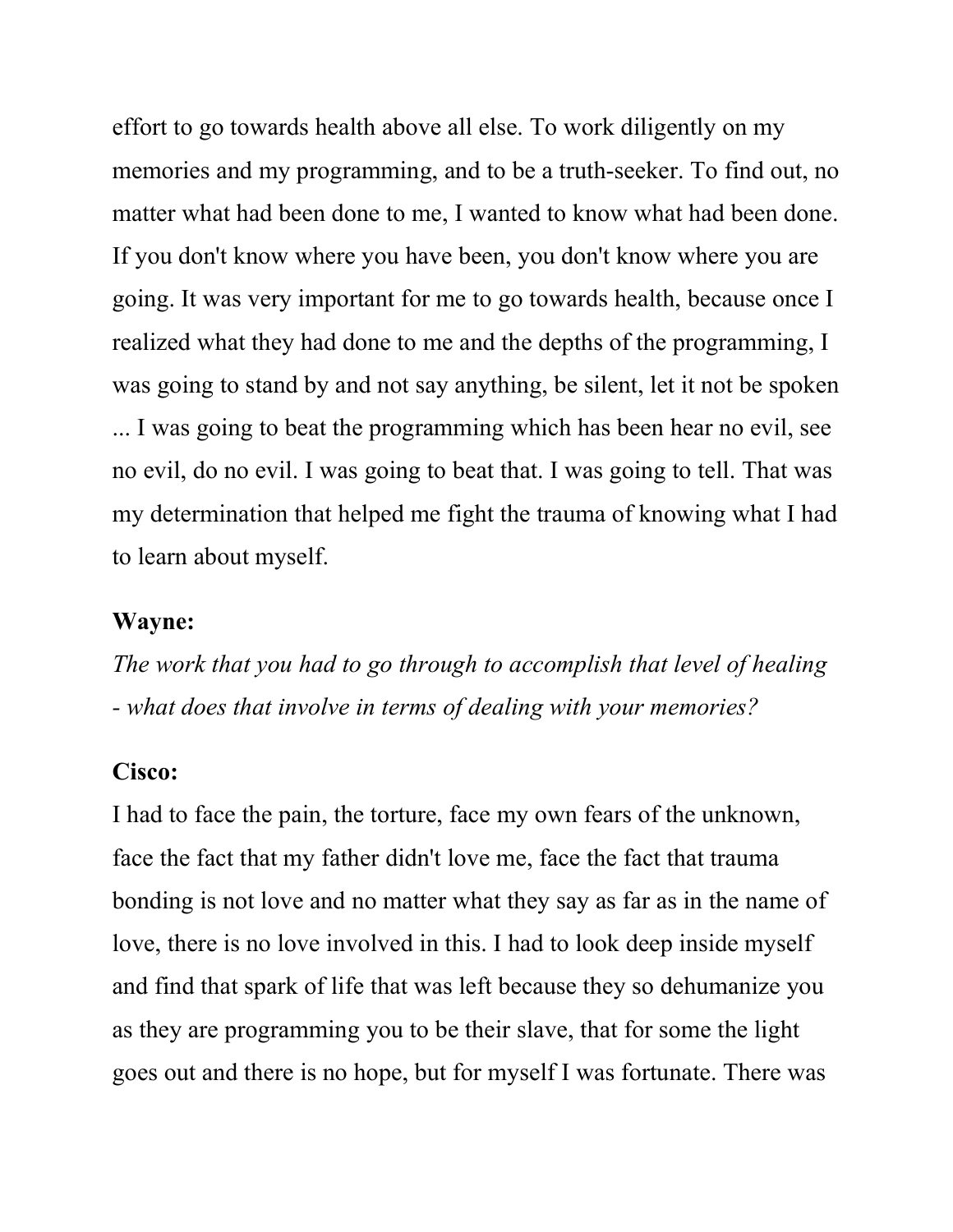effort to go towards health above all else. To work diligently on my memories and my programming, and to be a truth-seeker. To find out, no matter what had been done to me, I wanted to know what had been done. If you don't know where you have been, you don't know where you are going. It was very important for me to go towards health, because once I realized what they had done to me and the depths of the programming, I was going to stand by and not say anything, be silent, let it not be spoken ... I was going to beat the programming which has been hear no evil, see no evil, do no evil. I was going to beat that. I was going to tell. That was my determination that helped me fight the trauma of knowing what I had to learn about myself.

#### Wayne:

The work that you had to go through to accomplish that level of healing - what does that involve in terms of dealing with your memories?

#### Cisco:

I had to face the pain, the torture, face my own fears of the unknown, face the fact that my father didn't love me, face the fact that trauma bonding is not love and no matter what they say as far as in the name of love, there is no love involved in this. I had to look deep inside myself and find that spark of life that was left because they so dehumanize you as they are programming you to be their slave, that for some the light goes out and there is no hope, but for myself I was fortunate. There was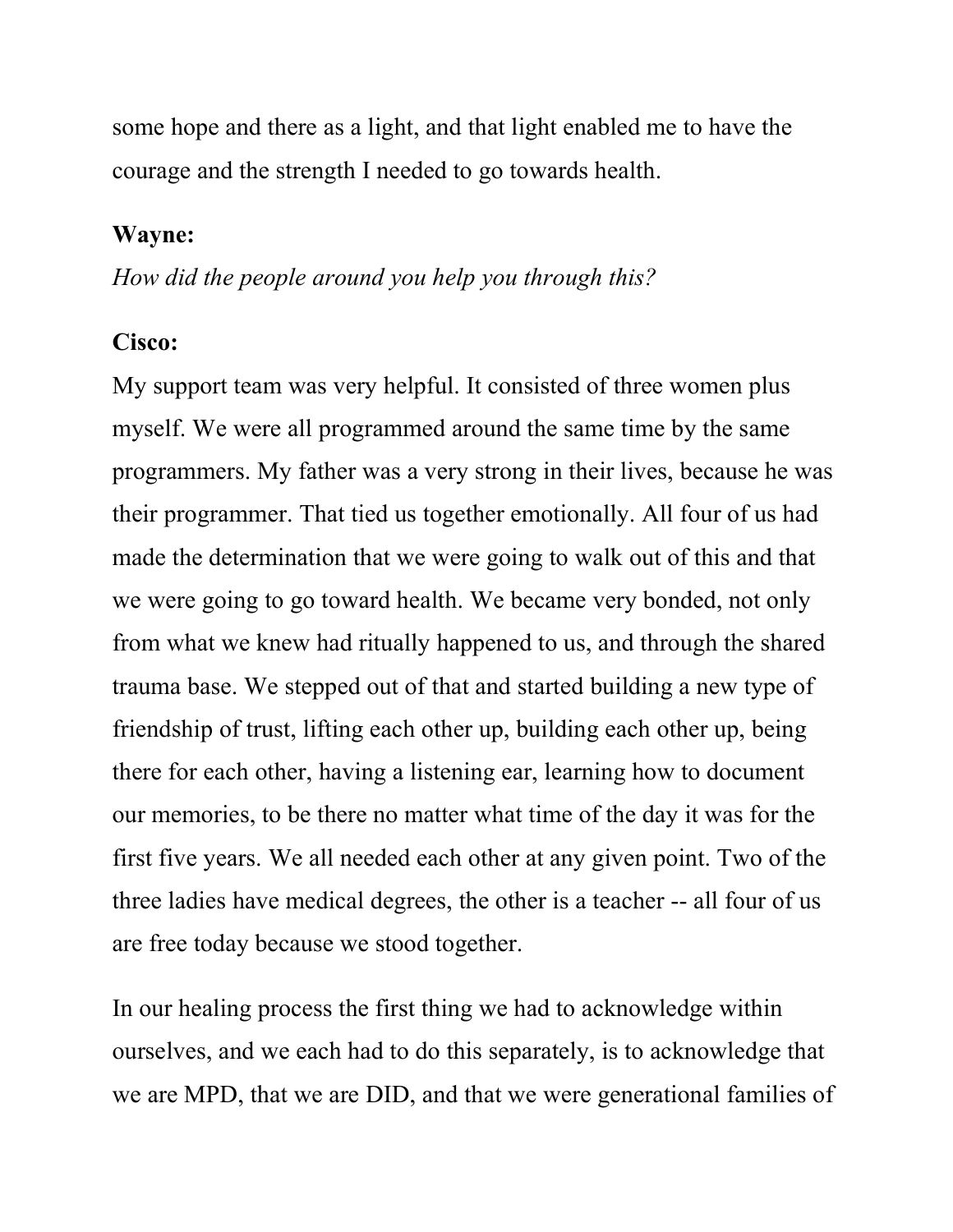some hope and there as a light, and that light enabled me to have the courage and the strength I needed to go towards health.

#### Wayne:

How did the people around you help you through this?

#### Cisco:

My support team was very helpful. It consisted of three women plus myself. We were all programmed around the same time by the same programmers. My father was a very strong in their lives, because he was their programmer. That tied us together emotionally. All four of us had made the determination that we were going to walk out of this and that we were going to go toward health. We became very bonded, not only from what we knew had ritually happened to us, and through the shared trauma base. We stepped out of that and started building a new type of friendship of trust, lifting each other up, building each other up, being there for each other, having a listening ear, learning how to document our memories, to be there no matter what time of the day it was for the first five years. We all needed each other at any given point. Two of the three ladies have medical degrees, the other is a teacher -- all four of us are free today because we stood together.

In our healing process the first thing we had to acknowledge within ourselves, and we each had to do this separately, is to acknowledge that we are MPD, that we are DID, and that we were generational families of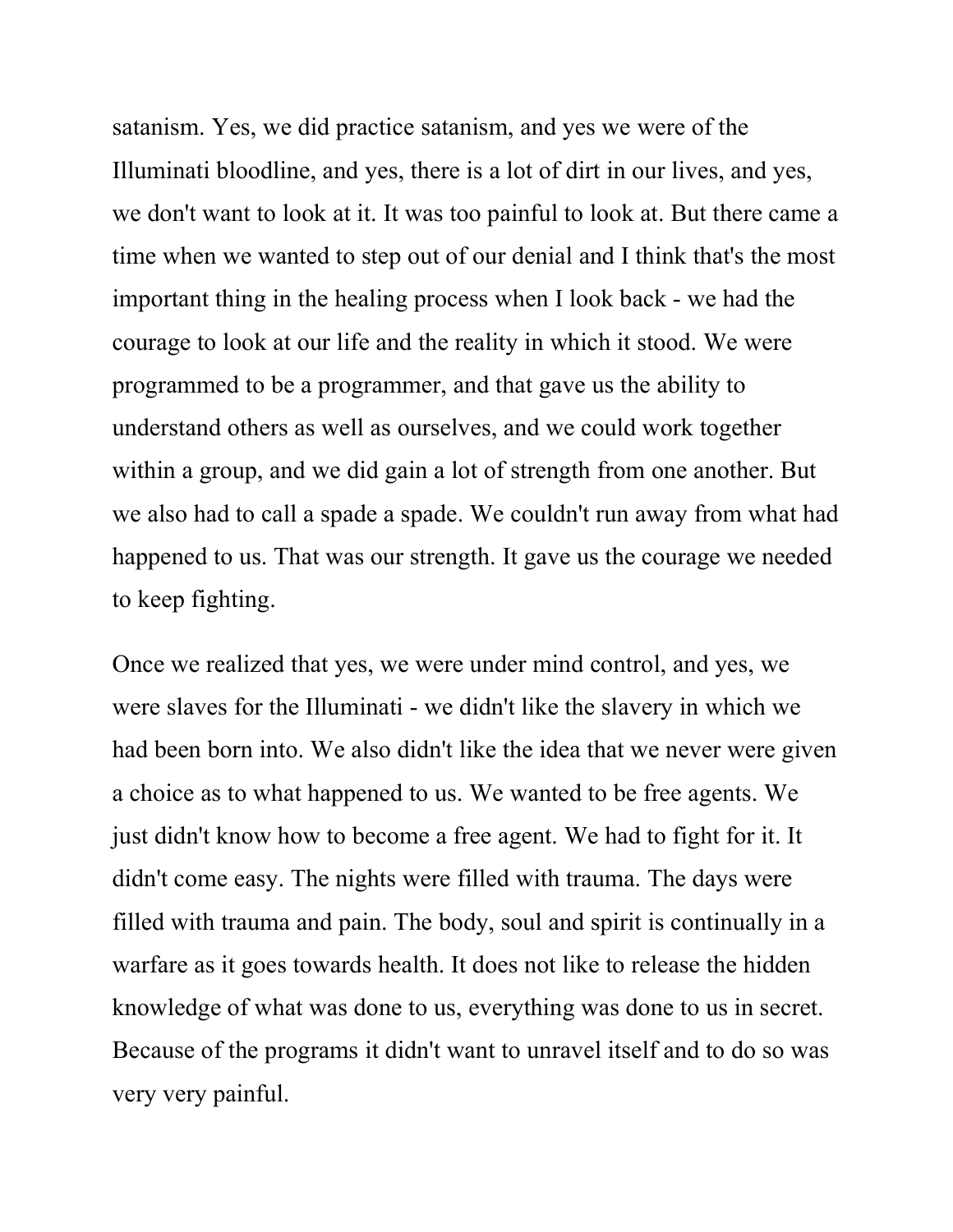satanism. Yes, we did practice satanism, and yes we were of the Illuminati bloodline, and yes, there is a lot of dirt in our lives, and yes, we don't want to look at it. It was too painful to look at. But there came a time when we wanted to step out of our denial and I think that's the most important thing in the healing process when I look back - we had the courage to look at our life and the reality in which it stood. We were programmed to be a programmer, and that gave us the ability to understand others as well as ourselves, and we could work together within a group, and we did gain a lot of strength from one another. But we also had to call a spade a spade. We couldn't run away from what had happened to us. That was our strength. It gave us the courage we needed to keep fighting.

Once we realized that yes, we were under mind control, and yes, we were slaves for the Illuminati - we didn't like the slavery in which we had been born into. We also didn't like the idea that we never were given a choice as to what happened to us. We wanted to be free agents. We just didn't know how to become a free agent. We had to fight for it. It didn't come easy. The nights were filled with trauma. The days were filled with trauma and pain. The body, soul and spirit is continually in a warfare as it goes towards health. It does not like to release the hidden knowledge of what was done to us, everything was done to us in secret. Because of the programs it didn't want to unravel itself and to do so was very very painful.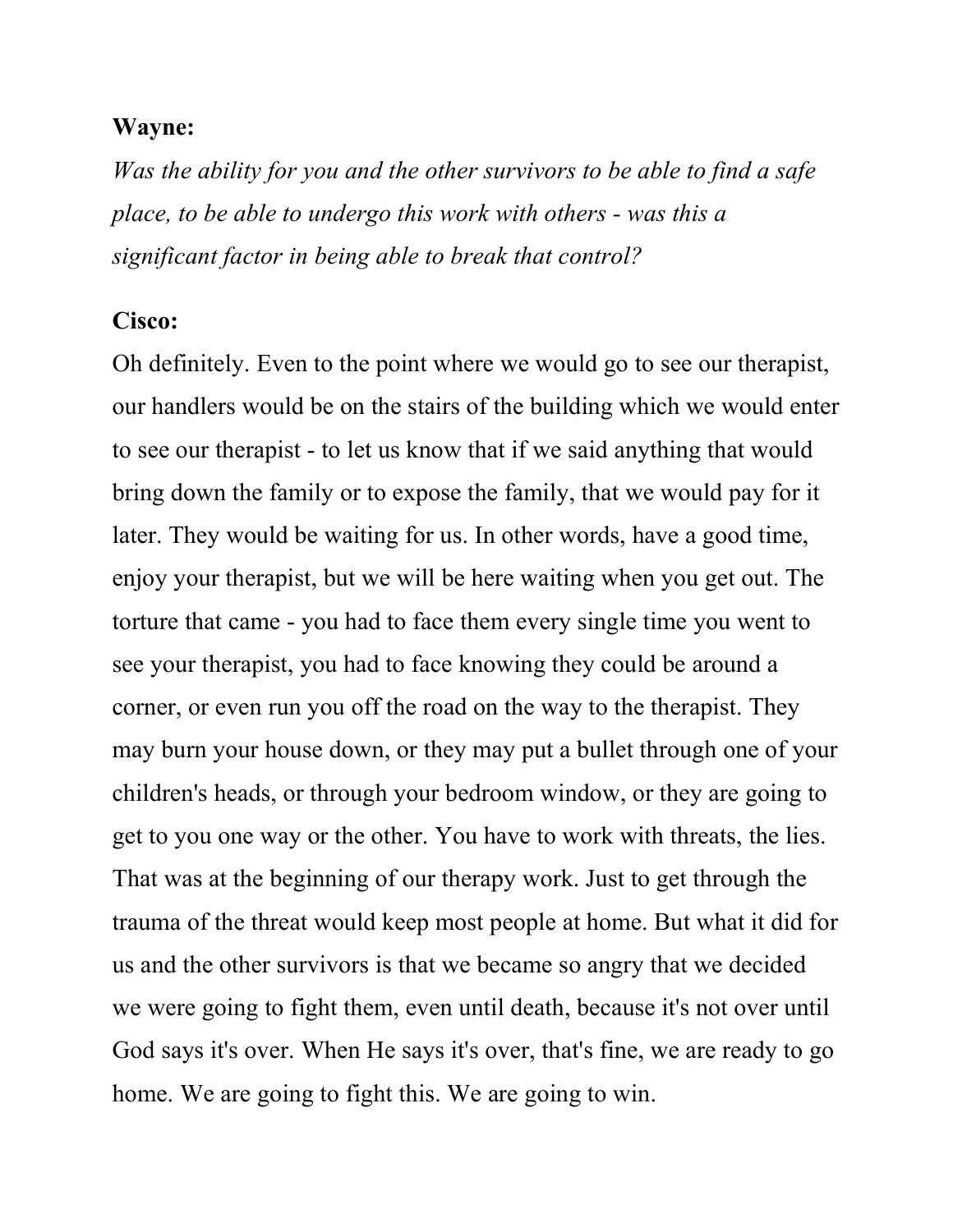Was the ability for you and the other survivors to be able to find a safe place, to be able to undergo this work with others - was this a significant factor in being able to break that control?

#### Cisco:

Oh definitely. Even to the point where we would go to see our therapist, our handlers would be on the stairs of the building which we would enter to see our therapist - to let us know that if we said anything that would bring down the family or to expose the family, that we would pay for it later. They would be waiting for us. In other words, have a good time, enjoy your therapist, but we will be here waiting when you get out. The torture that came - you had to face them every single time you went to see your therapist, you had to face knowing they could be around a corner, or even run you off the road on the way to the therapist. They may burn your house down, or they may put a bullet through one of your children's heads, or through your bedroom window, or they are going to get to you one way or the other. You have to work with threats, the lies. That was at the beginning of our therapy work. Just to get through the trauma of the threat would keep most people at home. But what it did for us and the other survivors is that we became so angry that we decided we were going to fight them, even until death, because it's not over until God says it's over. When He says it's over, that's fine, we are ready to go home. We are going to fight this. We are going to win.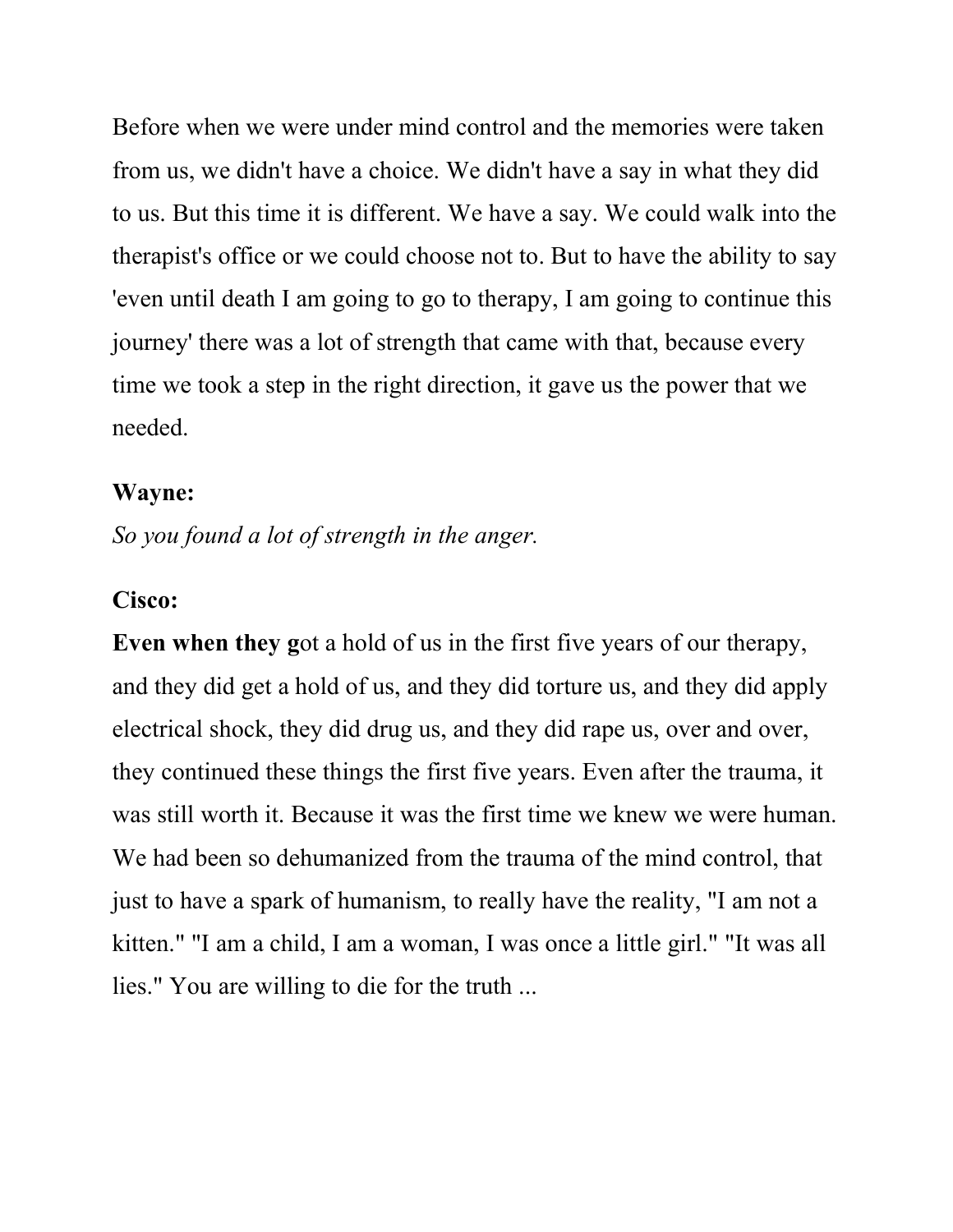Before when we were under mind control and the memories were taken from us, we didn't have a choice. We didn't have a say in what they did to us. But this time it is different. We have a say. We could walk into the therapist's office or we could choose not to. But to have the ability to say 'even until death I am going to go to therapy, I am going to continue this journey' there was a lot of strength that came with that, because every time we took a step in the right direction, it gave us the power that we needed.

#### Wayne:

So you found a lot of strength in the anger.

#### Cisco:

Even when they got a hold of us in the first five years of our therapy, and they did get a hold of us, and they did torture us, and they did apply electrical shock, they did drug us, and they did rape us, over and over, they continued these things the first five years. Even after the trauma, it was still worth it. Because it was the first time we knew we were human. We had been so dehumanized from the trauma of the mind control, that just to have a spark of humanism, to really have the reality, "I am not a kitten." "I am a child, I am a woman, I was once a little girl." "It was all lies." You are willing to die for the truth ...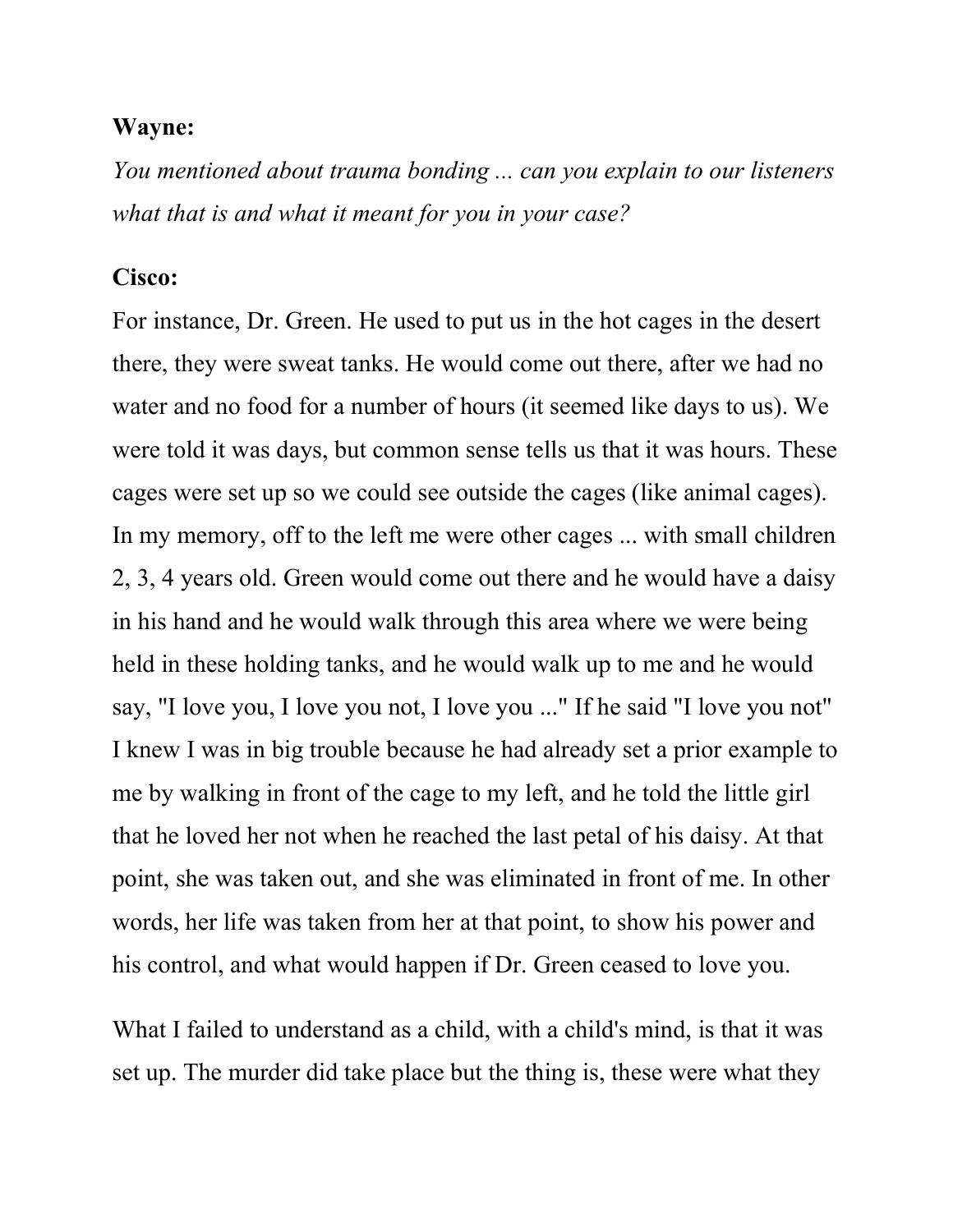You mentioned about trauma bonding ... can you explain to our listeners what that is and what it meant for you in your case?

#### Cisco:

For instance, Dr. Green. He used to put us in the hot cages in the desert there, they were sweat tanks. He would come out there, after we had no water and no food for a number of hours (it seemed like days to us). We were told it was days, but common sense tells us that it was hours. These cages were set up so we could see outside the cages (like animal cages). In my memory, off to the left me were other cages ... with small children 2, 3, 4 years old. Green would come out there and he would have a daisy in his hand and he would walk through this area where we were being held in these holding tanks, and he would walk up to me and he would say, "I love you, I love you not, I love you ..." If he said "I love you not" I knew I was in big trouble because he had already set a prior example to me by walking in front of the cage to my left, and he told the little girl that he loved her not when he reached the last petal of his daisy. At that point, she was taken out, and she was eliminated in front of me. In other words, her life was taken from her at that point, to show his power and his control, and what would happen if Dr. Green ceased to love you.

What I failed to understand as a child, with a child's mind, is that it was set up. The murder did take place but the thing is, these were what they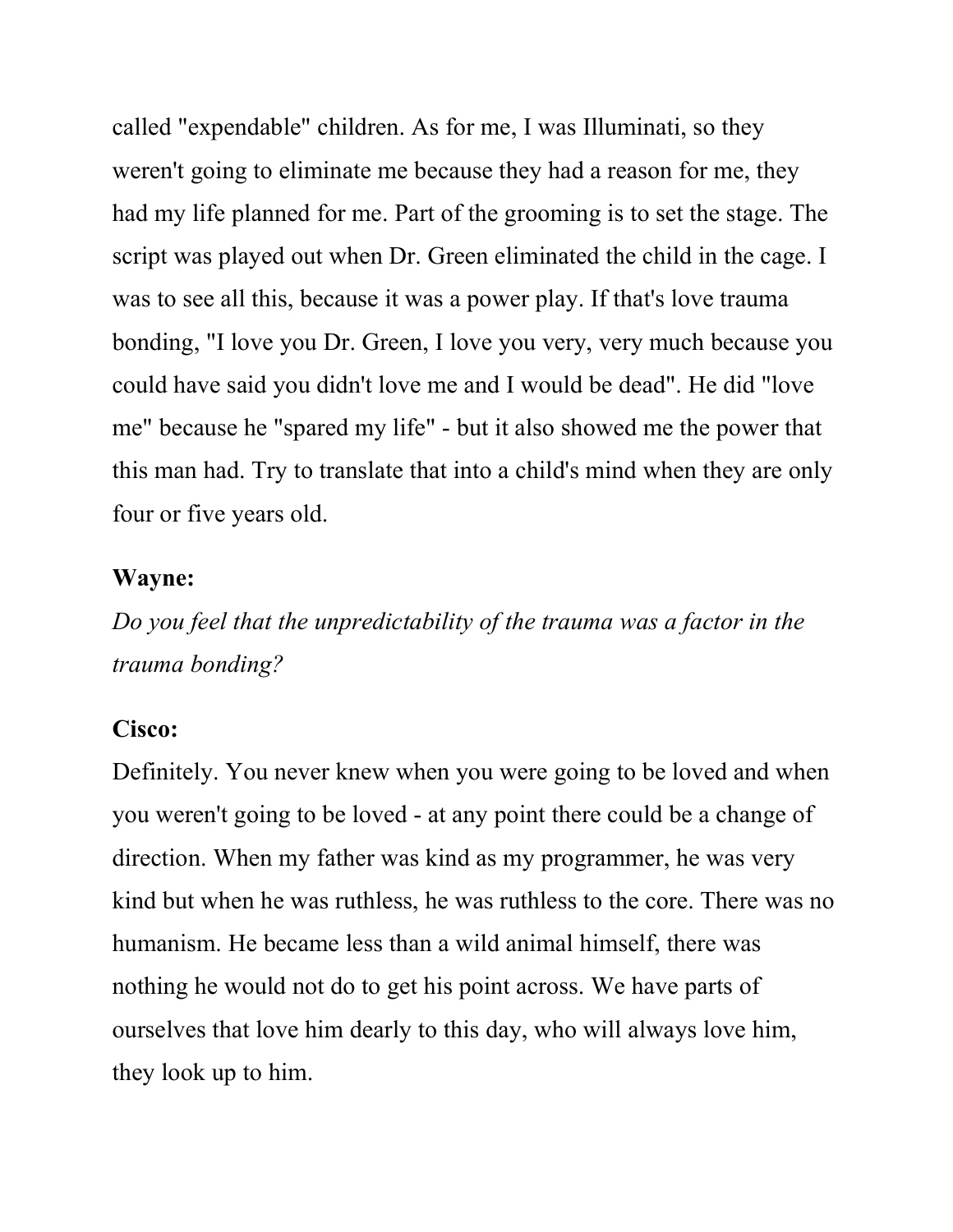called "expendable" children. As for me, I was Illuminati, so they weren't going to eliminate me because they had a reason for me, they had my life planned for me. Part of the grooming is to set the stage. The script was played out when Dr. Green eliminated the child in the cage. I was to see all this, because it was a power play. If that's love trauma bonding, "I love you Dr. Green, I love you very, very much because you could have said you didn't love me and I would be dead". He did "love me" because he "spared my life" - but it also showed me the power that this man had. Try to translate that into a child's mind when they are only four or five years old.

#### Wayne:

Do you feel that the unpredictability of the trauma was a factor in the trauma bonding?

#### Cisco:

Definitely. You never knew when you were going to be loved and when you weren't going to be loved - at any point there could be a change of direction. When my father was kind as my programmer, he was very kind but when he was ruthless, he was ruthless to the core. There was no humanism. He became less than a wild animal himself, there was nothing he would not do to get his point across. We have parts of ourselves that love him dearly to this day, who will always love him, they look up to him.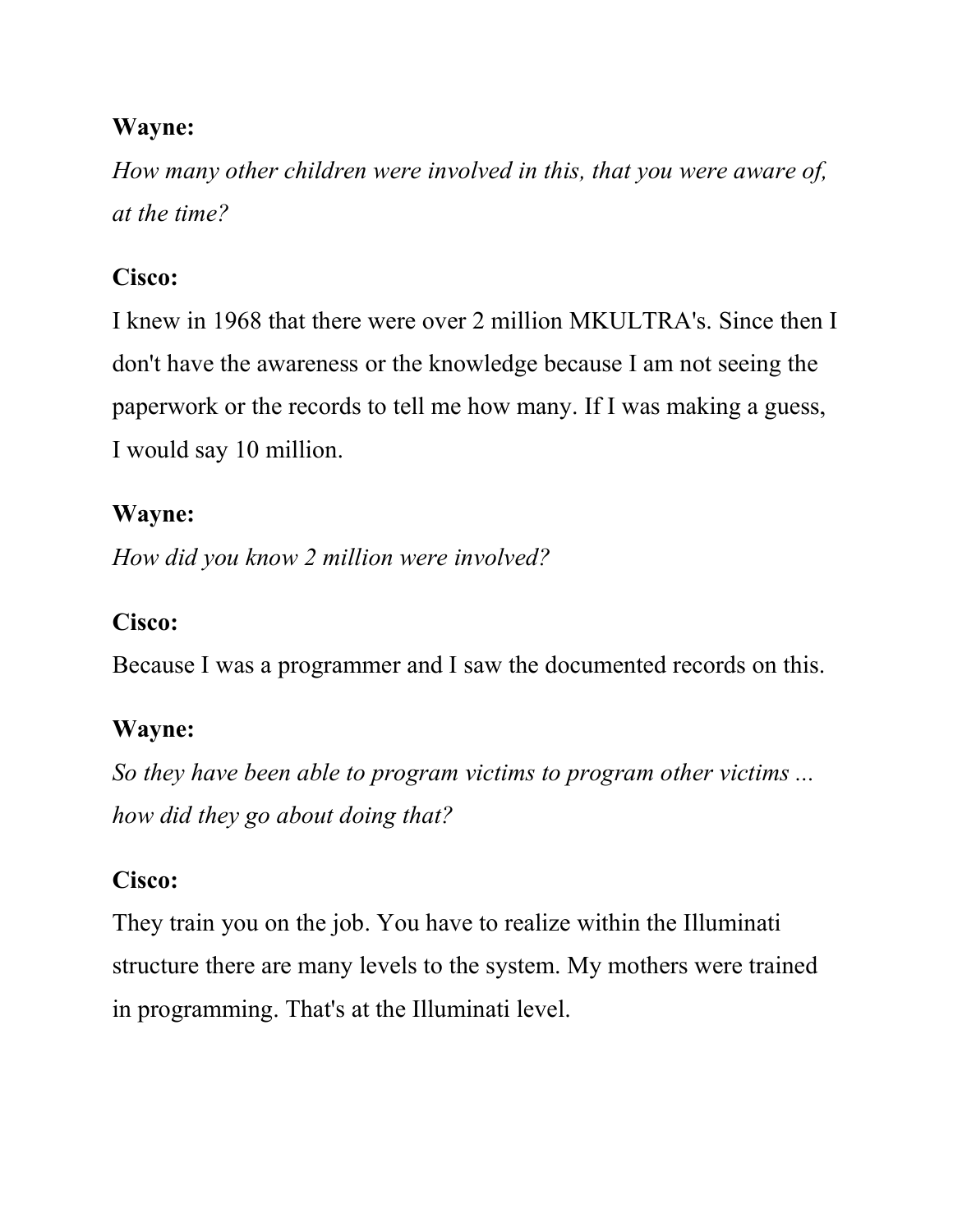How many other children were involved in this, that you were aware of, at the time?

## Cisco:

I knew in 1968 that there were over 2 million MKULTRA's. Since then I don't have the awareness or the knowledge because I am not seeing the paperwork or the records to tell me how many. If I was making a guess, I would say 10 million.

## Wayne:

How did you know 2 million were involved?

## Cisco:

Because I was a programmer and I saw the documented records on this.

## Wayne:

So they have been able to program victims to program other victims ... how did they go about doing that?

## Cisco:

They train you on the job. You have to realize within the Illuminati structure there are many levels to the system. My mothers were trained in programming. That's at the Illuminati level.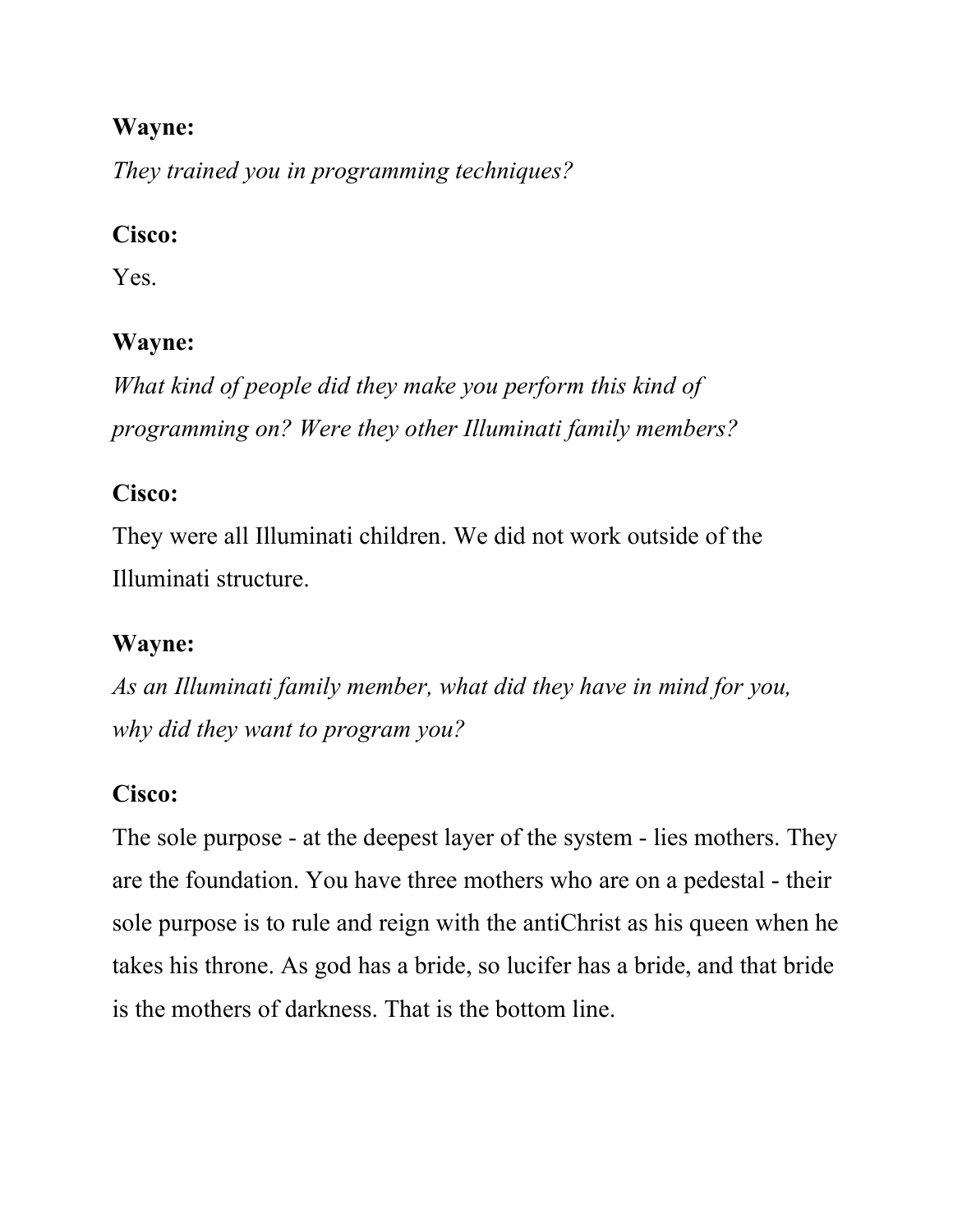They trained you in programming techniques?

### Cisco:

Yes.

### Wayne:

What kind of people did they make you perform this kind of programming on? Were they other Illuminati family members?

### Cisco:

They were all Illuminati children. We did not work outside of the Illuminati structure.

## Wayne:

As an Illuminati family member, what did they have in mind for you, why did they want to program you?

## Cisco:

The sole purpose - at the deepest layer of the system - lies mothers. They are the foundation. You have three mothers who are on a pedestal - their sole purpose is to rule and reign with the antiChrist as his queen when he takes his throne. As god has a bride, so lucifer has a bride, and that bride is the mothers of darkness. That is the bottom line.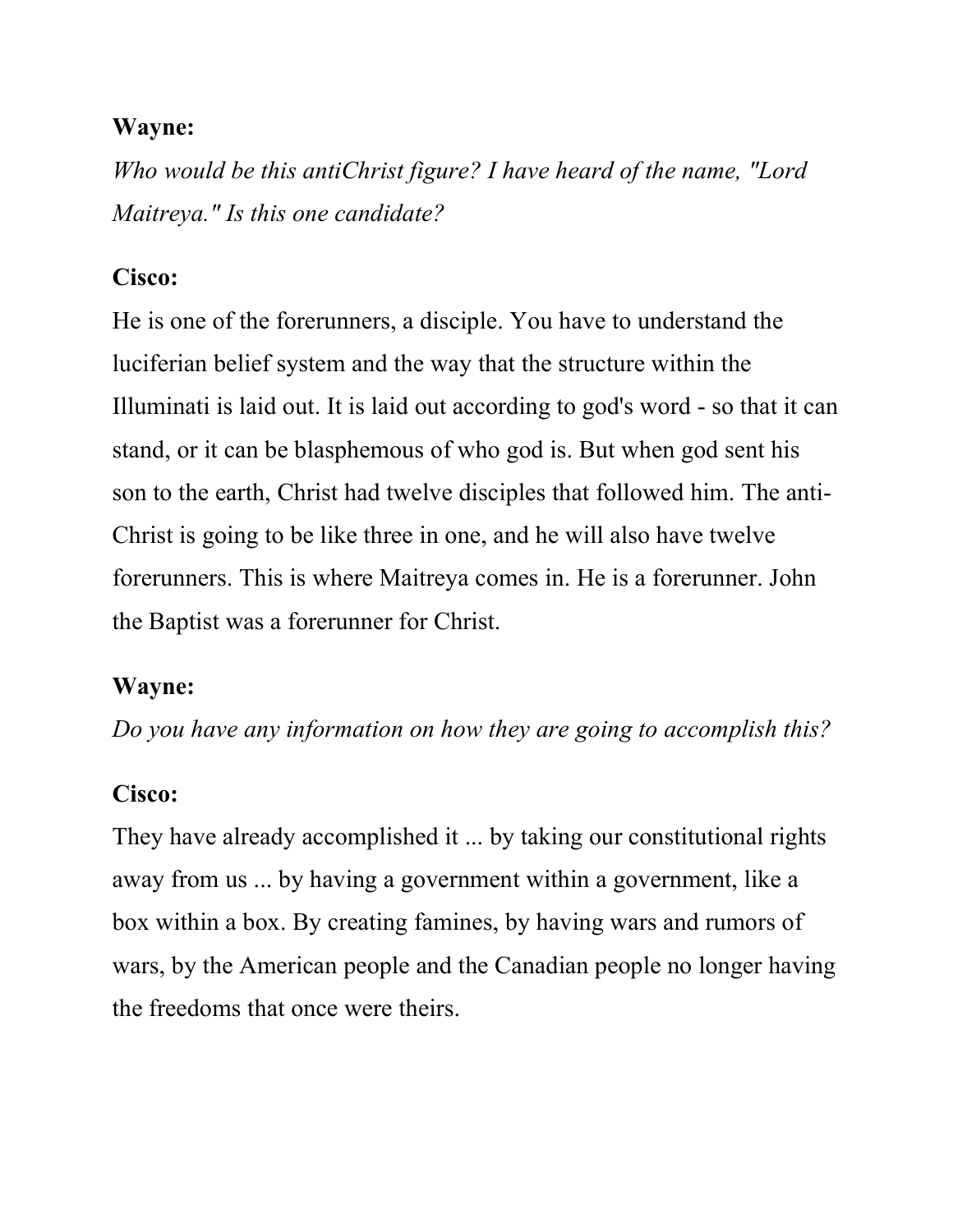Who would be this antiChrist figure? I have heard of the name, "Lord Maitreya." Is this one candidate?

#### Cisco:

He is one of the forerunners, a disciple. You have to understand the luciferian belief system and the way that the structure within the Illuminati is laid out. It is laid out according to god's word - so that it can stand, or it can be blasphemous of who god is. But when god sent his son to the earth, Christ had twelve disciples that followed him. The anti-Christ is going to be like three in one, and he will also have twelve forerunners. This is where Maitreya comes in. He is a forerunner. John the Baptist was a forerunner for Christ.

#### Wayne:

Do you have any information on how they are going to accomplish this?

### Cisco:

They have already accomplished it ... by taking our constitutional rights away from us ... by having a government within a government, like a box within a box. By creating famines, by having wars and rumors of wars, by the American people and the Canadian people no longer having the freedoms that once were theirs.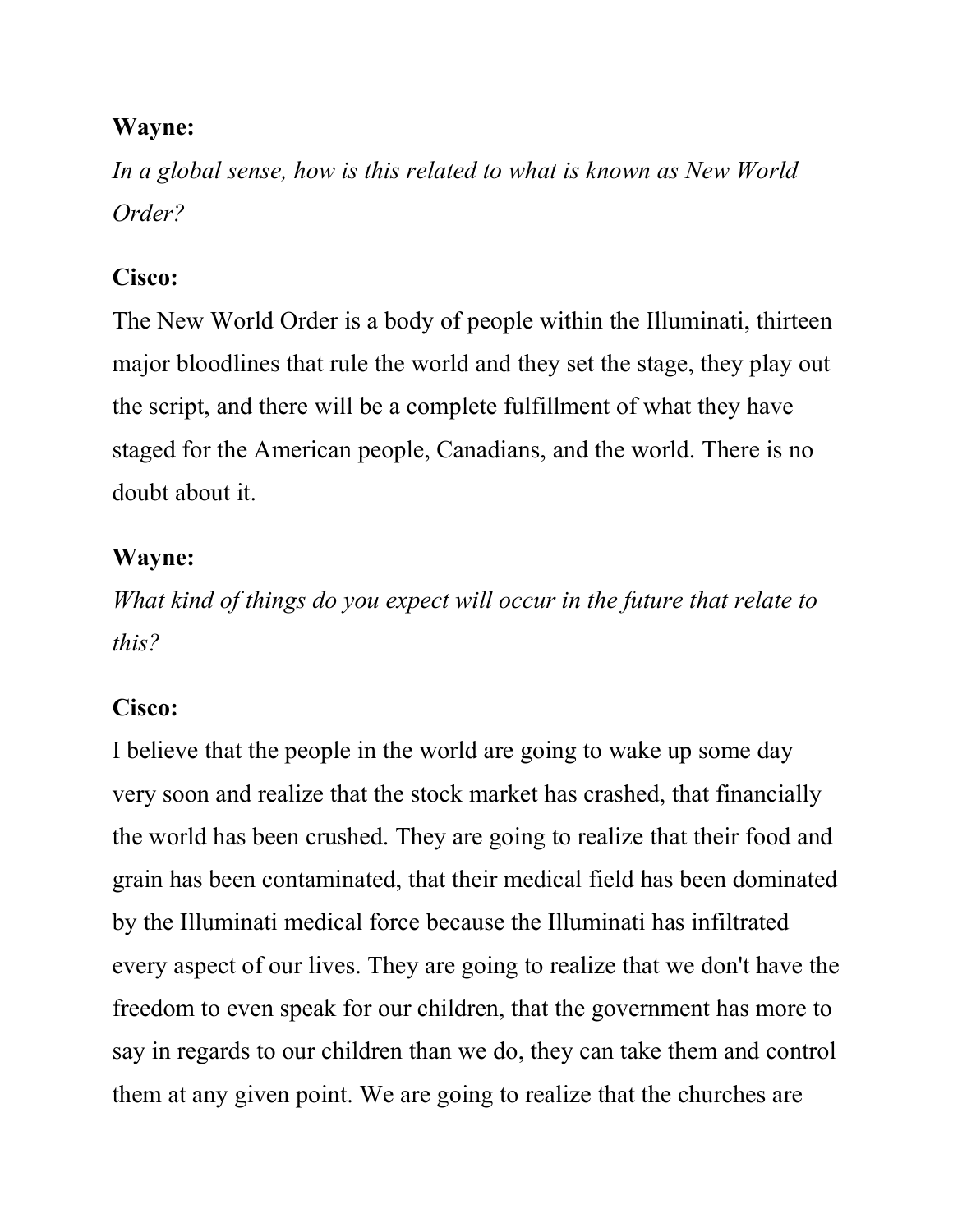In a global sense, how is this related to what is known as New World Order?

### Cisco:

The New World Order is a body of people within the Illuminati, thirteen major bloodlines that rule the world and they set the stage, they play out the script, and there will be a complete fulfillment of what they have staged for the American people, Canadians, and the world. There is no doubt about it.

### Wayne:

What kind of things do you expect will occur in the future that relate to this?

### Cisco:

I believe that the people in the world are going to wake up some day very soon and realize that the stock market has crashed, that financially the world has been crushed. They are going to realize that their food and grain has been contaminated, that their medical field has been dominated by the Illuminati medical force because the Illuminati has infiltrated every aspect of our lives. They are going to realize that we don't have the freedom to even speak for our children, that the government has more to say in regards to our children than we do, they can take them and control them at any given point. We are going to realize that the churches are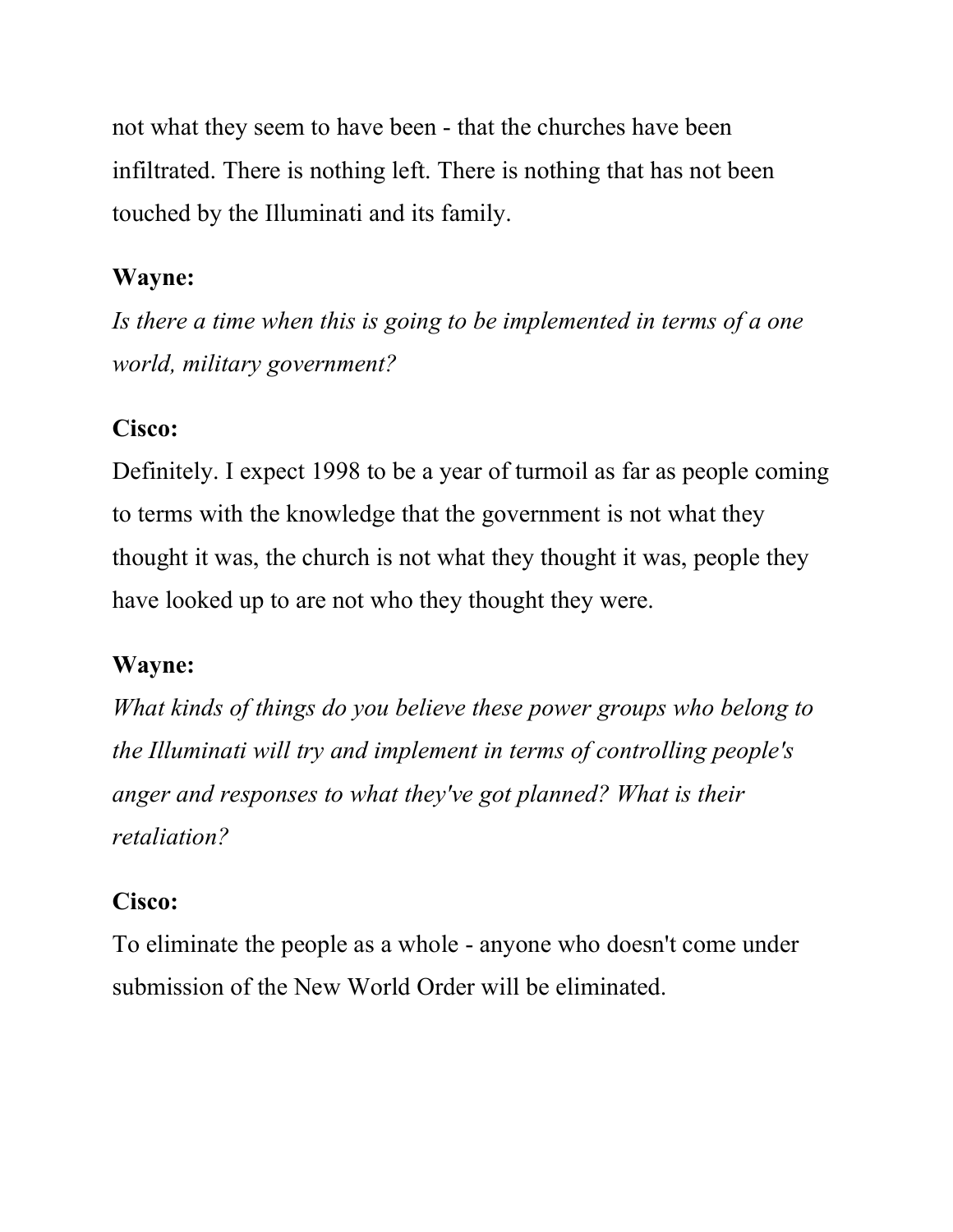not what they seem to have been - that the churches have been infiltrated. There is nothing left. There is nothing that has not been touched by the Illuminati and its family.

### Wayne:

Is there a time when this is going to be implemented in terms of a one world, military government?

### Cisco:

Definitely. I expect 1998 to be a year of turmoil as far as people coming to terms with the knowledge that the government is not what they thought it was, the church is not what they thought it was, people they have looked up to are not who they thought they were.

### Wayne:

What kinds of things do you believe these power groups who belong to the Illuminati will try and implement in terms of controlling people's anger and responses to what they've got planned? What is their retaliation?

### Cisco:

To eliminate the people as a whole - anyone who doesn't come under submission of the New World Order will be eliminated.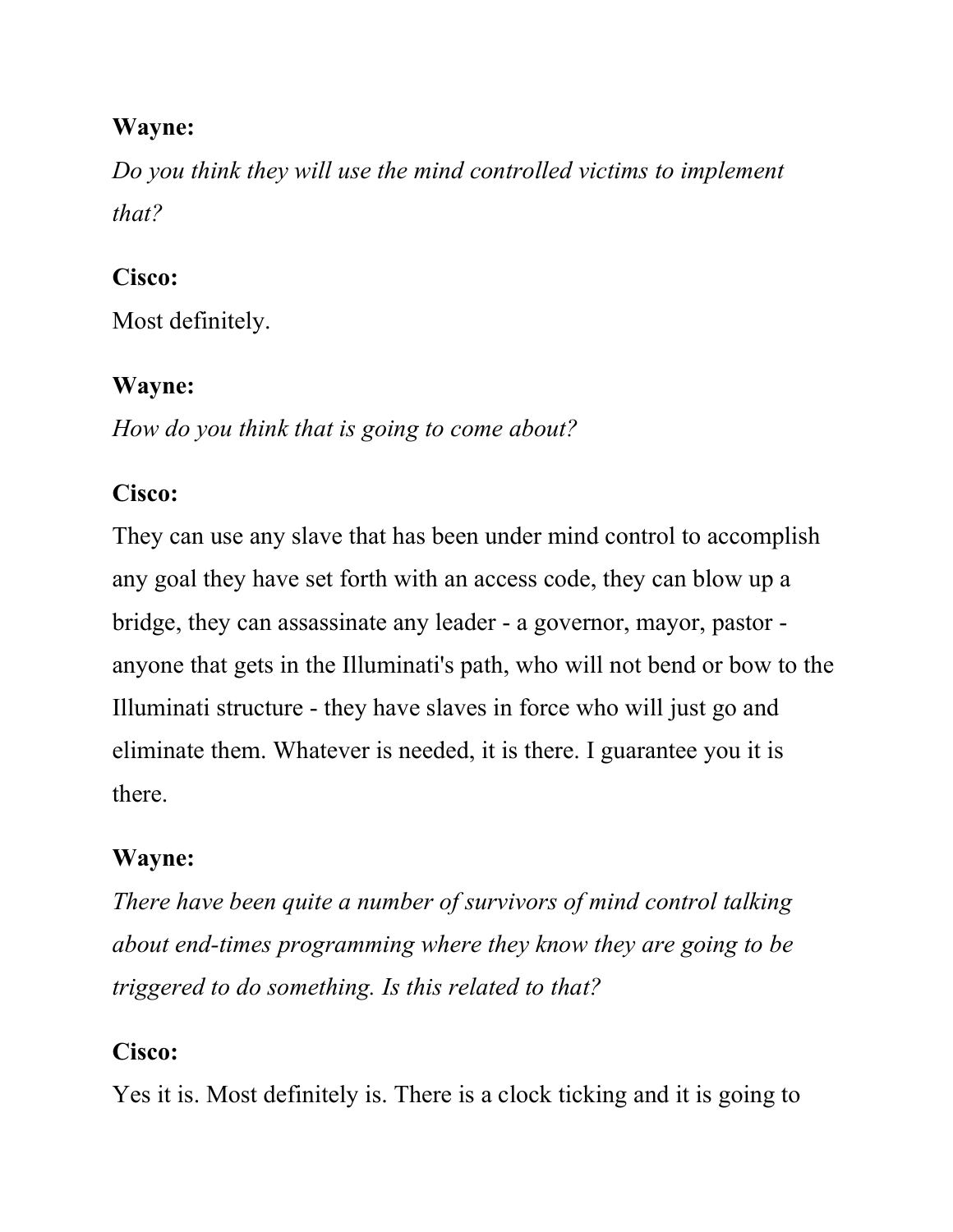Do you think they will use the mind controlled victims to implement that?

### Cisco:

Most definitely.

### Wayne:

How do you think that is going to come about?

### Cisco:

They can use any slave that has been under mind control to accomplish any goal they have set forth with an access code, they can blow up a bridge, they can assassinate any leader - a governor, mayor, pastor anyone that gets in the Illuminati's path, who will not bend or bow to the Illuminati structure - they have slaves in force who will just go and eliminate them. Whatever is needed, it is there. I guarantee you it is there.

## Wayne:

There have been quite a number of survivors of mind control talking about end-times programming where they know they are going to be triggered to do something. Is this related to that?

### Cisco:

Yes it is. Most definitely is. There is a clock ticking and it is going to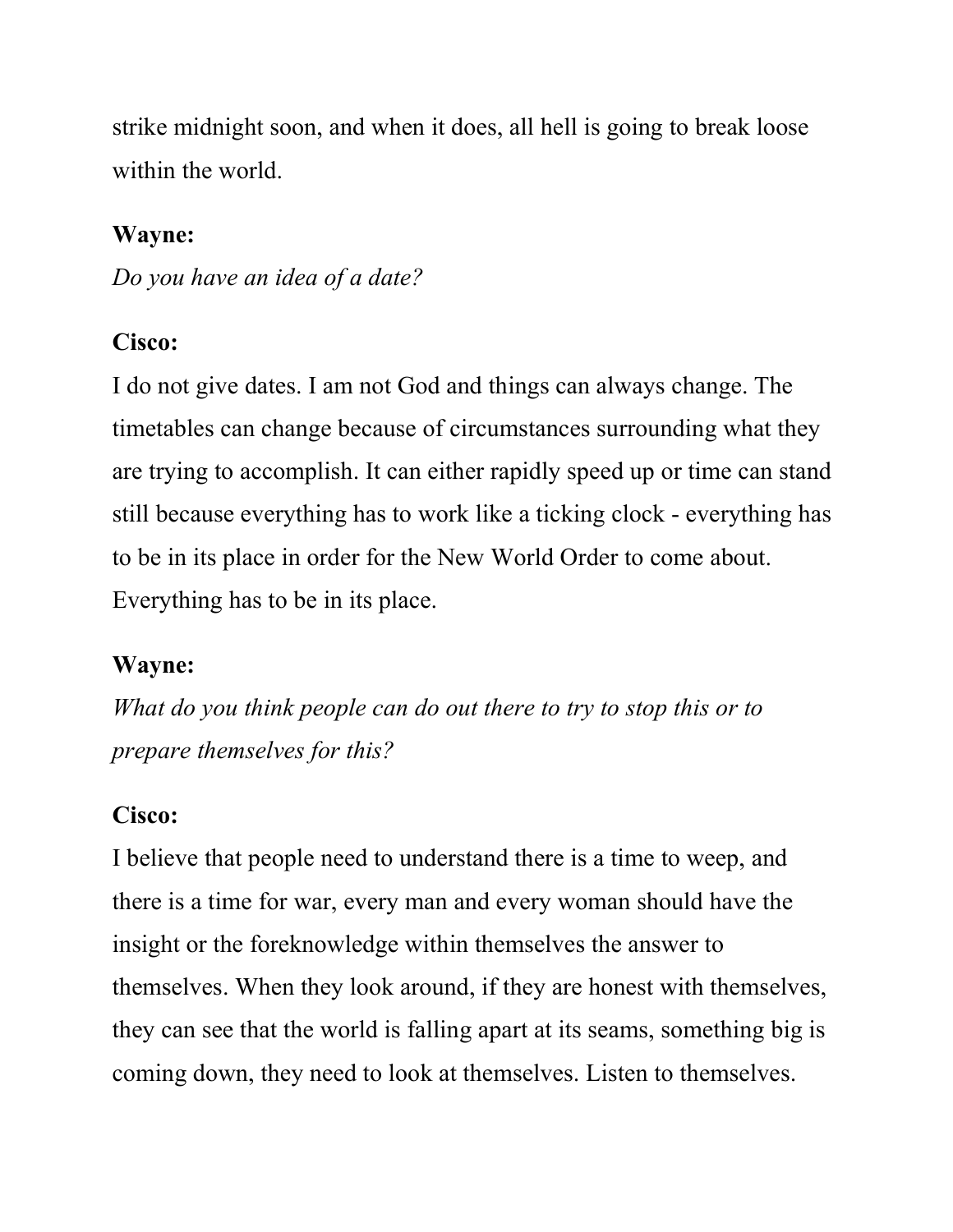strike midnight soon, and when it does, all hell is going to break loose within the world.

### Wayne:

Do you have an idea of a date?

### Cisco:

I do not give dates. I am not God and things can always change. The timetables can change because of circumstances surrounding what they are trying to accomplish. It can either rapidly speed up or time can stand still because everything has to work like a ticking clock - everything has to be in its place in order for the New World Order to come about. Everything has to be in its place.

### Wayne:

What do you think people can do out there to try to stop this or to prepare themselves for this?

### Cisco:

I believe that people need to understand there is a time to weep, and there is a time for war, every man and every woman should have the insight or the foreknowledge within themselves the answer to themselves. When they look around, if they are honest with themselves, they can see that the world is falling apart at its seams, something big is coming down, they need to look at themselves. Listen to themselves.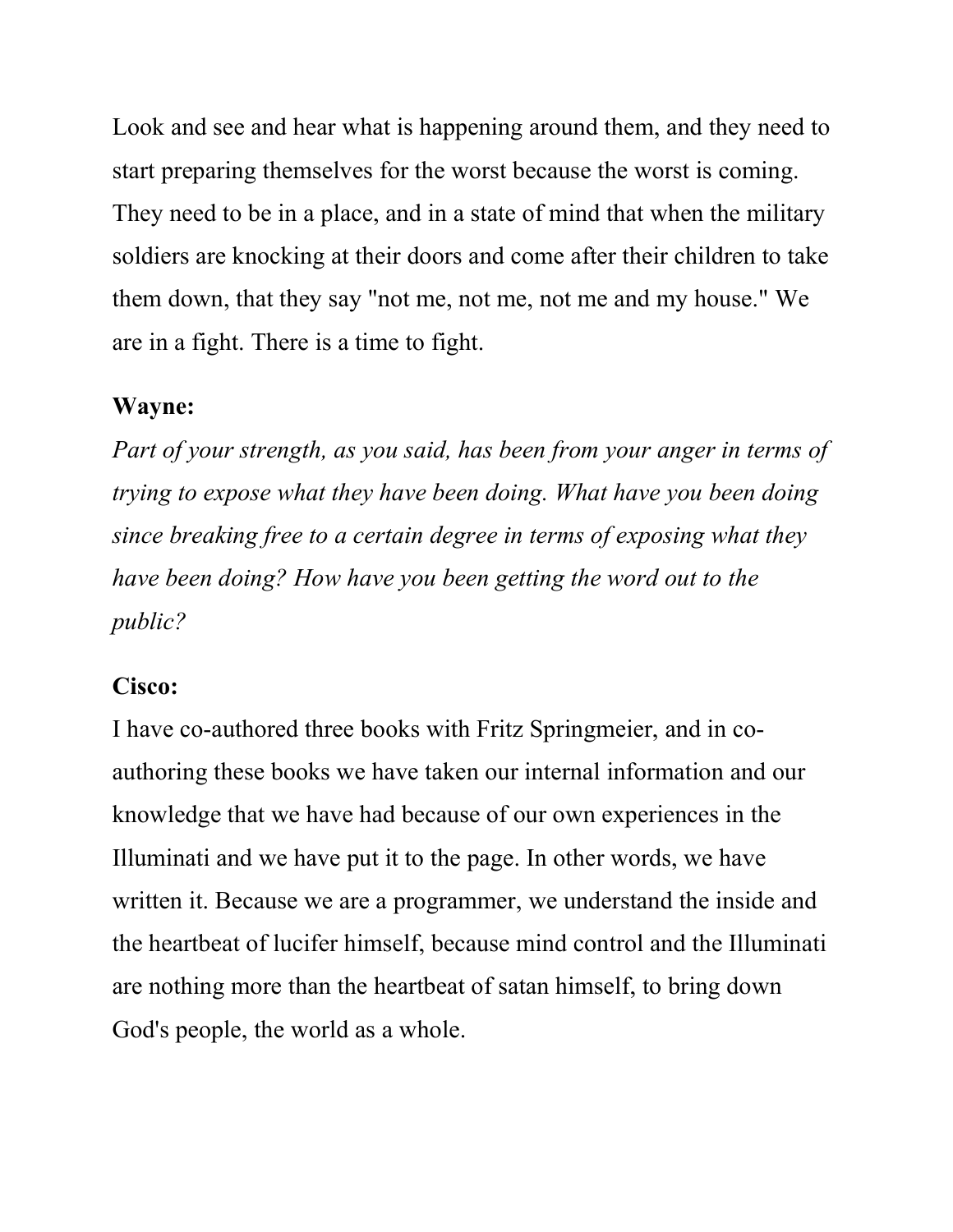Look and see and hear what is happening around them, and they need to start preparing themselves for the worst because the worst is coming. They need to be in a place, and in a state of mind that when the military soldiers are knocking at their doors and come after their children to take them down, that they say "not me, not me, not me and my house." We are in a fight. There is a time to fight.

#### Wayne:

Part of your strength, as you said, has been from your anger in terms of trying to expose what they have been doing. What have you been doing since breaking free to a certain degree in terms of exposing what they have been doing? How have you been getting the word out to the public?

#### Cisco:

I have co-authored three books with Fritz Springmeier, and in coauthoring these books we have taken our internal information and our knowledge that we have had because of our own experiences in the Illuminati and we have put it to the page. In other words, we have written it. Because we are a programmer, we understand the inside and the heartbeat of lucifer himself, because mind control and the Illuminati are nothing more than the heartbeat of satan himself, to bring down God's people, the world as a whole.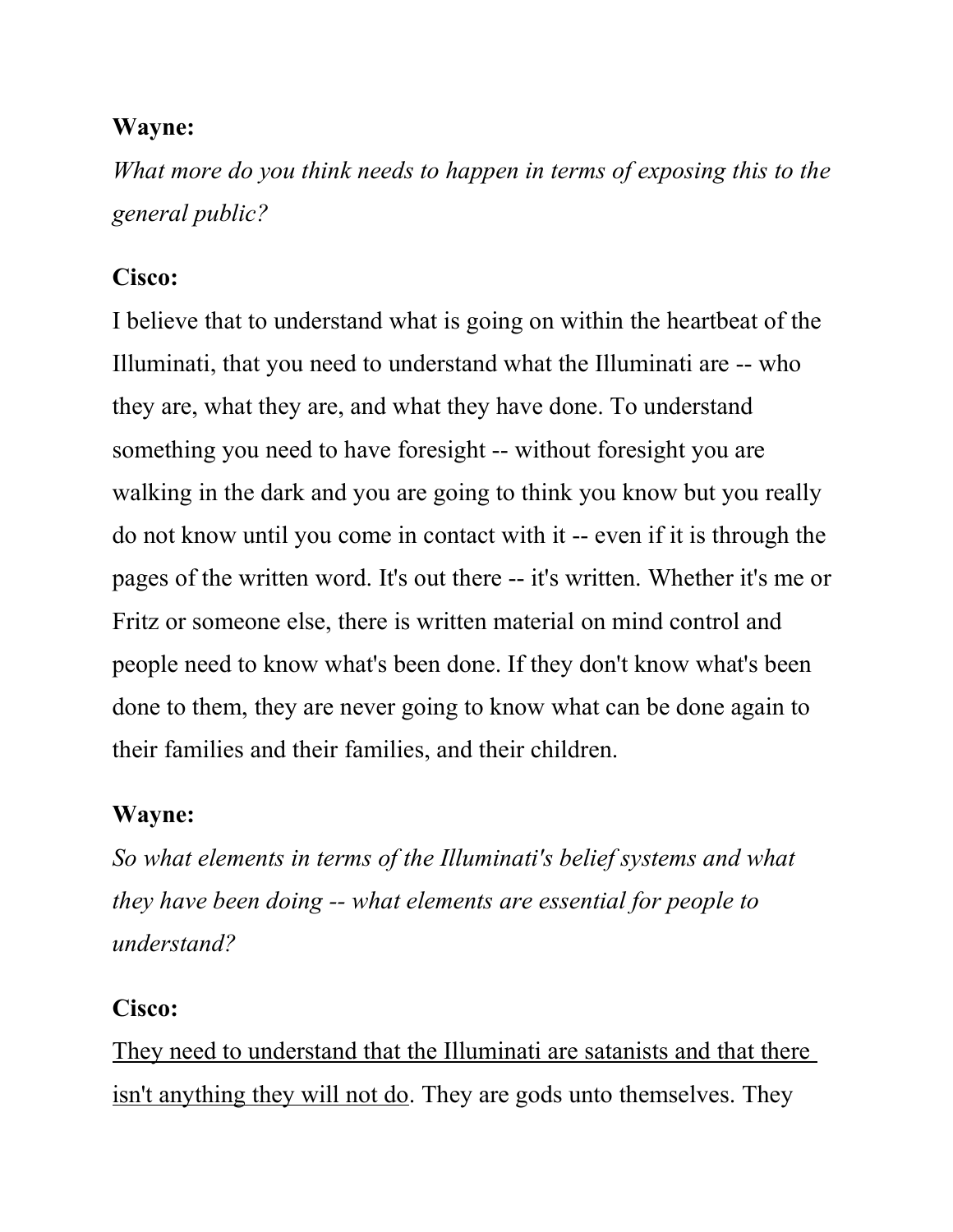What more do you think needs to happen in terms of exposing this to the general public?

### Cisco:

I believe that to understand what is going on within the heartbeat of the Illuminati, that you need to understand what the Illuminati are -- who they are, what they are, and what they have done. To understand something you need to have foresight -- without foresight you are walking in the dark and you are going to think you know but you really do not know until you come in contact with it -- even if it is through the pages of the written word. It's out there -- it's written. Whether it's me or Fritz or someone else, there is written material on mind control and people need to know what's been done. If they don't know what's been done to them, they are never going to know what can be done again to their families and their families, and their children.

### Wayne:

So what elements in terms of the Illuminati's belief systems and what they have been doing -- what elements are essential for people to understand?

### Cisco:

They need to understand that the Illuminati are satanists and that there isn't anything they will not do. They are gods unto themselves. They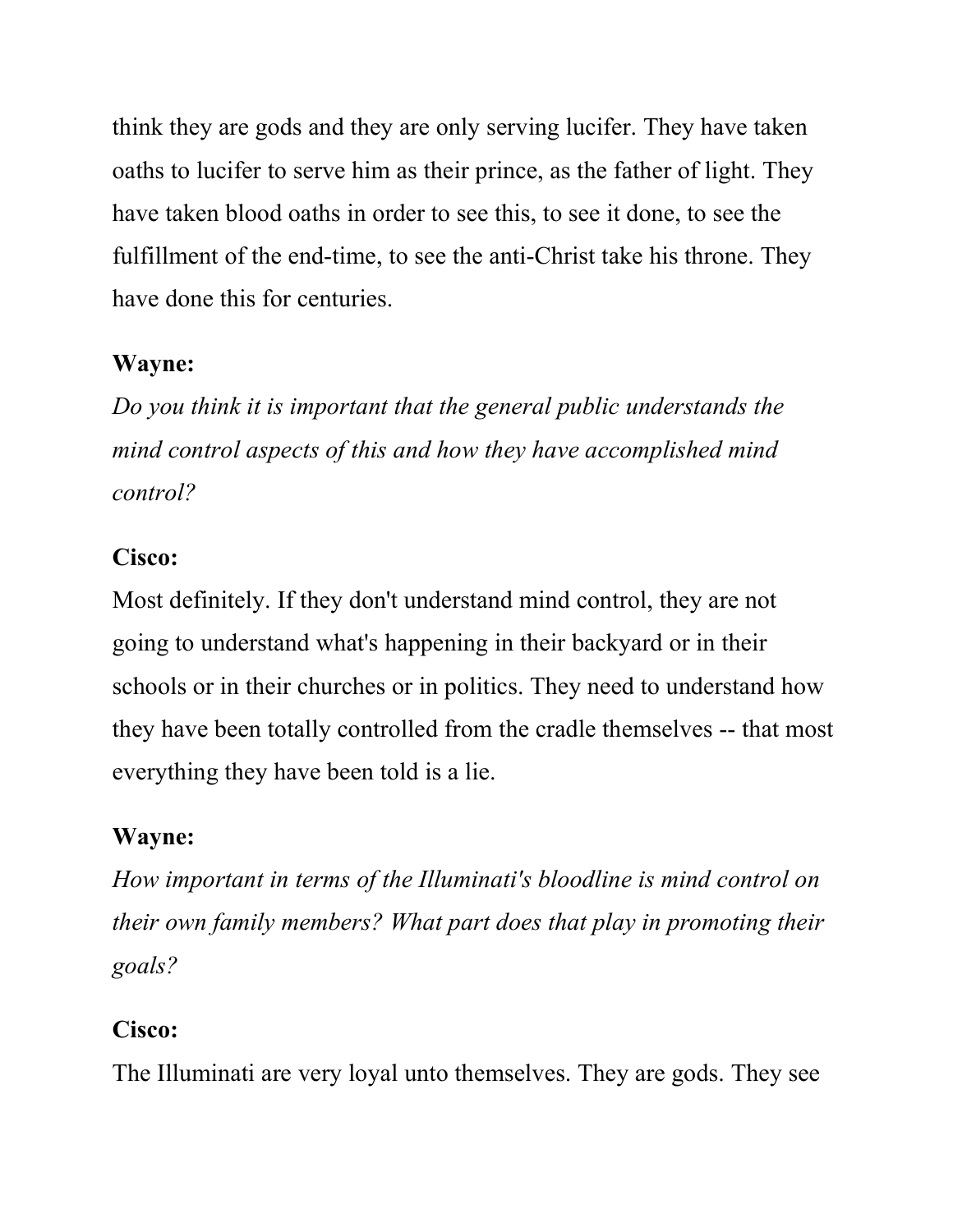think they are gods and they are only serving lucifer. They have taken oaths to lucifer to serve him as their prince, as the father of light. They have taken blood oaths in order to see this, to see it done, to see the fulfillment of the end-time, to see the anti-Christ take his throne. They have done this for centuries.

### Wayne:

Do you think it is important that the general public understands the mind control aspects of this and how they have accomplished mind control?

### Cisco:

Most definitely. If they don't understand mind control, they are not going to understand what's happening in their backyard or in their schools or in their churches or in politics. They need to understand how they have been totally controlled from the cradle themselves -- that most everything they have been told is a lie.

### Wayne:

How important in terms of the Illuminati's bloodline is mind control on their own family members? What part does that play in promoting their goals?

### Cisco:

The Illuminati are very loyal unto themselves. They are gods. They see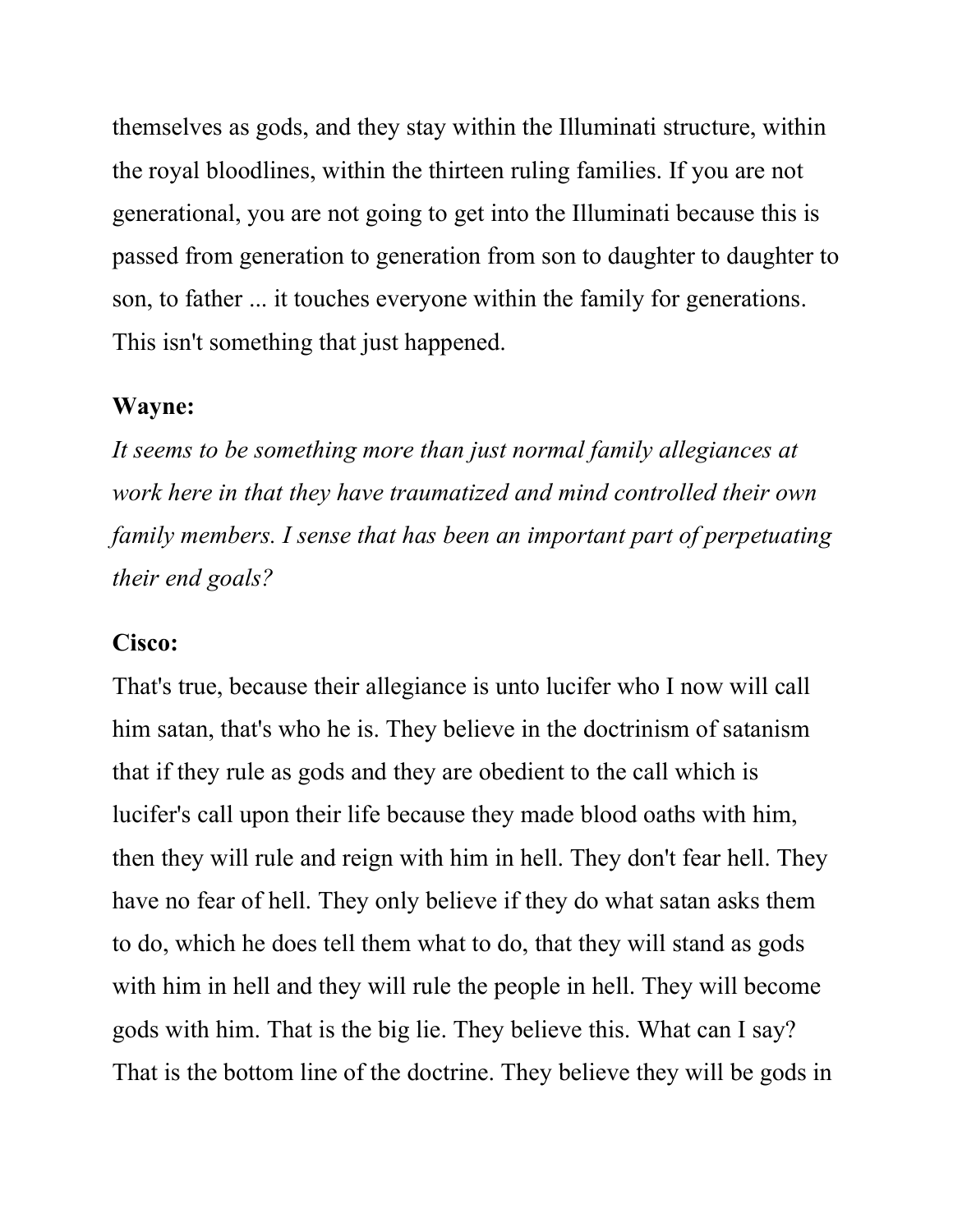themselves as gods, and they stay within the Illuminati structure, within the royal bloodlines, within the thirteen ruling families. If you are not generational, you are not going to get into the Illuminati because this is passed from generation to generation from son to daughter to daughter to son, to father ... it touches everyone within the family for generations. This isn't something that just happened.

#### Wayne:

It seems to be something more than just normal family allegiances at work here in that they have traumatized and mind controlled their own family members. I sense that has been an important part of perpetuating their end goals?

#### Cisco:

That's true, because their allegiance is unto lucifer who I now will call him satan, that's who he is. They believe in the doctrinism of satanism that if they rule as gods and they are obedient to the call which is lucifer's call upon their life because they made blood oaths with him, then they will rule and reign with him in hell. They don't fear hell. They have no fear of hell. They only believe if they do what satan asks them to do, which he does tell them what to do, that they will stand as gods with him in hell and they will rule the people in hell. They will become gods with him. That is the big lie. They believe this. What can I say? That is the bottom line of the doctrine. They believe they will be gods in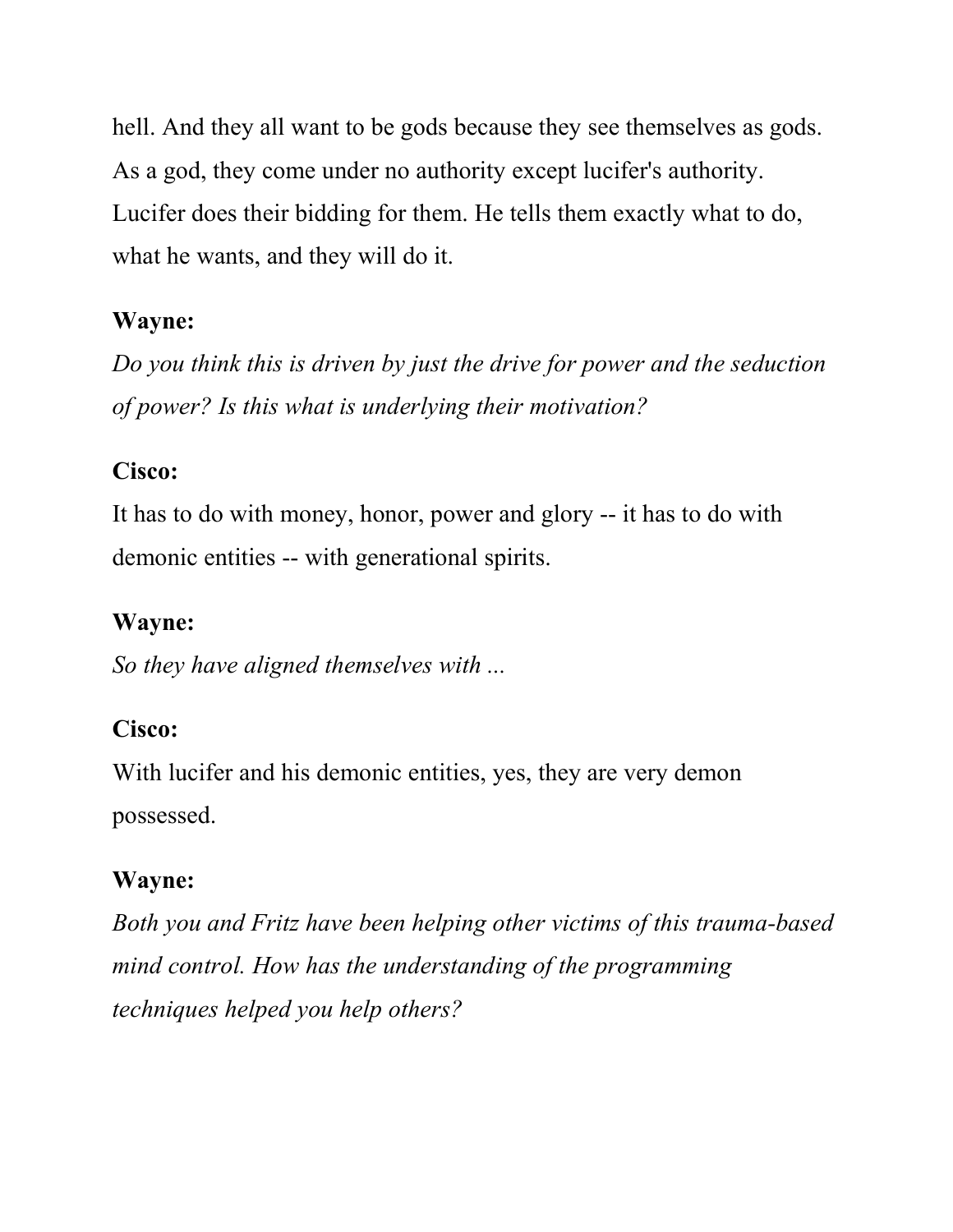hell. And they all want to be gods because they see themselves as gods. As a god, they come under no authority except lucifer's authority. Lucifer does their bidding for them. He tells them exactly what to do, what he wants, and they will do it.

### Wayne:

Do you think this is driven by just the drive for power and the seduction of power? Is this what is underlying their motivation?

### Cisco:

It has to do with money, honor, power and glory -- it has to do with demonic entities -- with generational spirits.

## Wayne:

So they have aligned themselves with ...

### Cisco:

With lucifer and his demonic entities, yes, they are very demon possessed.

### Wayne:

Both you and Fritz have been helping other victims of this trauma-based mind control. How has the understanding of the programming techniques helped you help others?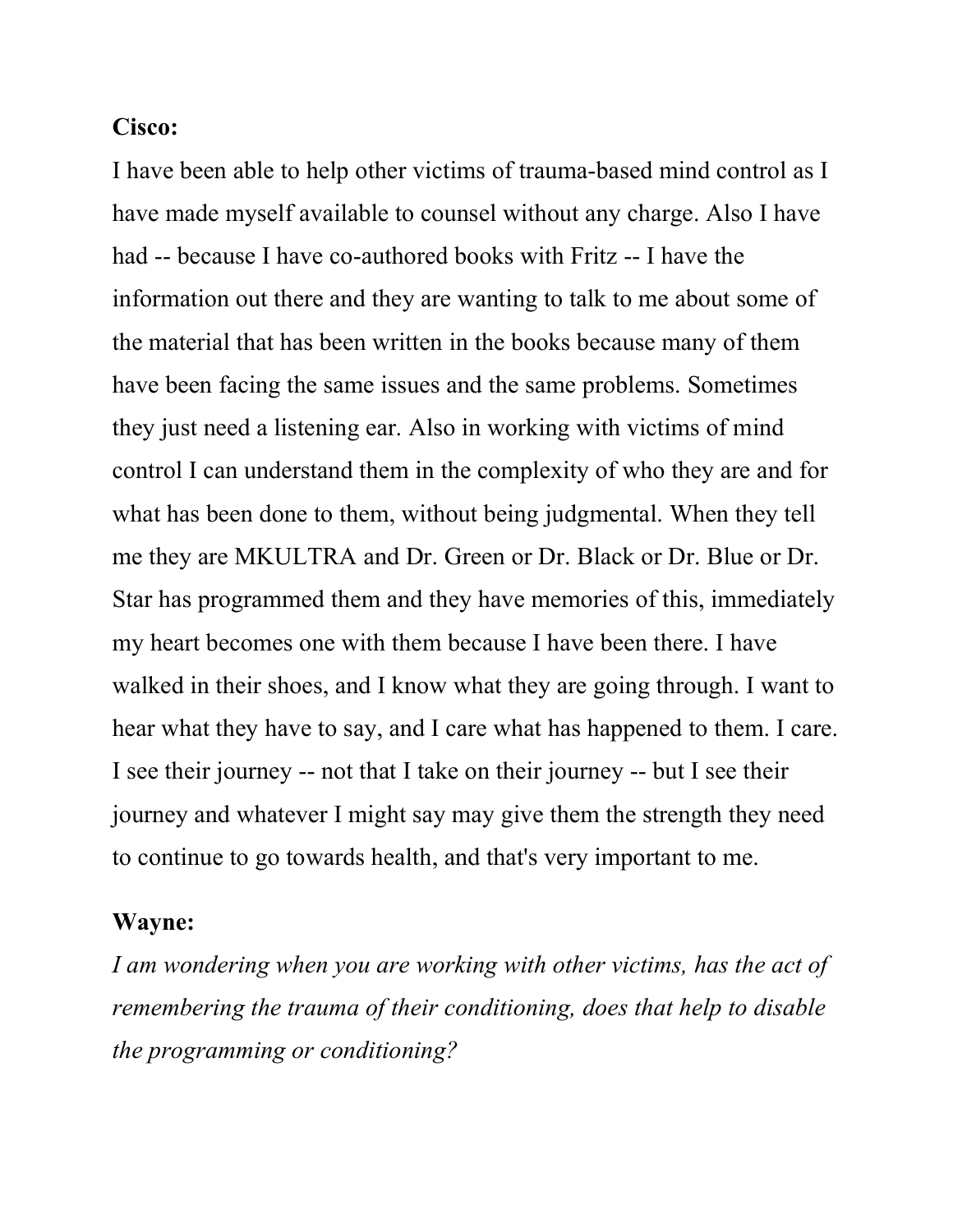#### Cisco:

I have been able to help other victims of trauma-based mind control as I have made myself available to counsel without any charge. Also I have had -- because I have co-authored books with Fritz -- I have the information out there and they are wanting to talk to me about some of the material that has been written in the books because many of them have been facing the same issues and the same problems. Sometimes they just need a listening ear. Also in working with victims of mind control I can understand them in the complexity of who they are and for what has been done to them, without being judgmental. When they tell me they are MKULTRA and Dr. Green or Dr. Black or Dr. Blue or Dr. Star has programmed them and they have memories of this, immediately my heart becomes one with them because I have been there. I have walked in their shoes, and I know what they are going through. I want to hear what they have to say, and I care what has happened to them. I care. I see their journey -- not that I take on their journey -- but I see their journey and whatever I might say may give them the strength they need to continue to go towards health, and that's very important to me.

#### Wayne:

I am wondering when you are working with other victims, has the act of remembering the trauma of their conditioning, does that help to disable the programming or conditioning?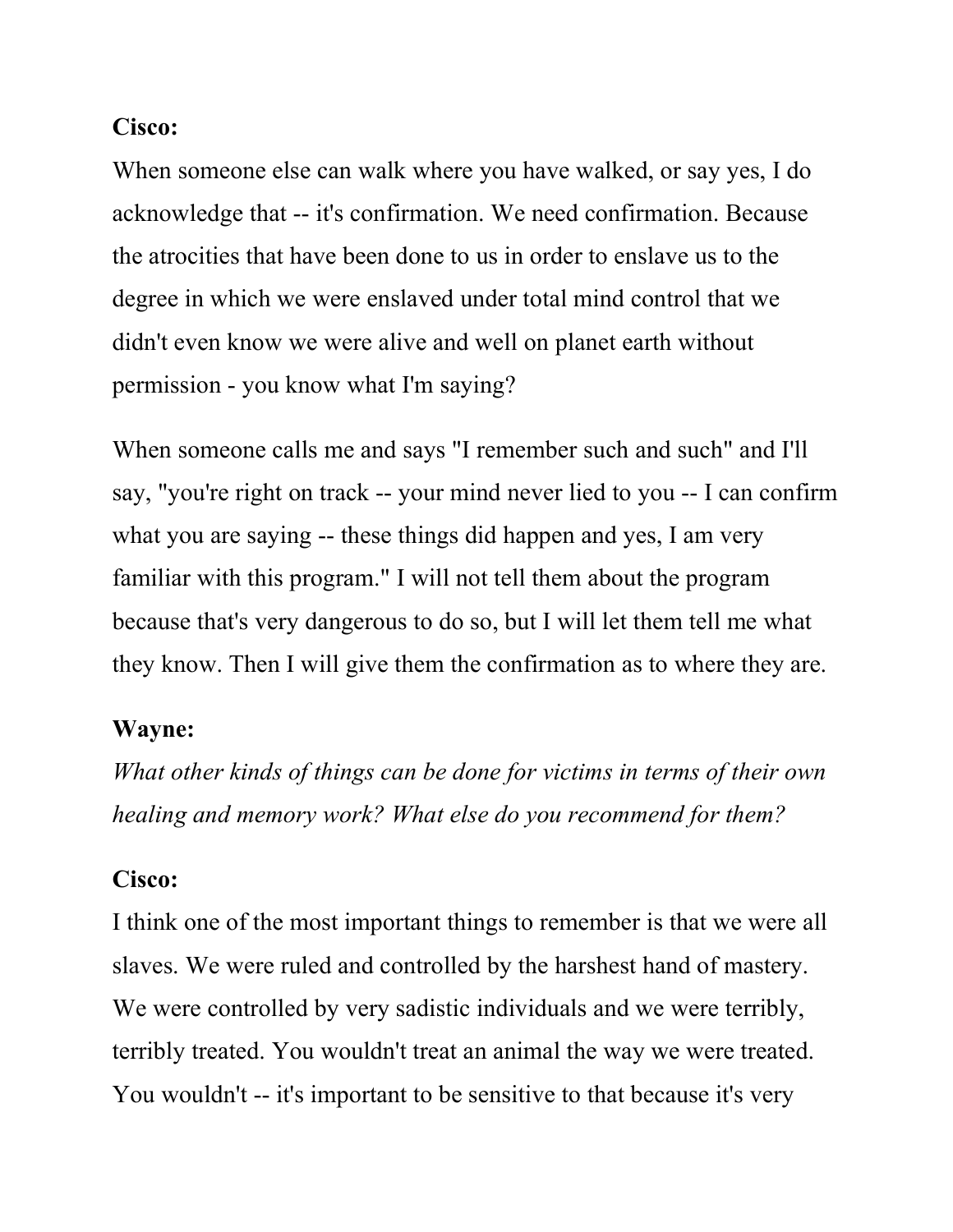#### Cisco:

When someone else can walk where you have walked, or say yes, I do acknowledge that -- it's confirmation. We need confirmation. Because the atrocities that have been done to us in order to enslave us to the degree in which we were enslaved under total mind control that we didn't even know we were alive and well on planet earth without permission - you know what I'm saying?

When someone calls me and says "I remember such and such" and I'll say, "you're right on track -- your mind never lied to you -- I can confirm what you are saying -- these things did happen and yes, I am very familiar with this program." I will not tell them about the program because that's very dangerous to do so, but I will let them tell me what they know. Then I will give them the confirmation as to where they are.

#### Wayne:

What other kinds of things can be done for victims in terms of their own healing and memory work? What else do you recommend for them?

#### Cisco:

I think one of the most important things to remember is that we were all slaves. We were ruled and controlled by the harshest hand of mastery. We were controlled by very sadistic individuals and we were terribly, terribly treated. You wouldn't treat an animal the way we were treated. You wouldn't -- it's important to be sensitive to that because it's very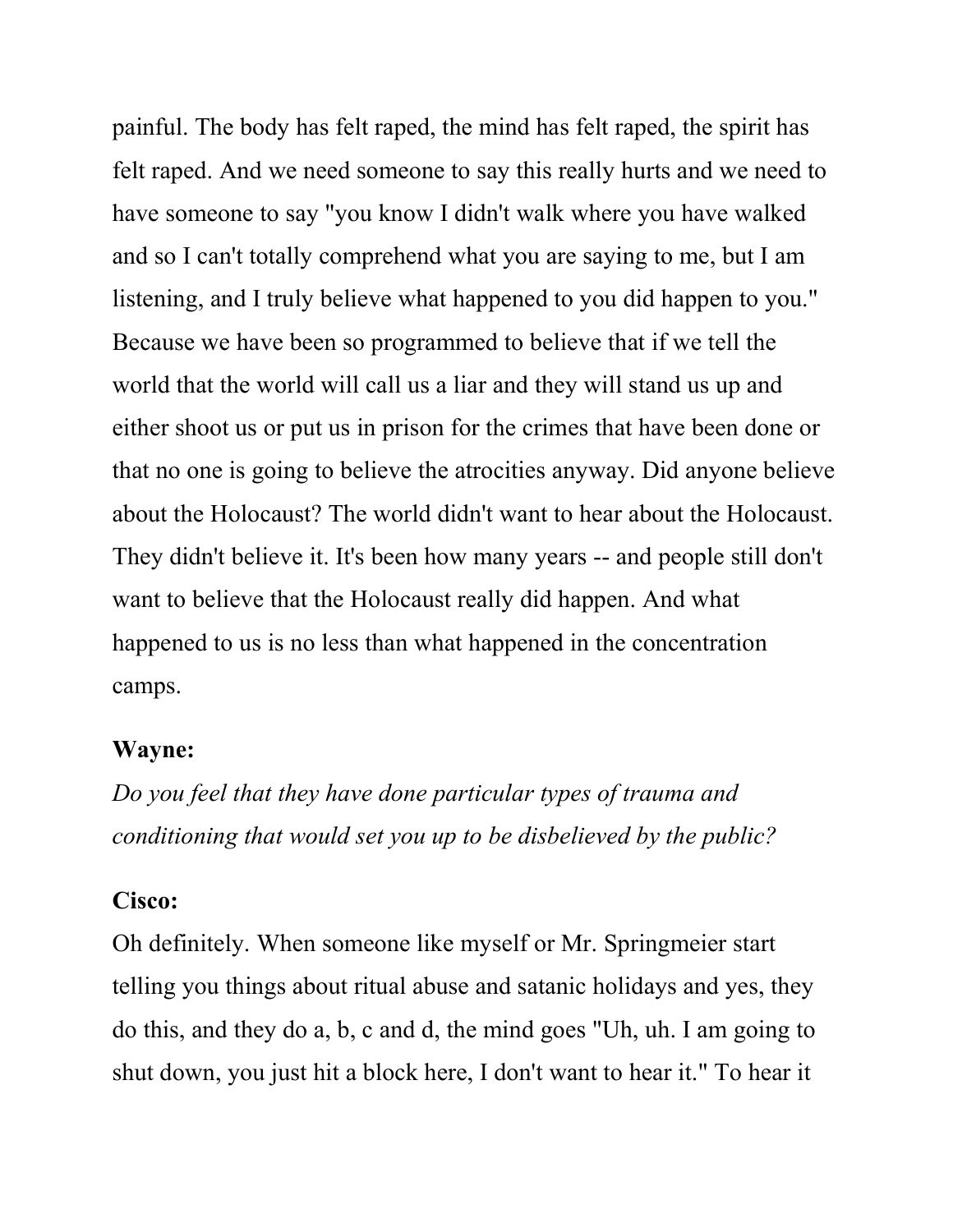painful. The body has felt raped, the mind has felt raped, the spirit has felt raped. And we need someone to say this really hurts and we need to have someone to say "you know I didn't walk where you have walked and so I can't totally comprehend what you are saying to me, but I am listening, and I truly believe what happened to you did happen to you." Because we have been so programmed to believe that if we tell the world that the world will call us a liar and they will stand us up and either shoot us or put us in prison for the crimes that have been done or that no one is going to believe the atrocities anyway. Did anyone believe about the Holocaust? The world didn't want to hear about the Holocaust. They didn't believe it. It's been how many years -- and people still don't want to believe that the Holocaust really did happen. And what happened to us is no less than what happened in the concentration camps.

#### Wayne:

Do you feel that they have done particular types of trauma and conditioning that would set you up to be disbelieved by the public?

#### Cisco:

Oh definitely. When someone like myself or Mr. Springmeier start telling you things about ritual abuse and satanic holidays and yes, they do this, and they do a, b, c and d, the mind goes "Uh, uh. I am going to shut down, you just hit a block here, I don't want to hear it." To hear it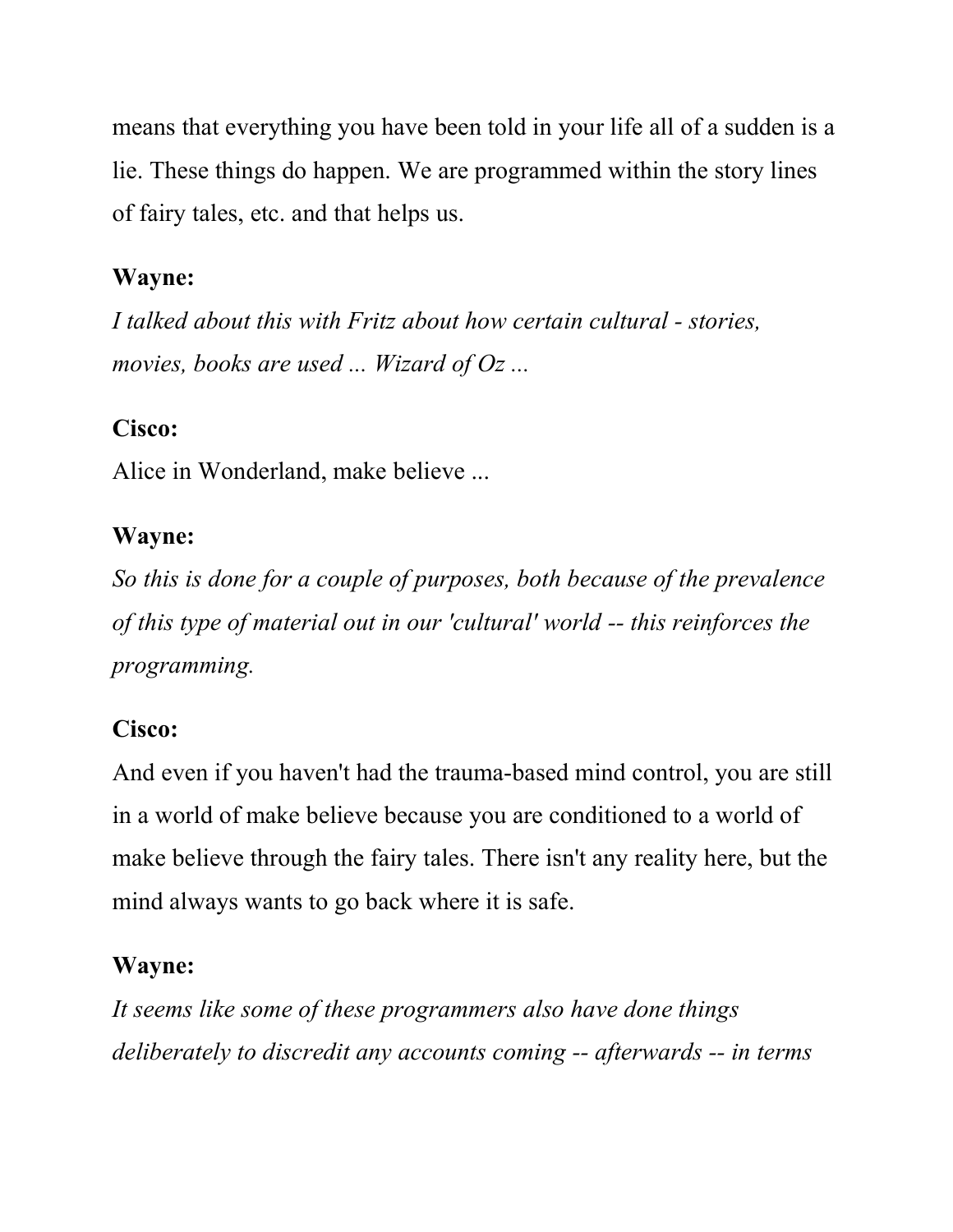means that everything you have been told in your life all of a sudden is a lie. These things do happen. We are programmed within the story lines of fairy tales, etc. and that helps us.

### Wayne:

I talked about this with Fritz about how certain cultural - stories, movies, books are used ... Wizard of Oz ...

### Cisco:

Alice in Wonderland, make believe ...

### Wayne:

So this is done for a couple of purposes, both because of the prevalence of this type of material out in our 'cultural' world -- this reinforces the programming.

### Cisco:

And even if you haven't had the trauma-based mind control, you are still in a world of make believe because you are conditioned to a world of make believe through the fairy tales. There isn't any reality here, but the mind always wants to go back where it is safe.

## Wayne:

It seems like some of these programmers also have done things deliberately to discredit any accounts coming -- afterwards -- in terms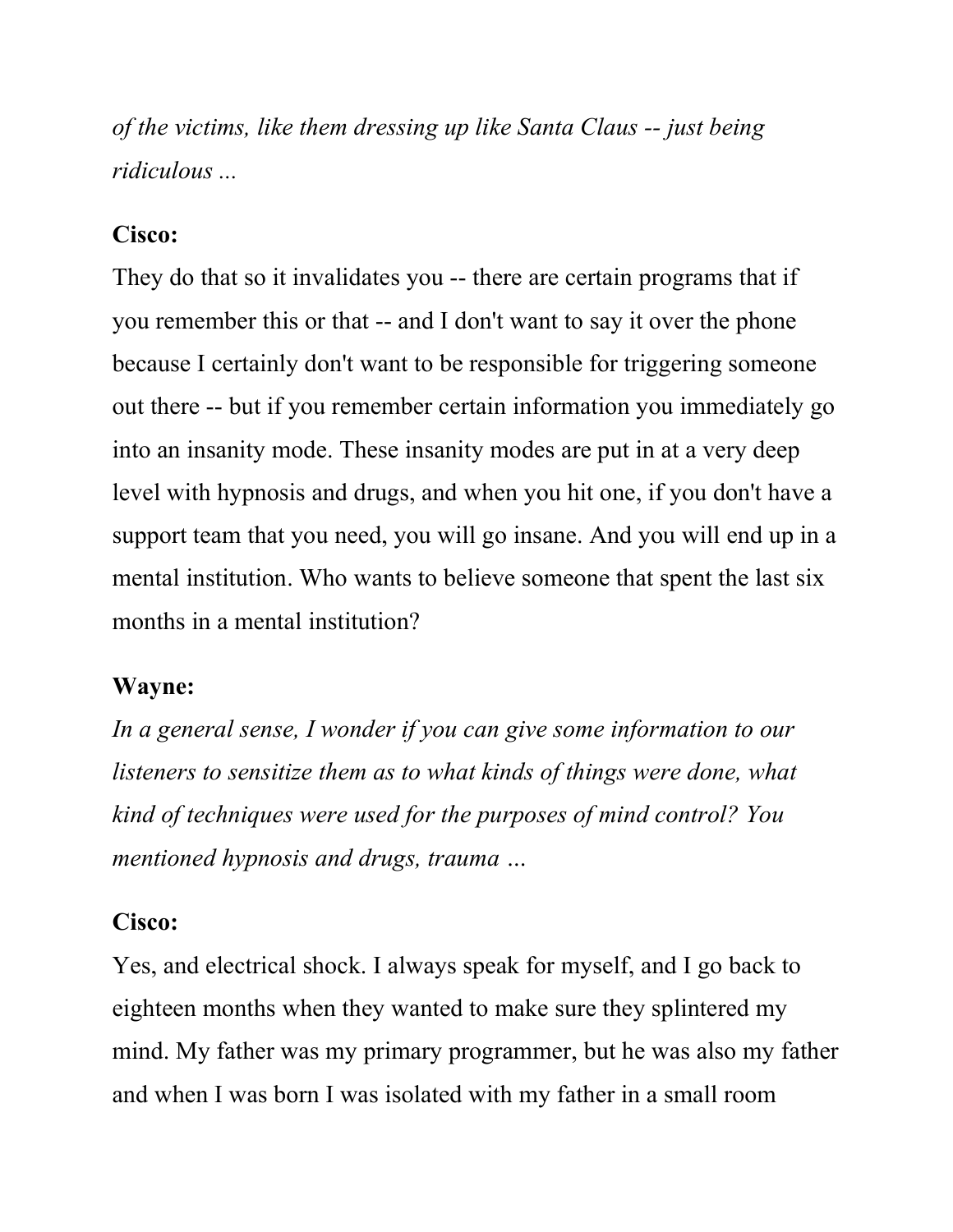of the victims, like them dressing up like Santa Claus -- just being ridiculous ...

#### Cisco:

They do that so it invalidates you -- there are certain programs that if you remember this or that -- and I don't want to say it over the phone because I certainly don't want to be responsible for triggering someone out there -- but if you remember certain information you immediately go into an insanity mode. These insanity modes are put in at a very deep level with hypnosis and drugs, and when you hit one, if you don't have a support team that you need, you will go insane. And you will end up in a mental institution. Who wants to believe someone that spent the last six months in a mental institution?

#### Wayne:

In a general sense, I wonder if you can give some information to our listeners to sensitize them as to what kinds of things were done, what kind of techniques were used for the purposes of mind control? You mentioned hypnosis and drugs, trauma …

#### Cisco:

Yes, and electrical shock. I always speak for myself, and I go back to eighteen months when they wanted to make sure they splintered my mind. My father was my primary programmer, but he was also my father and when I was born I was isolated with my father in a small room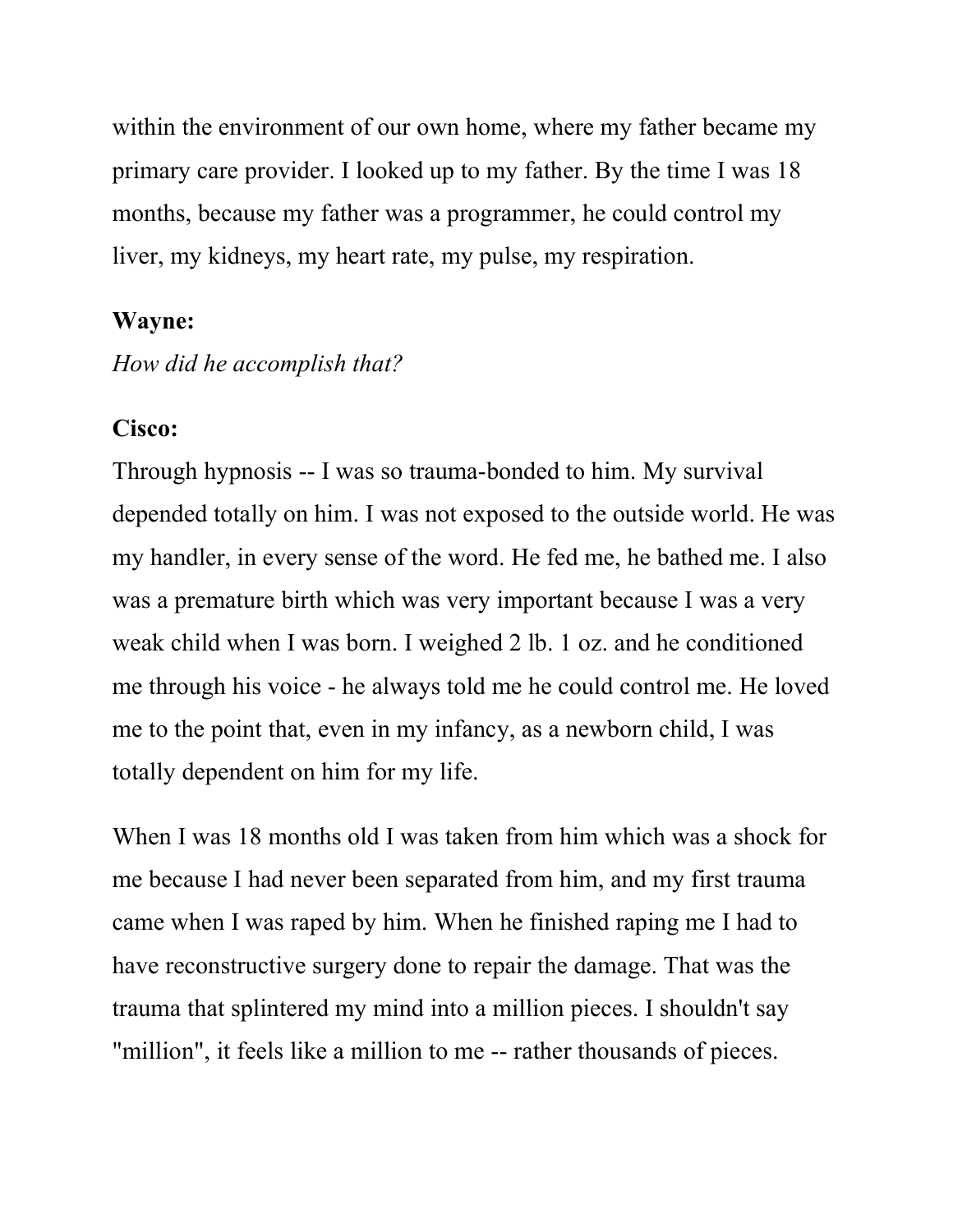within the environment of our own home, where my father became my primary care provider. I looked up to my father. By the time I was 18 months, because my father was a programmer, he could control my liver, my kidneys, my heart rate, my pulse, my respiration.

#### Wayne:

How did he accomplish that?

#### Cisco:

Through hypnosis -- I was so trauma-bonded to him. My survival depended totally on him. I was not exposed to the outside world. He was my handler, in every sense of the word. He fed me, he bathed me. I also was a premature birth which was very important because I was a very weak child when I was born. I weighed 2 lb. 1 oz. and he conditioned me through his voice - he always told me he could control me. He loved me to the point that, even in my infancy, as a newborn child, I was totally dependent on him for my life.

When I was 18 months old I was taken from him which was a shock for me because I had never been separated from him, and my first trauma came when I was raped by him. When he finished raping me I had to have reconstructive surgery done to repair the damage. That was the trauma that splintered my mind into a million pieces. I shouldn't say "million", it feels like a million to me -- rather thousands of pieces.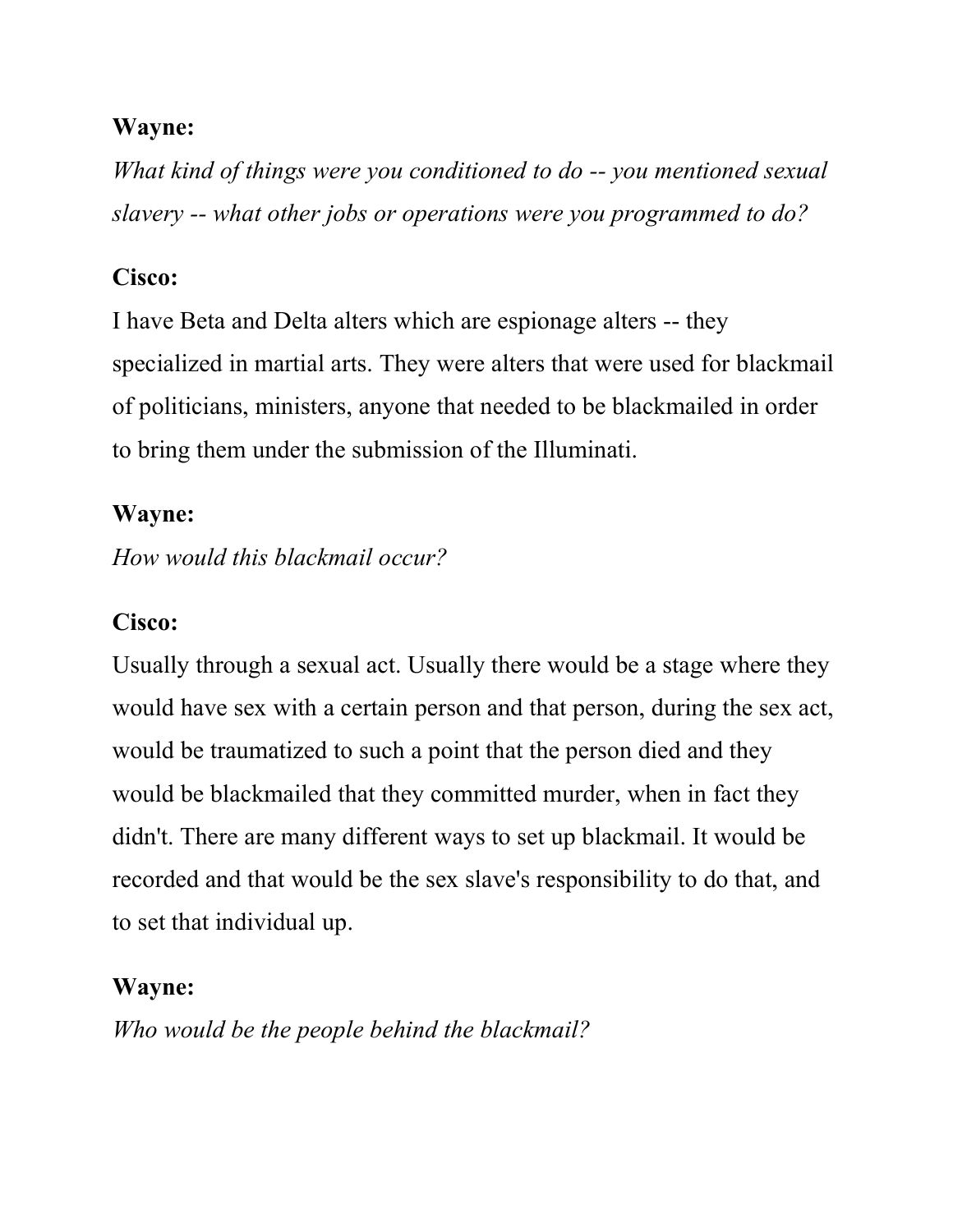What kind of things were you conditioned to do -- you mentioned sexual slavery -- what other jobs or operations were you programmed to do?

### Cisco:

I have Beta and Delta alters which are espionage alters -- they specialized in martial arts. They were alters that were used for blackmail of politicians, ministers, anyone that needed to be blackmailed in order to bring them under the submission of the Illuminati.

### Wayne:

How would this blackmail occur?

### Cisco:

Usually through a sexual act. Usually there would be a stage where they would have sex with a certain person and that person, during the sex act, would be traumatized to such a point that the person died and they would be blackmailed that they committed murder, when in fact they didn't. There are many different ways to set up blackmail. It would be recorded and that would be the sex slave's responsibility to do that, and to set that individual up.

### Wayne:

Who would be the people behind the blackmail?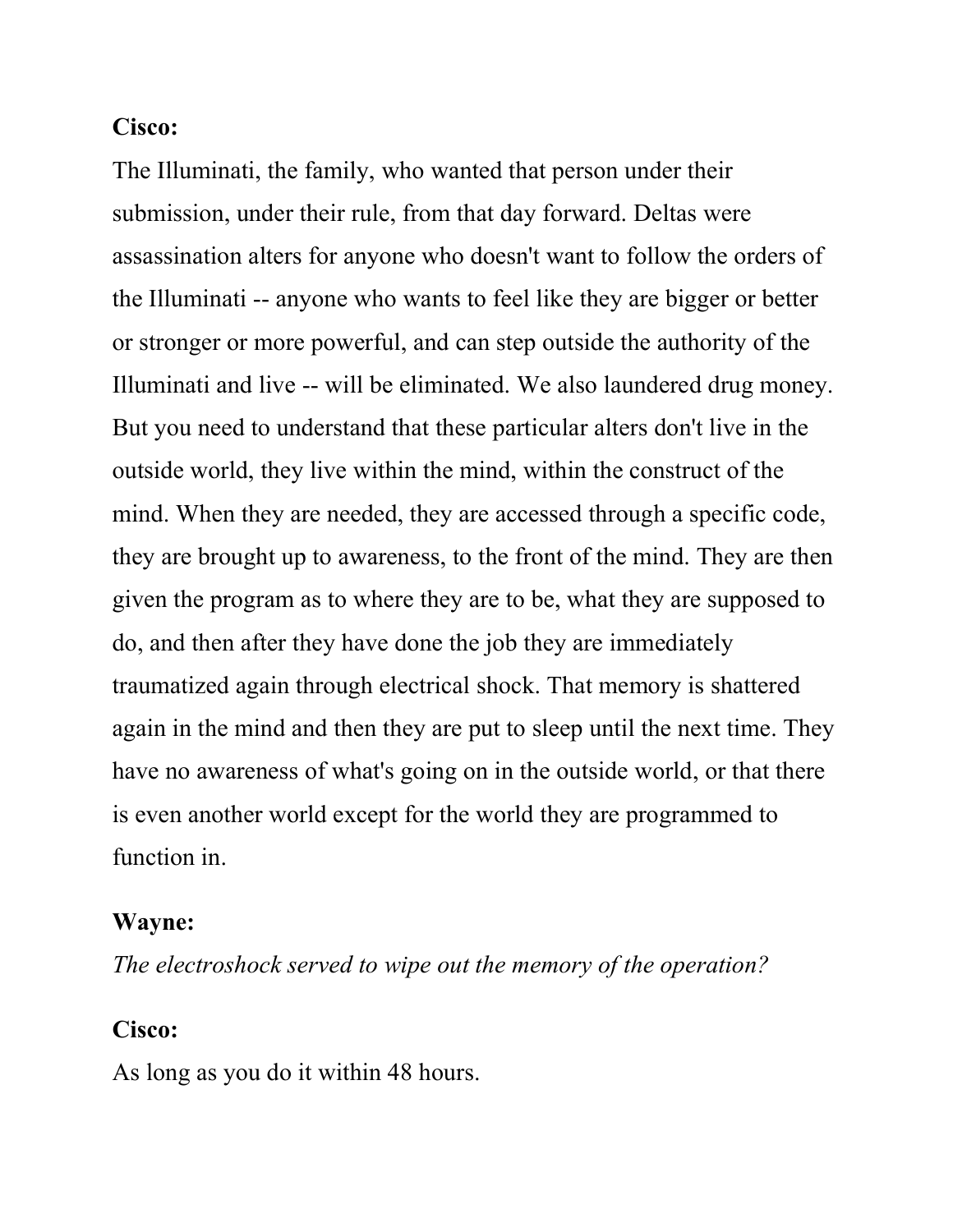#### Cisco:

The Illuminati, the family, who wanted that person under their submission, under their rule, from that day forward. Deltas were assassination alters for anyone who doesn't want to follow the orders of the Illuminati -- anyone who wants to feel like they are bigger or better or stronger or more powerful, and can step outside the authority of the Illuminati and live -- will be eliminated. We also laundered drug money. But you need to understand that these particular alters don't live in the outside world, they live within the mind, within the construct of the mind. When they are needed, they are accessed through a specific code, they are brought up to awareness, to the front of the mind. They are then given the program as to where they are to be, what they are supposed to do, and then after they have done the job they are immediately traumatized again through electrical shock. That memory is shattered again in the mind and then they are put to sleep until the next time. They have no awareness of what's going on in the outside world, or that there is even another world except for the world they are programmed to function in.

#### Wayne:

The electroshock served to wipe out the memory of the operation?

#### Cisco:

As long as you do it within 48 hours.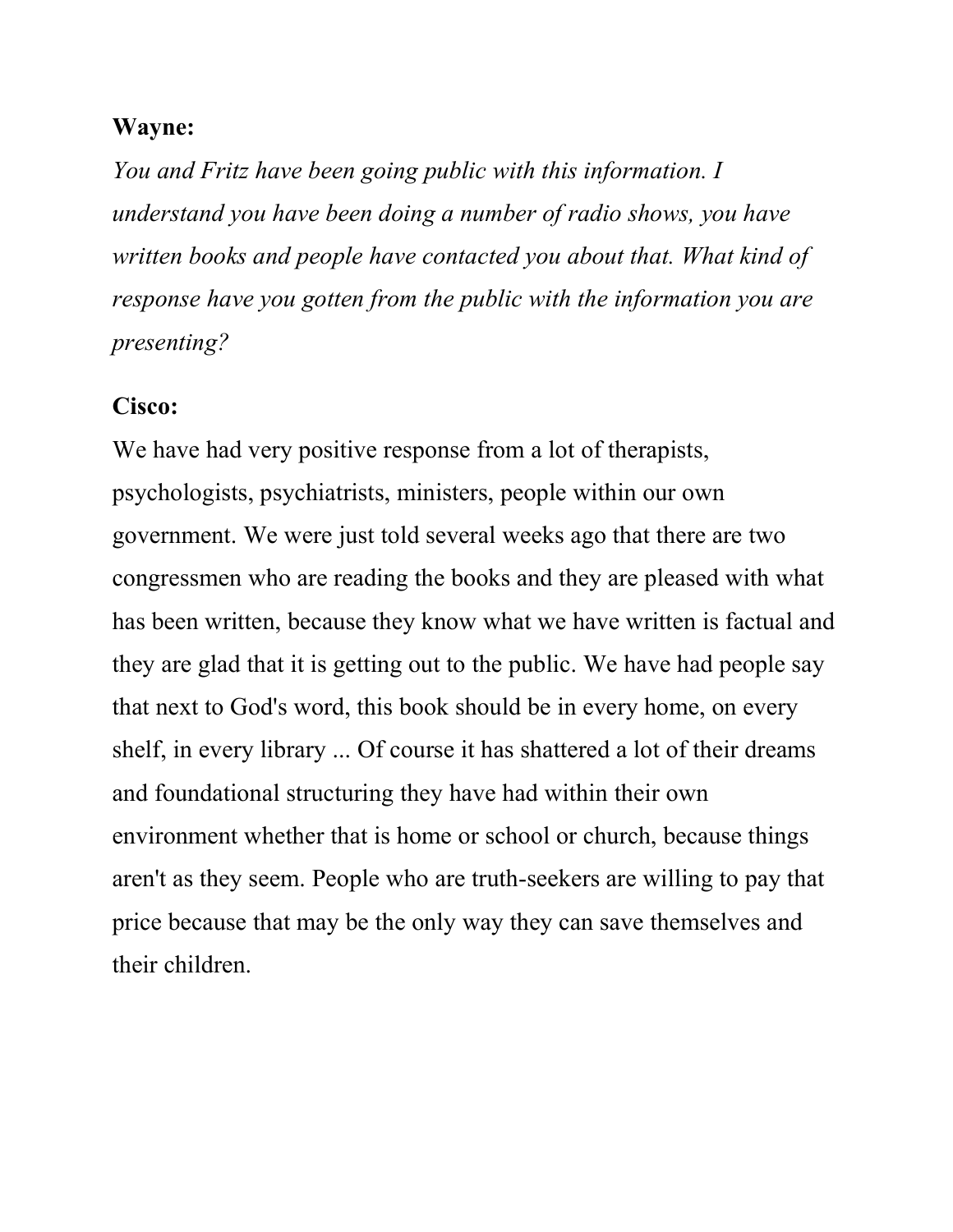You and Fritz have been going public with this information. I understand you have been doing a number of radio shows, you have written books and people have contacted you about that. What kind of response have you gotten from the public with the information you are presenting?

### Cisco:

We have had very positive response from a lot of therapists, psychologists, psychiatrists, ministers, people within our own government. We were just told several weeks ago that there are two congressmen who are reading the books and they are pleased with what has been written, because they know what we have written is factual and they are glad that it is getting out to the public. We have had people say that next to God's word, this book should be in every home, on every shelf, in every library ... Of course it has shattered a lot of their dreams and foundational structuring they have had within their own environment whether that is home or school or church, because things aren't as they seem. People who are truth-seekers are willing to pay that price because that may be the only way they can save themselves and their children.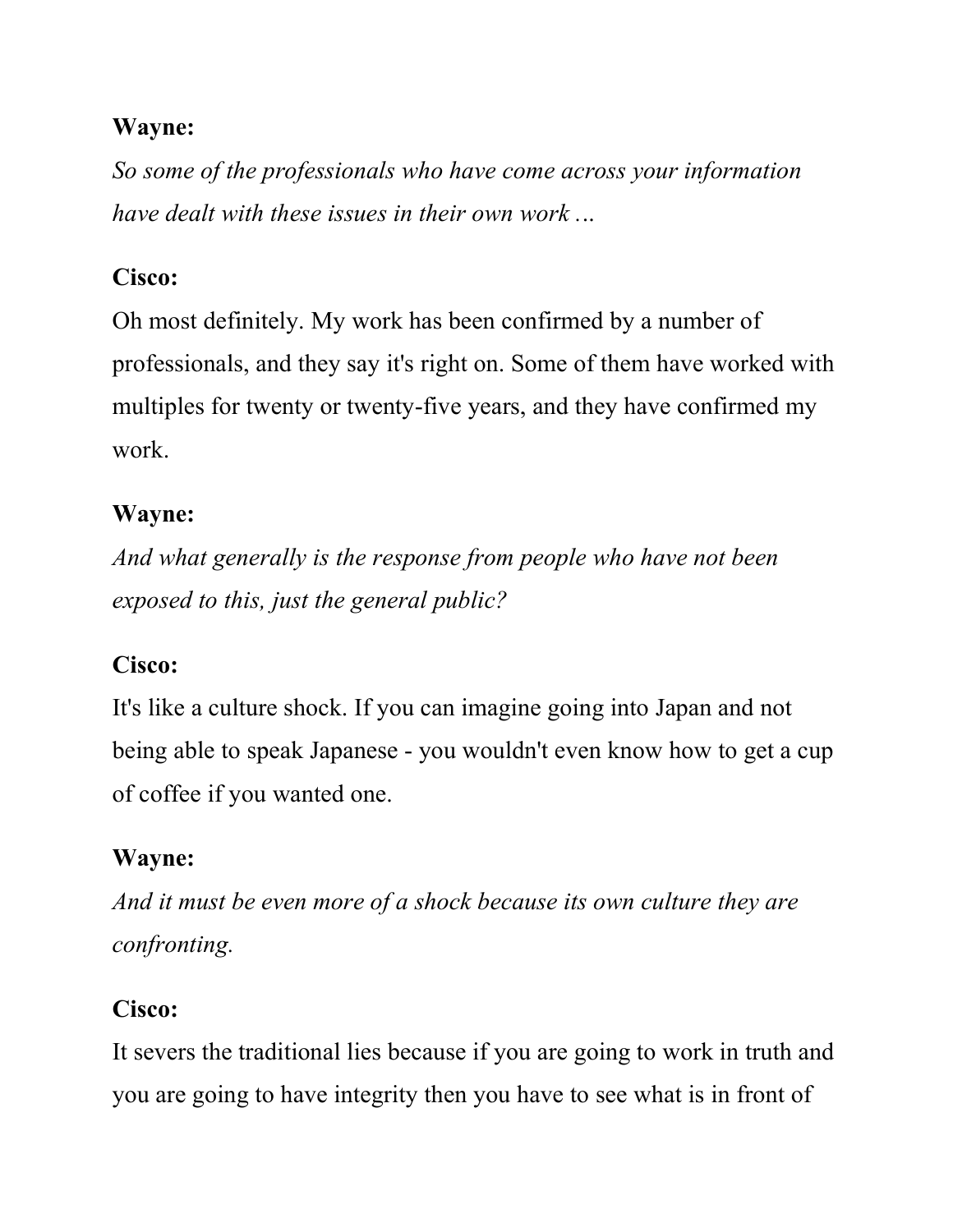So some of the professionals who have come across your information have dealt with these issues in their own work ...

## Cisco:

Oh most definitely. My work has been confirmed by a number of professionals, and they say it's right on. Some of them have worked with multiples for twenty or twenty-five years, and they have confirmed my work.

## Wayne:

And what generally is the response from people who have not been exposed to this, just the general public?

## Cisco:

It's like a culture shock. If you can imagine going into Japan and not being able to speak Japanese - you wouldn't even know how to get a cup of coffee if you wanted one.

## Wayne:

And it must be even more of a shock because its own culture they are confronting.

## Cisco:

It severs the traditional lies because if you are going to work in truth and you are going to have integrity then you have to see what is in front of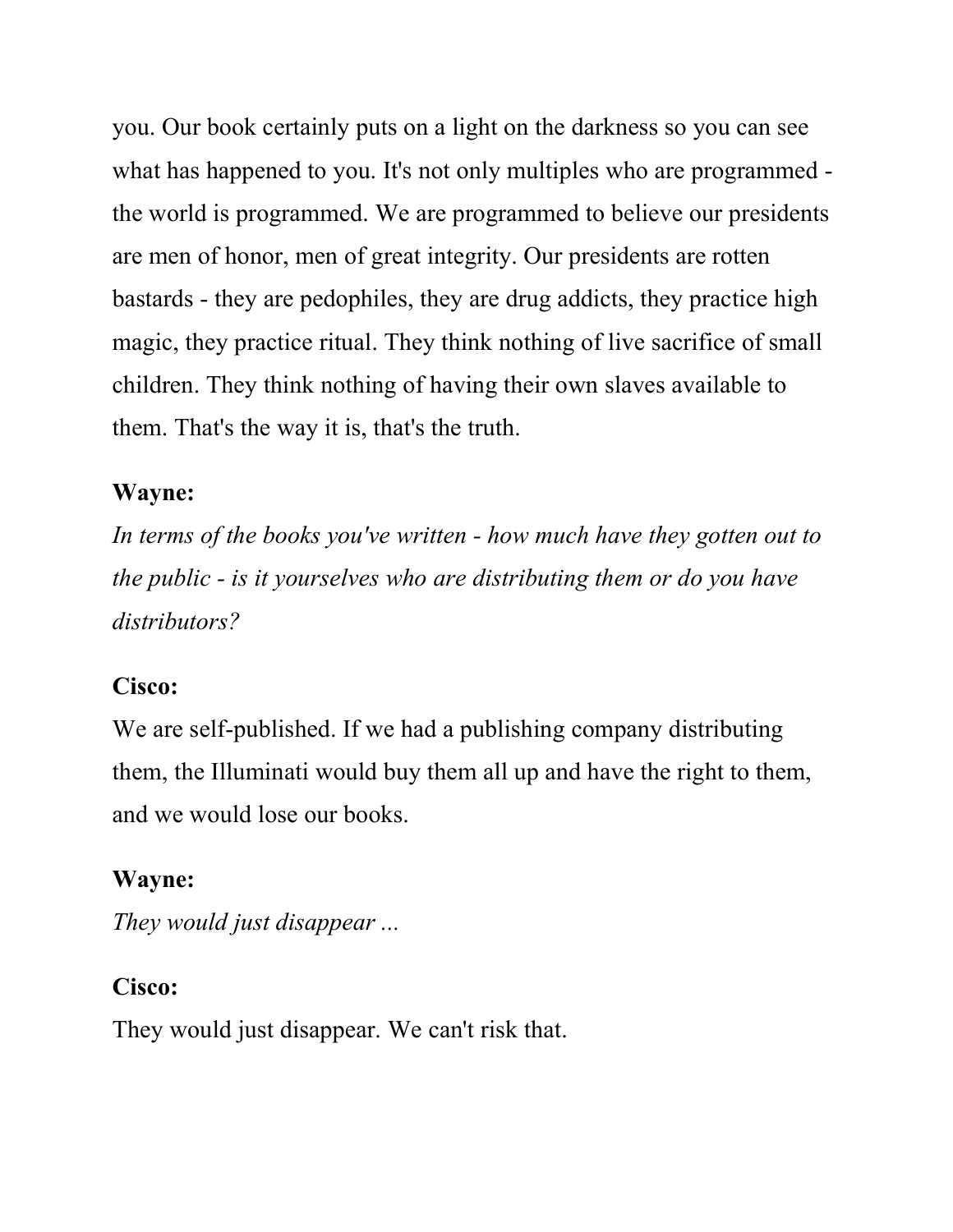you. Our book certainly puts on a light on the darkness so you can see what has happened to you. It's not only multiples who are programmed the world is programmed. We are programmed to believe our presidents are men of honor, men of great integrity. Our presidents are rotten bastards - they are pedophiles, they are drug addicts, they practice high magic, they practice ritual. They think nothing of live sacrifice of small children. They think nothing of having their own slaves available to them. That's the way it is, that's the truth.

#### Wayne:

In terms of the books you've written - how much have they gotten out to the public - is it yourselves who are distributing them or do you have distributors?

### Cisco:

We are self-published. If we had a publishing company distributing them, the Illuminati would buy them all up and have the right to them, and we would lose our books.

### Wayne:

They would just disappear ...

### Cisco:

They would just disappear. We can't risk that.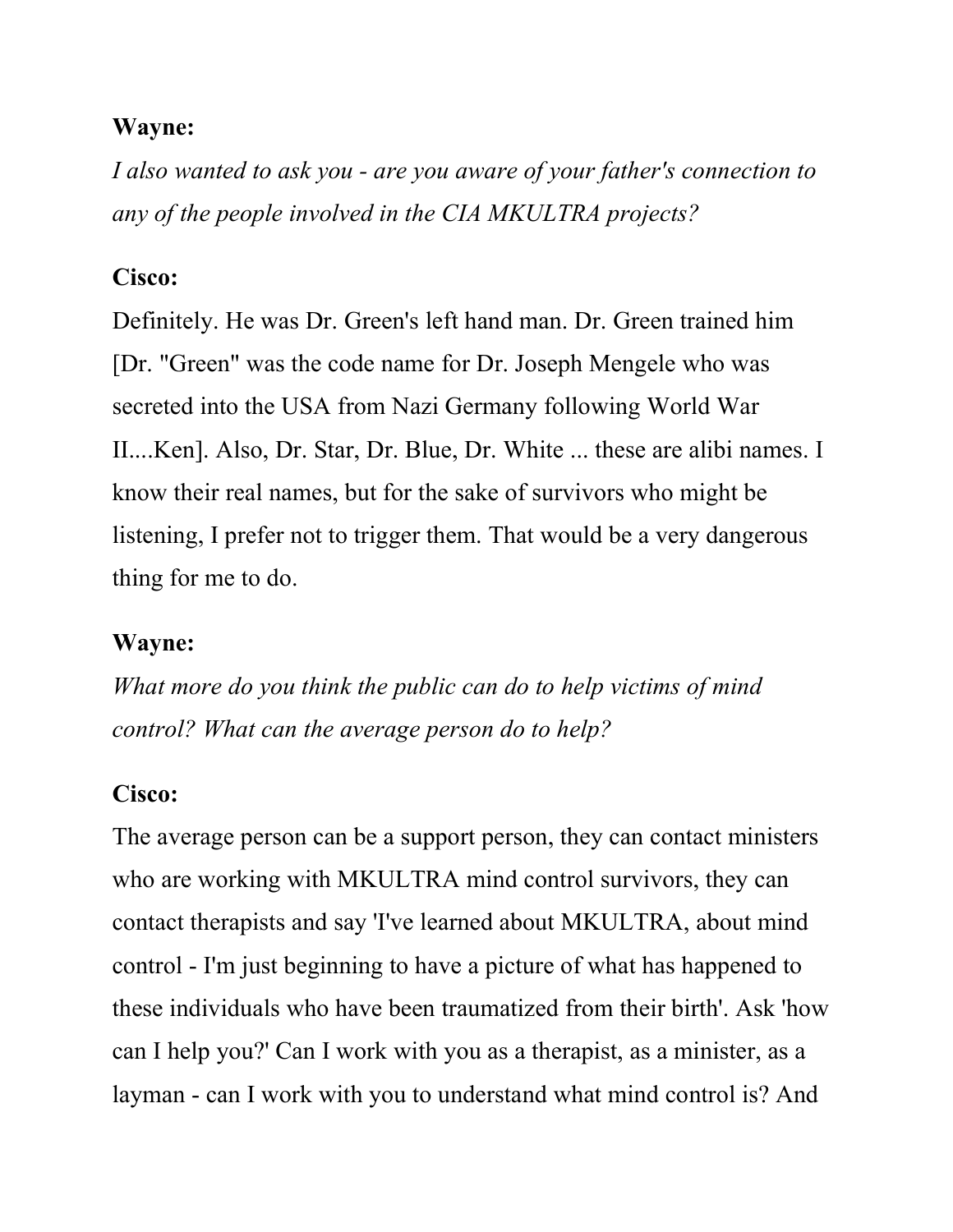I also wanted to ask you - are you aware of your father's connection to any of the people involved in the CIA MKULTRA projects?

### Cisco:

Definitely. He was Dr. Green's left hand man. Dr. Green trained him [Dr. "Green" was the code name for Dr. Joseph Mengele who was secreted into the USA from Nazi Germany following World War II....Ken]. Also, Dr. Star, Dr. Blue, Dr. White ... these are alibi names. I know their real names, but for the sake of survivors who might be listening, I prefer not to trigger them. That would be a very dangerous thing for me to do.

#### Wayne:

What more do you think the public can do to help victims of mind control? What can the average person do to help?

### Cisco:

The average person can be a support person, they can contact ministers who are working with MKULTRA mind control survivors, they can contact therapists and say 'I've learned about MKULTRA, about mind control - I'm just beginning to have a picture of what has happened to these individuals who have been traumatized from their birth'. Ask 'how can I help you?' Can I work with you as a therapist, as a minister, as a layman - can I work with you to understand what mind control is? And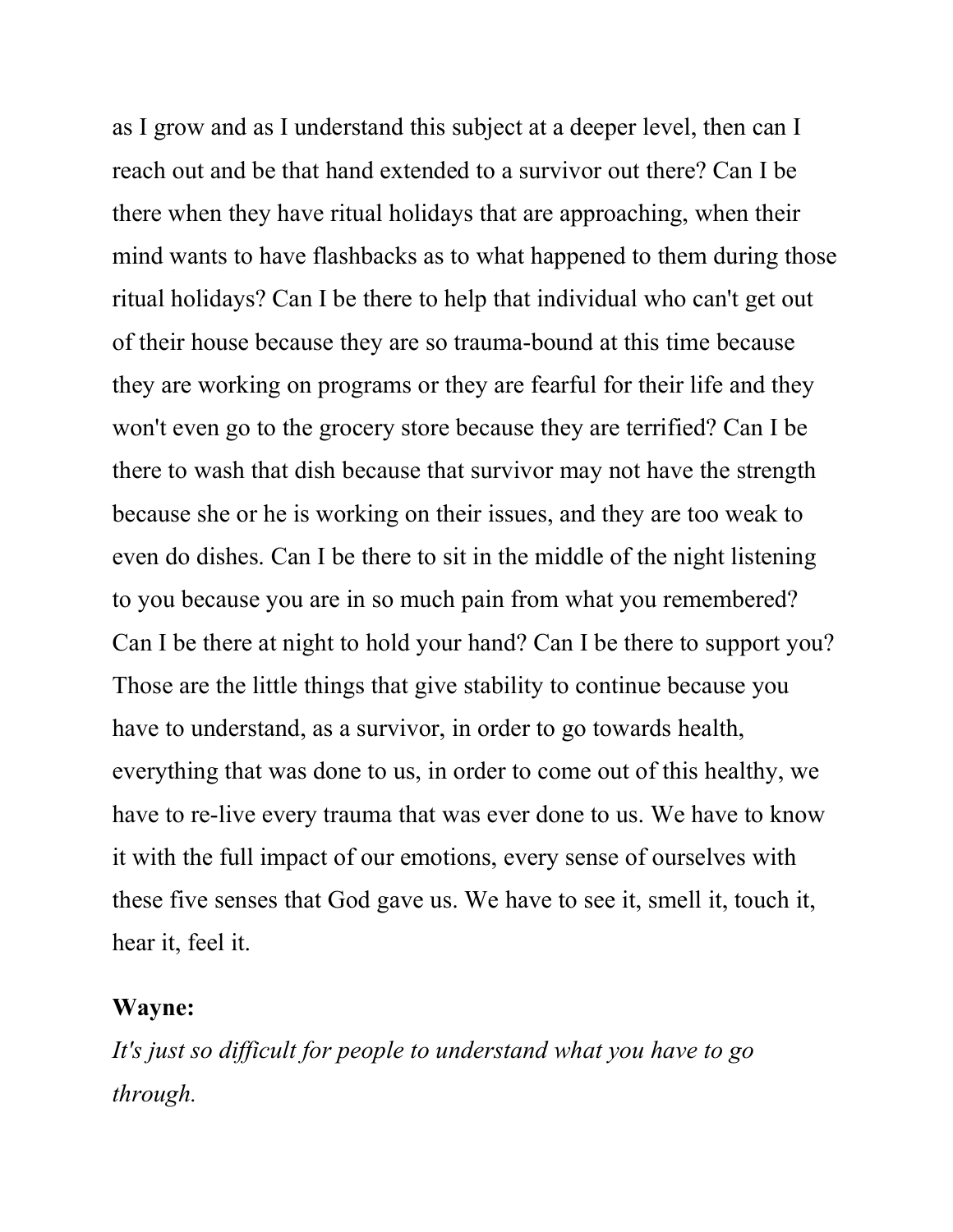as I grow and as I understand this subject at a deeper level, then can I reach out and be that hand extended to a survivor out there? Can I be there when they have ritual holidays that are approaching, when their mind wants to have flashbacks as to what happened to them during those ritual holidays? Can I be there to help that individual who can't get out of their house because they are so trauma-bound at this time because they are working on programs or they are fearful for their life and they won't even go to the grocery store because they are terrified? Can I be there to wash that dish because that survivor may not have the strength because she or he is working on their issues, and they are too weak to even do dishes. Can I be there to sit in the middle of the night listening to you because you are in so much pain from what you remembered? Can I be there at night to hold your hand? Can I be there to support you? Those are the little things that give stability to continue because you have to understand, as a survivor, in order to go towards health, everything that was done to us, in order to come out of this healthy, we have to re-live every trauma that was ever done to us. We have to know it with the full impact of our emotions, every sense of ourselves with these five senses that God gave us. We have to see it, smell it, touch it, hear it, feel it.

#### Wayne:

It's just so difficult for people to understand what you have to go through.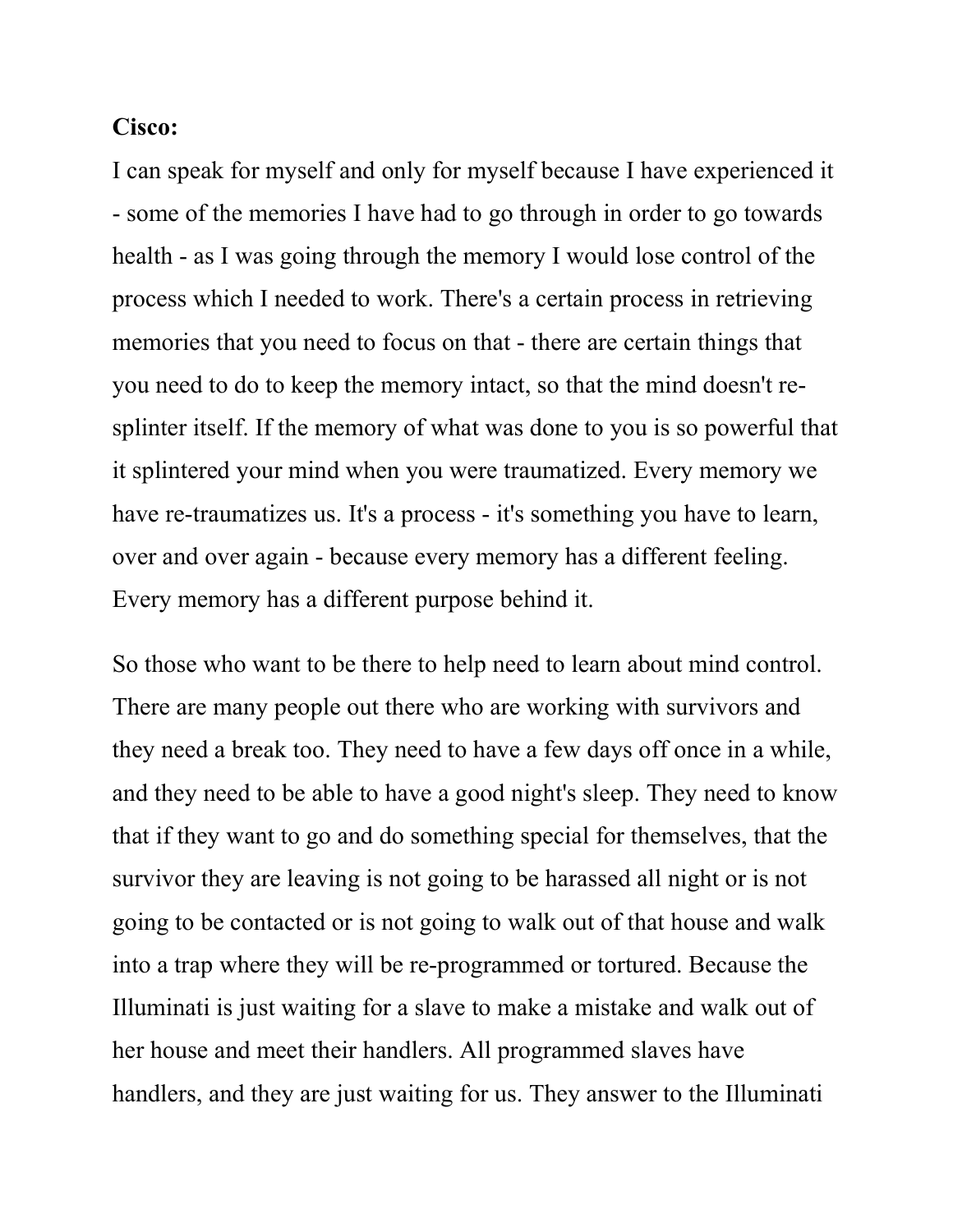#### Cisco:

I can speak for myself and only for myself because I have experienced it - some of the memories I have had to go through in order to go towards health - as I was going through the memory I would lose control of the process which I needed to work. There's a certain process in retrieving memories that you need to focus on that - there are certain things that you need to do to keep the memory intact, so that the mind doesn't resplinter itself. If the memory of what was done to you is so powerful that it splintered your mind when you were traumatized. Every memory we have re-traumatizes us. It's a process - it's something you have to learn, over and over again - because every memory has a different feeling. Every memory has a different purpose behind it.

So those who want to be there to help need to learn about mind control. There are many people out there who are working with survivors and they need a break too. They need to have a few days off once in a while, and they need to be able to have a good night's sleep. They need to know that if they want to go and do something special for themselves, that the survivor they are leaving is not going to be harassed all night or is not going to be contacted or is not going to walk out of that house and walk into a trap where they will be re-programmed or tortured. Because the Illuminati is just waiting for a slave to make a mistake and walk out of her house and meet their handlers. All programmed slaves have handlers, and they are just waiting for us. They answer to the Illuminati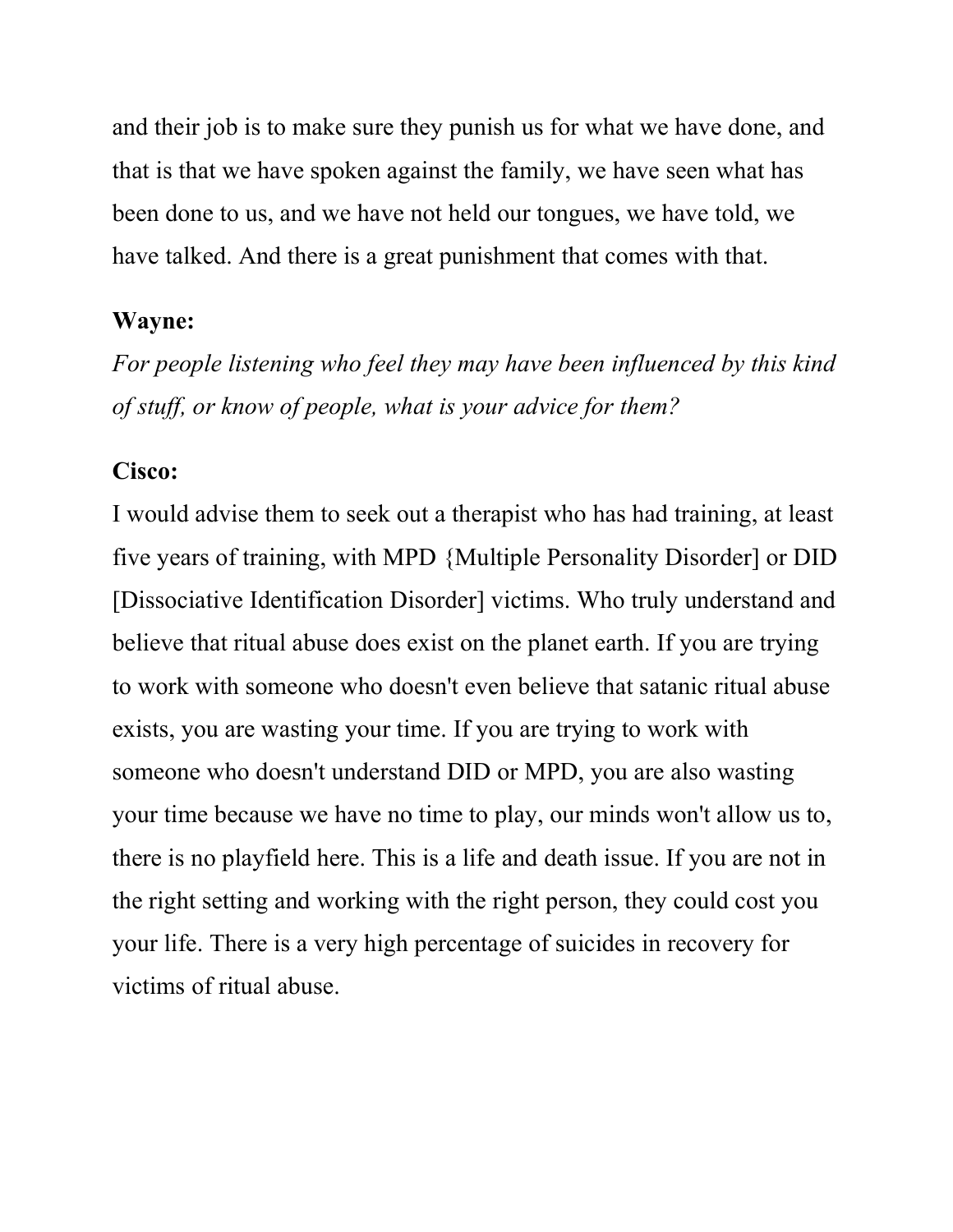and their job is to make sure they punish us for what we have done, and that is that we have spoken against the family, we have seen what has been done to us, and we have not held our tongues, we have told, we have talked. And there is a great punishment that comes with that.

#### Wayne:

For people listening who feel they may have been influenced by this kind of stuff, or know of people, what is your advice for them?

#### Cisco:

I would advise them to seek out a therapist who has had training, at least five years of training, with MPD {Multiple Personality Disorder] or DID [Dissociative Identification Disorder] victims. Who truly understand and believe that ritual abuse does exist on the planet earth. If you are trying to work with someone who doesn't even believe that satanic ritual abuse exists, you are wasting your time. If you are trying to work with someone who doesn't understand DID or MPD, you are also wasting your time because we have no time to play, our minds won't allow us to, there is no playfield here. This is a life and death issue. If you are not in the right setting and working with the right person, they could cost you your life. There is a very high percentage of suicides in recovery for victims of ritual abuse.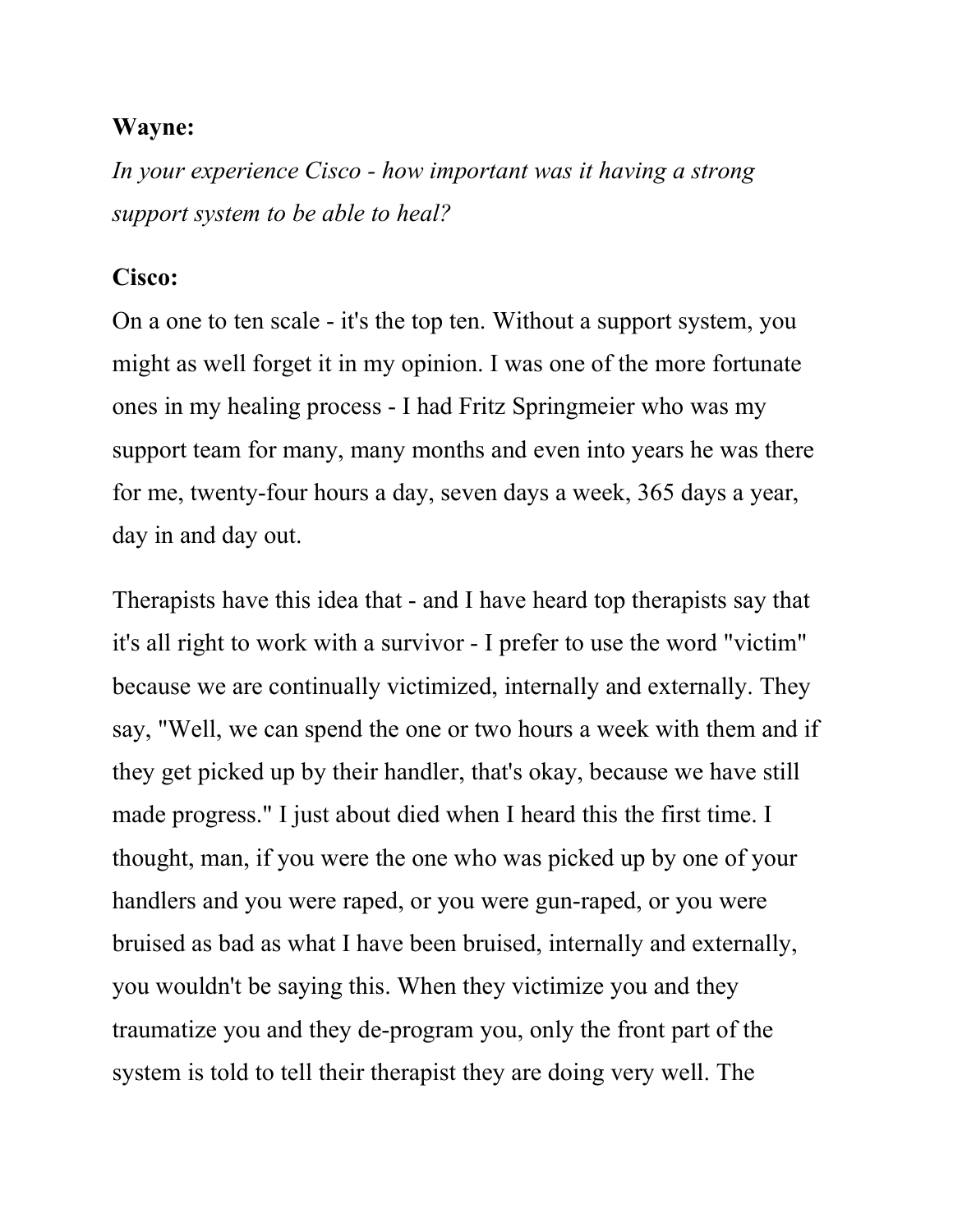In your experience Cisco - how important was it having a strong support system to be able to heal?

#### Cisco:

On a one to ten scale - it's the top ten. Without a support system, you might as well forget it in my opinion. I was one of the more fortunate ones in my healing process - I had Fritz Springmeier who was my support team for many, many months and even into years he was there for me, twenty-four hours a day, seven days a week, 365 days a year, day in and day out.

Therapists have this idea that - and I have heard top therapists say that it's all right to work with a survivor - I prefer to use the word "victim" because we are continually victimized, internally and externally. They say, "Well, we can spend the one or two hours a week with them and if they get picked up by their handler, that's okay, because we have still made progress." I just about died when I heard this the first time. I thought, man, if you were the one who was picked up by one of your handlers and you were raped, or you were gun-raped, or you were bruised as bad as what I have been bruised, internally and externally, you wouldn't be saying this. When they victimize you and they traumatize you and they de-program you, only the front part of the system is told to tell their therapist they are doing very well. The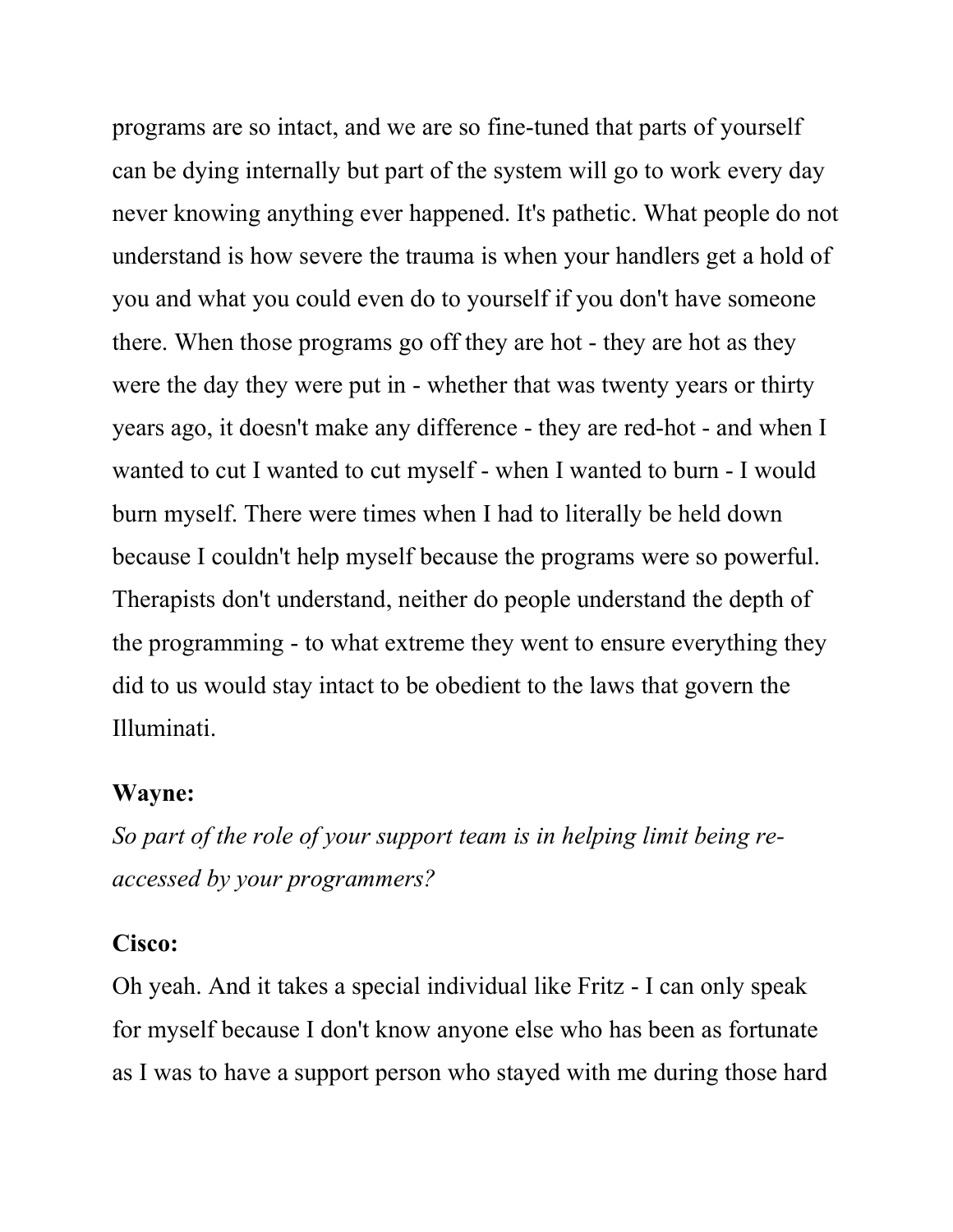programs are so intact, and we are so fine-tuned that parts of yourself can be dying internally but part of the system will go to work every day never knowing anything ever happened. It's pathetic. What people do not understand is how severe the trauma is when your handlers get a hold of you and what you could even do to yourself if you don't have someone there. When those programs go off they are hot - they are hot as they were the day they were put in - whether that was twenty years or thirty years ago, it doesn't make any difference - they are red-hot - and when I wanted to cut I wanted to cut myself - when I wanted to burn - I would burn myself. There were times when I had to literally be held down because I couldn't help myself because the programs were so powerful. Therapists don't understand, neither do people understand the depth of the programming - to what extreme they went to ensure everything they did to us would stay intact to be obedient to the laws that govern the Illuminati.

### Wayne:

So part of the role of your support team is in helping limit being reaccessed by your programmers?

#### Cisco:

Oh yeah. And it takes a special individual like Fritz - I can only speak for myself because I don't know anyone else who has been as fortunate as I was to have a support person who stayed with me during those hard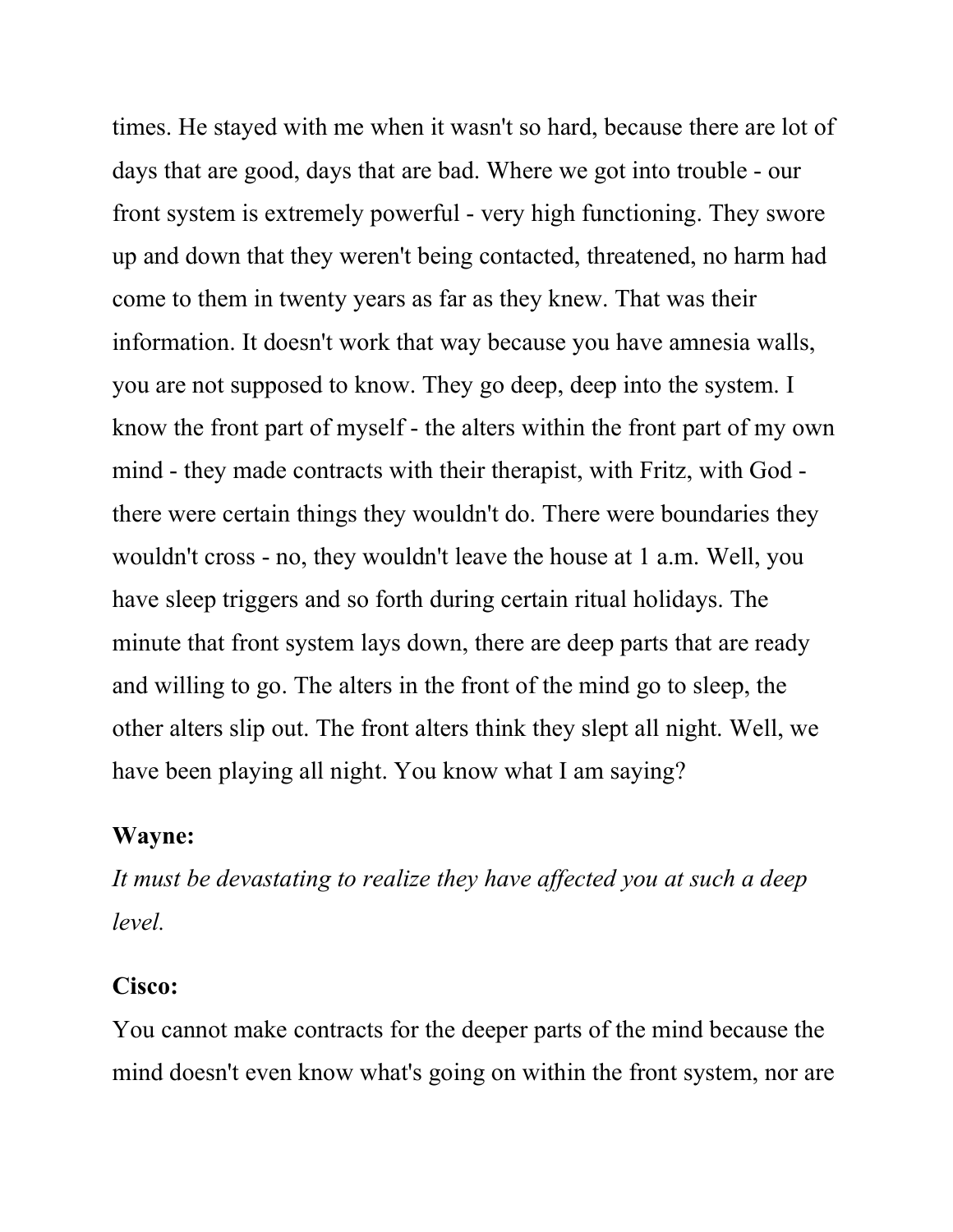times. He stayed with me when it wasn't so hard, because there are lot of days that are good, days that are bad. Where we got into trouble - our front system is extremely powerful - very high functioning. They swore up and down that they weren't being contacted, threatened, no harm had come to them in twenty years as far as they knew. That was their information. It doesn't work that way because you have amnesia walls, you are not supposed to know. They go deep, deep into the system. I know the front part of myself - the alters within the front part of my own mind - they made contracts with their therapist, with Fritz, with God there were certain things they wouldn't do. There were boundaries they wouldn't cross - no, they wouldn't leave the house at 1 a.m. Well, you have sleep triggers and so forth during certain ritual holidays. The minute that front system lays down, there are deep parts that are ready and willing to go. The alters in the front of the mind go to sleep, the other alters slip out. The front alters think they slept all night. Well, we have been playing all night. You know what I am saying?

#### Wayne:

It must be devastating to realize they have affected you at such a deep level.

#### Cisco:

You cannot make contracts for the deeper parts of the mind because the mind doesn't even know what's going on within the front system, nor are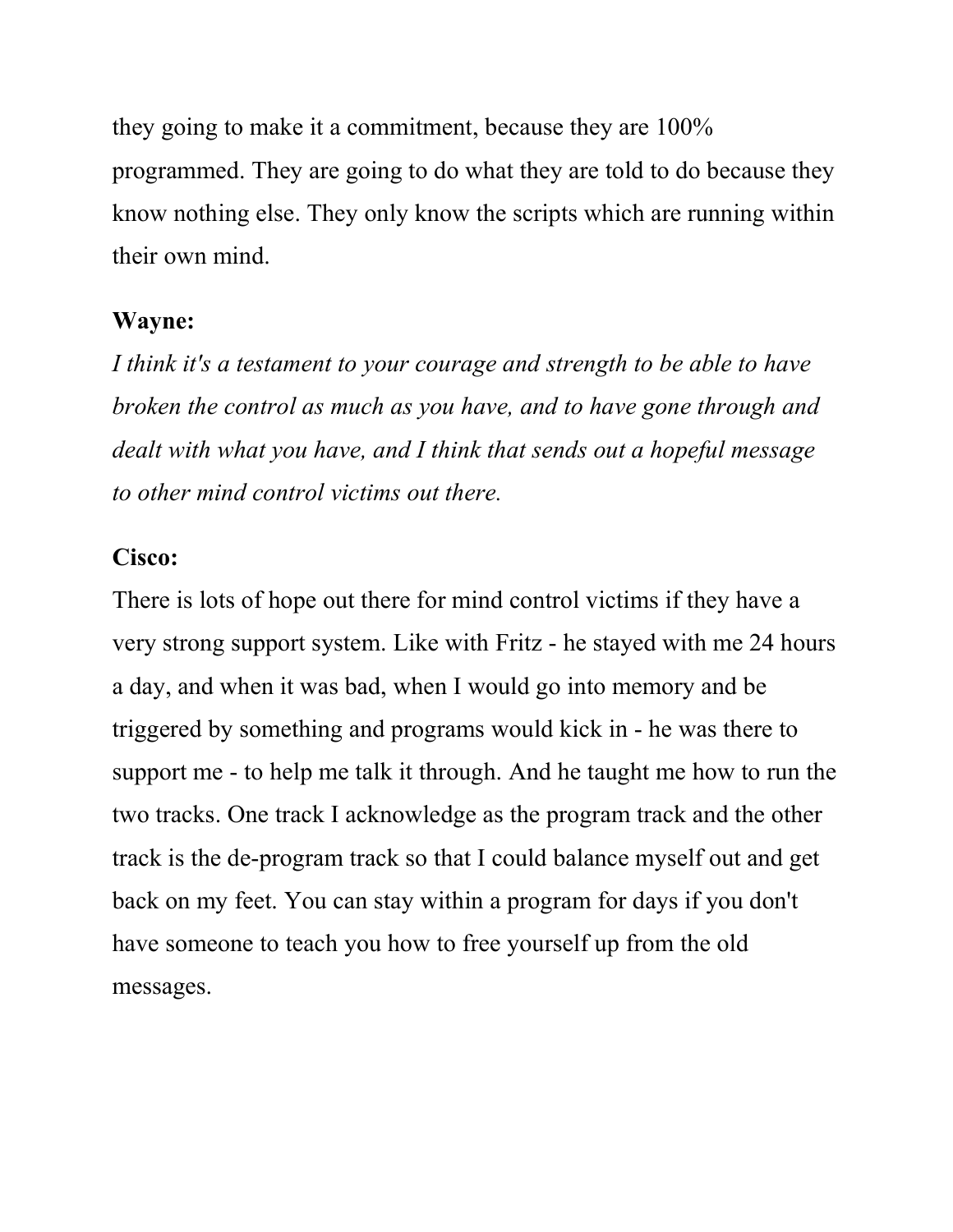they going to make it a commitment, because they are 100% programmed. They are going to do what they are told to do because they know nothing else. They only know the scripts which are running within their own mind.

#### Wayne:

I think it's a testament to your courage and strength to be able to have broken the control as much as you have, and to have gone through and dealt with what you have, and I think that sends out a hopeful message to other mind control victims out there.

#### Cisco:

There is lots of hope out there for mind control victims if they have a very strong support system. Like with Fritz - he stayed with me 24 hours a day, and when it was bad, when I would go into memory and be triggered by something and programs would kick in - he was there to support me - to help me talk it through. And he taught me how to run the two tracks. One track I acknowledge as the program track and the other track is the de-program track so that I could balance myself out and get back on my feet. You can stay within a program for days if you don't have someone to teach you how to free yourself up from the old messages.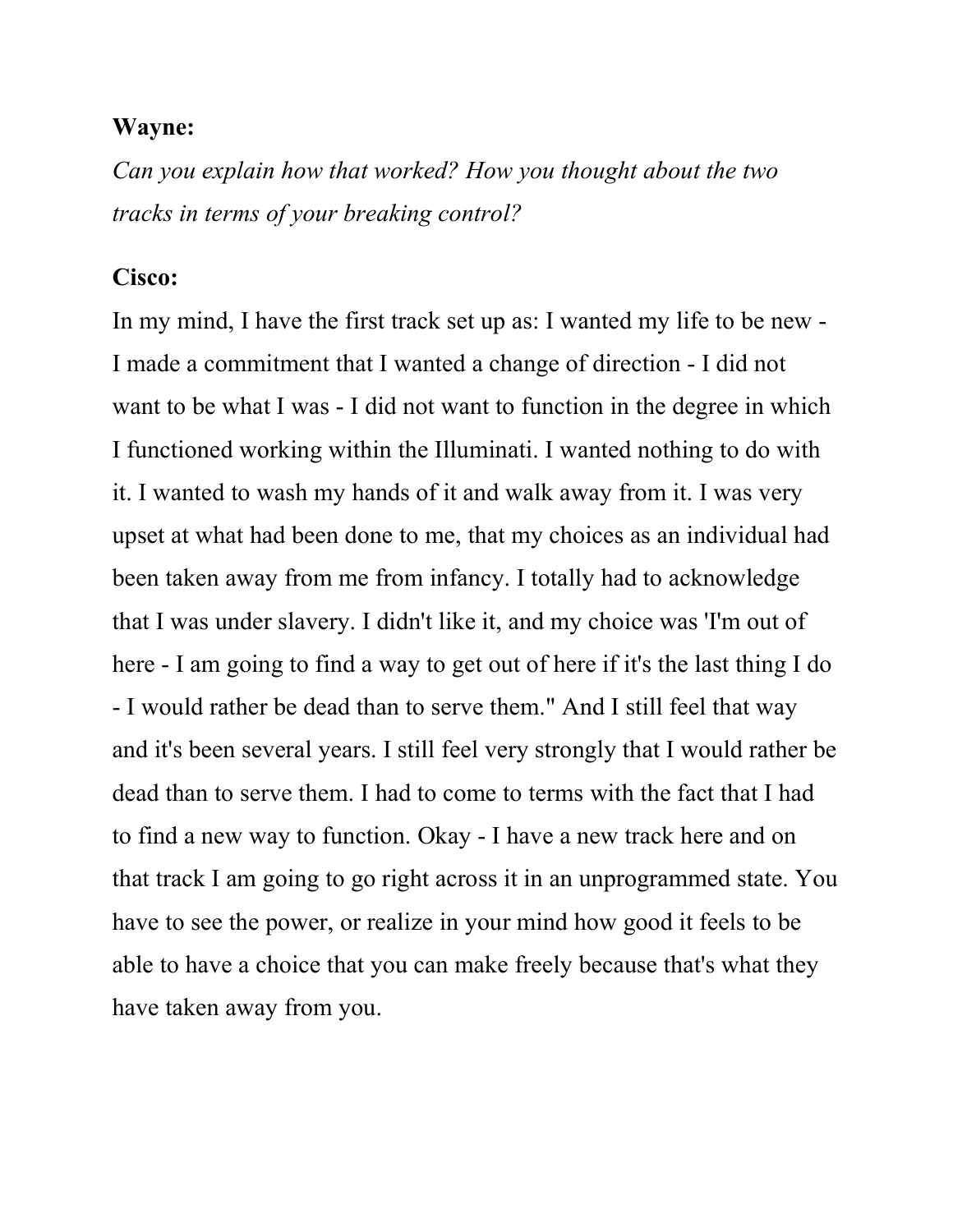Can you explain how that worked? How you thought about the two tracks in terms of your breaking control?

#### Cisco:

In my mind, I have the first track set up as: I wanted my life to be new - I made a commitment that I wanted a change of direction - I did not want to be what I was - I did not want to function in the degree in which I functioned working within the Illuminati. I wanted nothing to do with it. I wanted to wash my hands of it and walk away from it. I was very upset at what had been done to me, that my choices as an individual had been taken away from me from infancy. I totally had to acknowledge that I was under slavery. I didn't like it, and my choice was 'I'm out of here - I am going to find a way to get out of here if it's the last thing I do - I would rather be dead than to serve them." And I still feel that way and it's been several years. I still feel very strongly that I would rather be dead than to serve them. I had to come to terms with the fact that I had to find a new way to function. Okay - I have a new track here and on that track I am going to go right across it in an unprogrammed state. You have to see the power, or realize in your mind how good it feels to be able to have a choice that you can make freely because that's what they have taken away from you.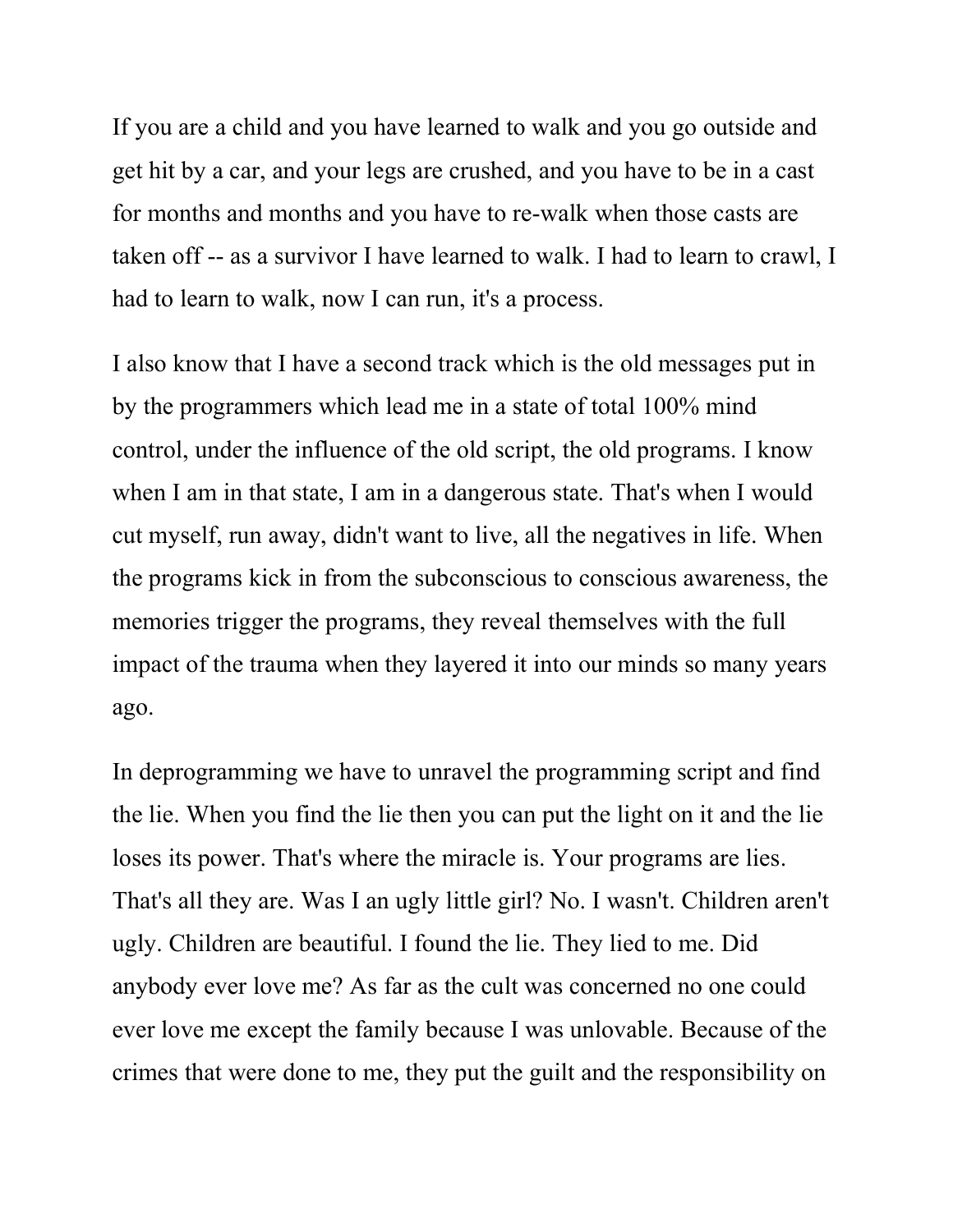If you are a child and you have learned to walk and you go outside and get hit by a car, and your legs are crushed, and you have to be in a cast for months and months and you have to re-walk when those casts are taken off -- as a survivor I have learned to walk. I had to learn to crawl, I had to learn to walk, now I can run, it's a process.

I also know that I have a second track which is the old messages put in by the programmers which lead me in a state of total 100% mind control, under the influence of the old script, the old programs. I know when I am in that state, I am in a dangerous state. That's when I would cut myself, run away, didn't want to live, all the negatives in life. When the programs kick in from the subconscious to conscious awareness, the memories trigger the programs, they reveal themselves with the full impact of the trauma when they layered it into our minds so many years ago.

In deprogramming we have to unravel the programming script and find the lie. When you find the lie then you can put the light on it and the lie loses its power. That's where the miracle is. Your programs are lies. That's all they are. Was I an ugly little girl? No. I wasn't. Children aren't ugly. Children are beautiful. I found the lie. They lied to me. Did anybody ever love me? As far as the cult was concerned no one could ever love me except the family because I was unlovable. Because of the crimes that were done to me, they put the guilt and the responsibility on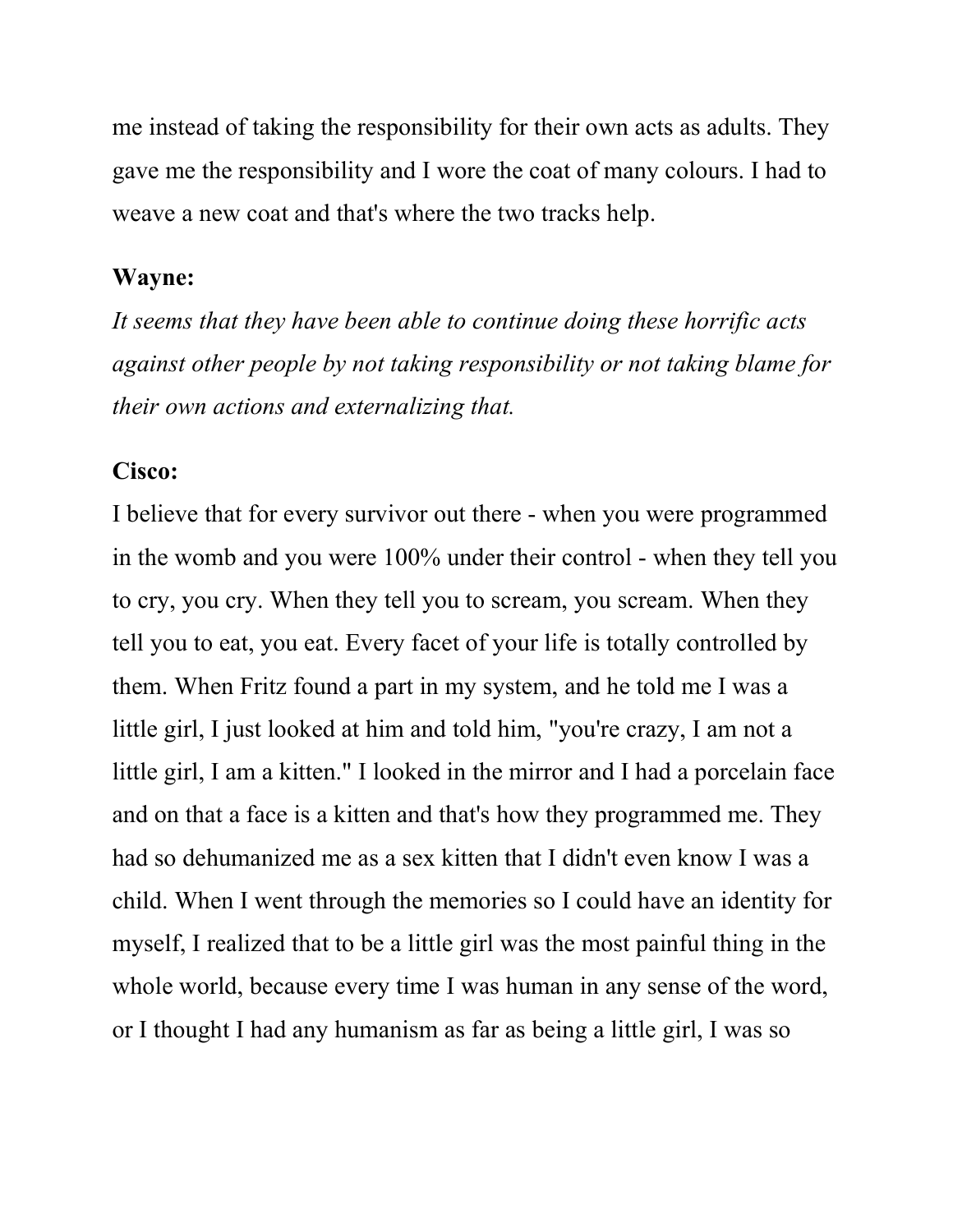me instead of taking the responsibility for their own acts as adults. They gave me the responsibility and I wore the coat of many colours. I had to weave a new coat and that's where the two tracks help.

#### Wayne:

It seems that they have been able to continue doing these horrific acts against other people by not taking responsibility or not taking blame for their own actions and externalizing that.

#### Cisco:

I believe that for every survivor out there - when you were programmed in the womb and you were 100% under their control - when they tell you to cry, you cry. When they tell you to scream, you scream. When they tell you to eat, you eat. Every facet of your life is totally controlled by them. When Fritz found a part in my system, and he told me I was a little girl, I just looked at him and told him, "you're crazy, I am not a little girl, I am a kitten." I looked in the mirror and I had a porcelain face and on that a face is a kitten and that's how they programmed me. They had so dehumanized me as a sex kitten that I didn't even know I was a child. When I went through the memories so I could have an identity for myself, I realized that to be a little girl was the most painful thing in the whole world, because every time I was human in any sense of the word, or I thought I had any humanism as far as being a little girl, I was so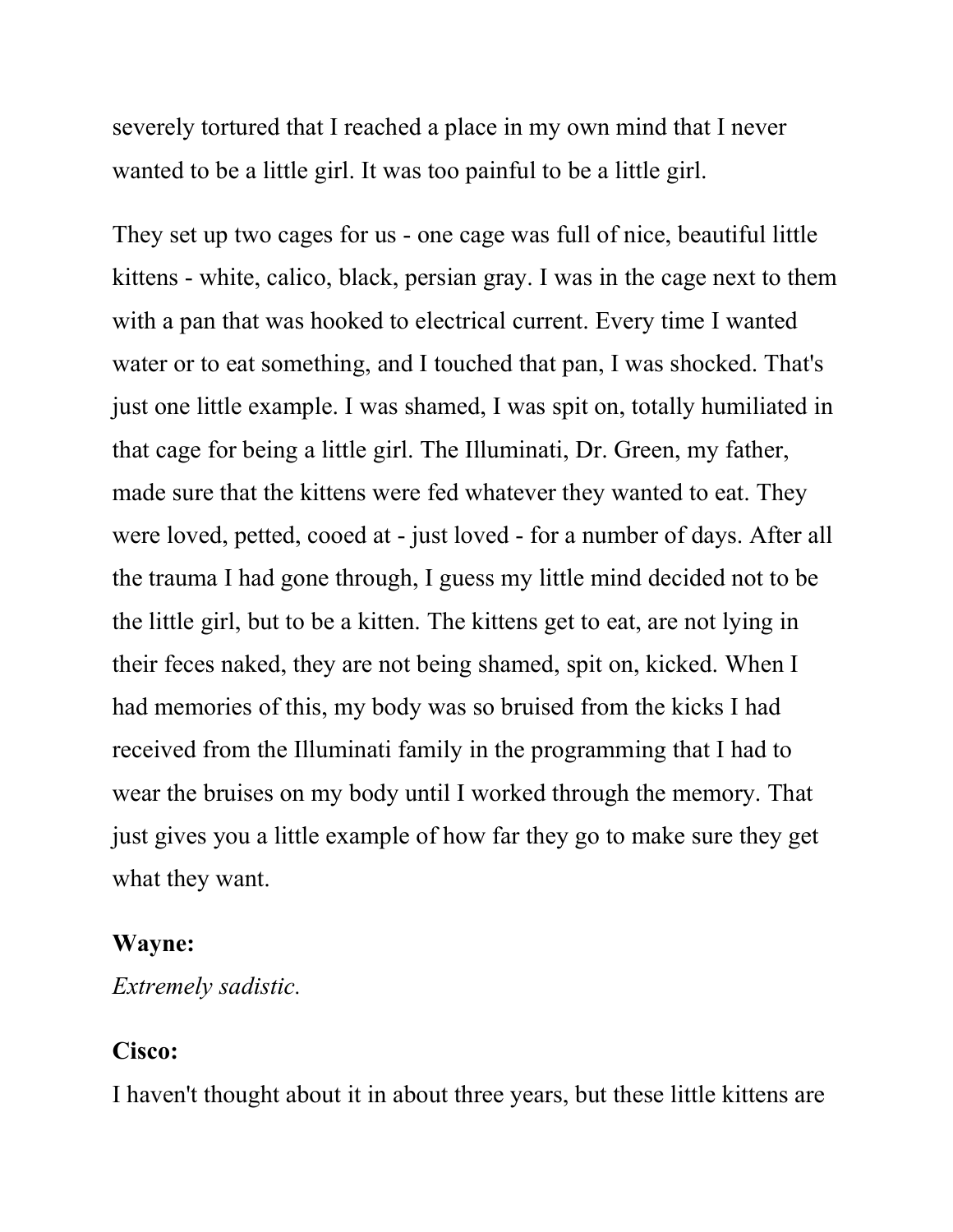severely tortured that I reached a place in my own mind that I never wanted to be a little girl. It was too painful to be a little girl.

They set up two cages for us - one cage was full of nice, beautiful little kittens - white, calico, black, persian gray. I was in the cage next to them with a pan that was hooked to electrical current. Every time I wanted water or to eat something, and I touched that pan, I was shocked. That's just one little example. I was shamed, I was spit on, totally humiliated in that cage for being a little girl. The Illuminati, Dr. Green, my father, made sure that the kittens were fed whatever they wanted to eat. They were loved, petted, cooed at - just loved - for a number of days. After all the trauma I had gone through, I guess my little mind decided not to be the little girl, but to be a kitten. The kittens get to eat, are not lying in their feces naked, they are not being shamed, spit on, kicked. When I had memories of this, my body was so bruised from the kicks I had received from the Illuminati family in the programming that I had to wear the bruises on my body until I worked through the memory. That just gives you a little example of how far they go to make sure they get what they want.

#### Wayne:

Extremely sadistic.

#### Cisco:

I haven't thought about it in about three years, but these little kittens are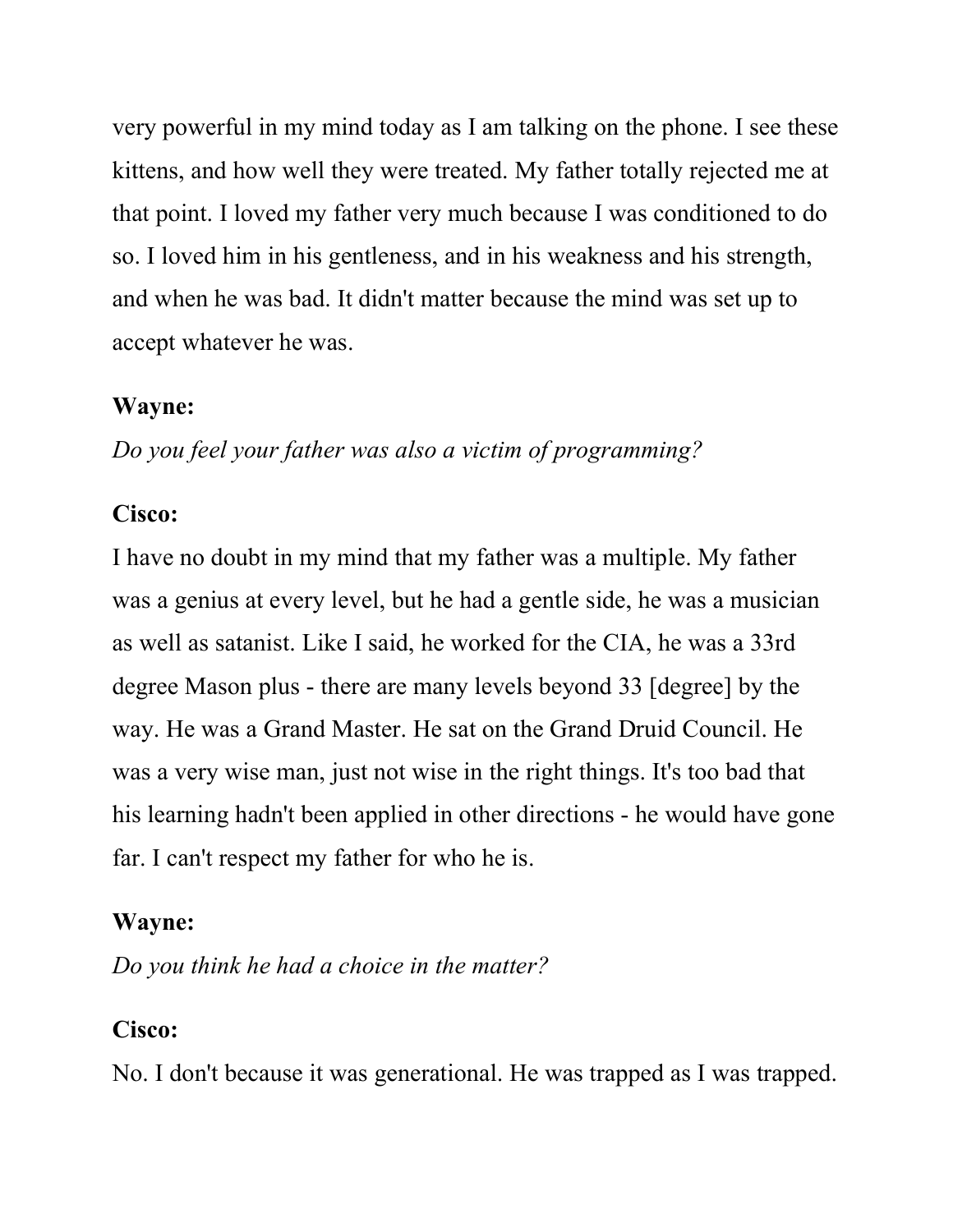very powerful in my mind today as I am talking on the phone. I see these kittens, and how well they were treated. My father totally rejected me at that point. I loved my father very much because I was conditioned to do so. I loved him in his gentleness, and in his weakness and his strength, and when he was bad. It didn't matter because the mind was set up to accept whatever he was.

#### Wayne:

Do you feel your father was also a victim of programming?

#### Cisco:

I have no doubt in my mind that my father was a multiple. My father was a genius at every level, but he had a gentle side, he was a musician as well as satanist. Like I said, he worked for the CIA, he was a 33rd degree Mason plus - there are many levels beyond 33 [degree] by the way. He was a Grand Master. He sat on the Grand Druid Council. He was a very wise man, just not wise in the right things. It's too bad that his learning hadn't been applied in other directions - he would have gone far. I can't respect my father for who he is.

#### Wayne:

Do you think he had a choice in the matter?

#### Cisco:

No. I don't because it was generational. He was trapped as I was trapped.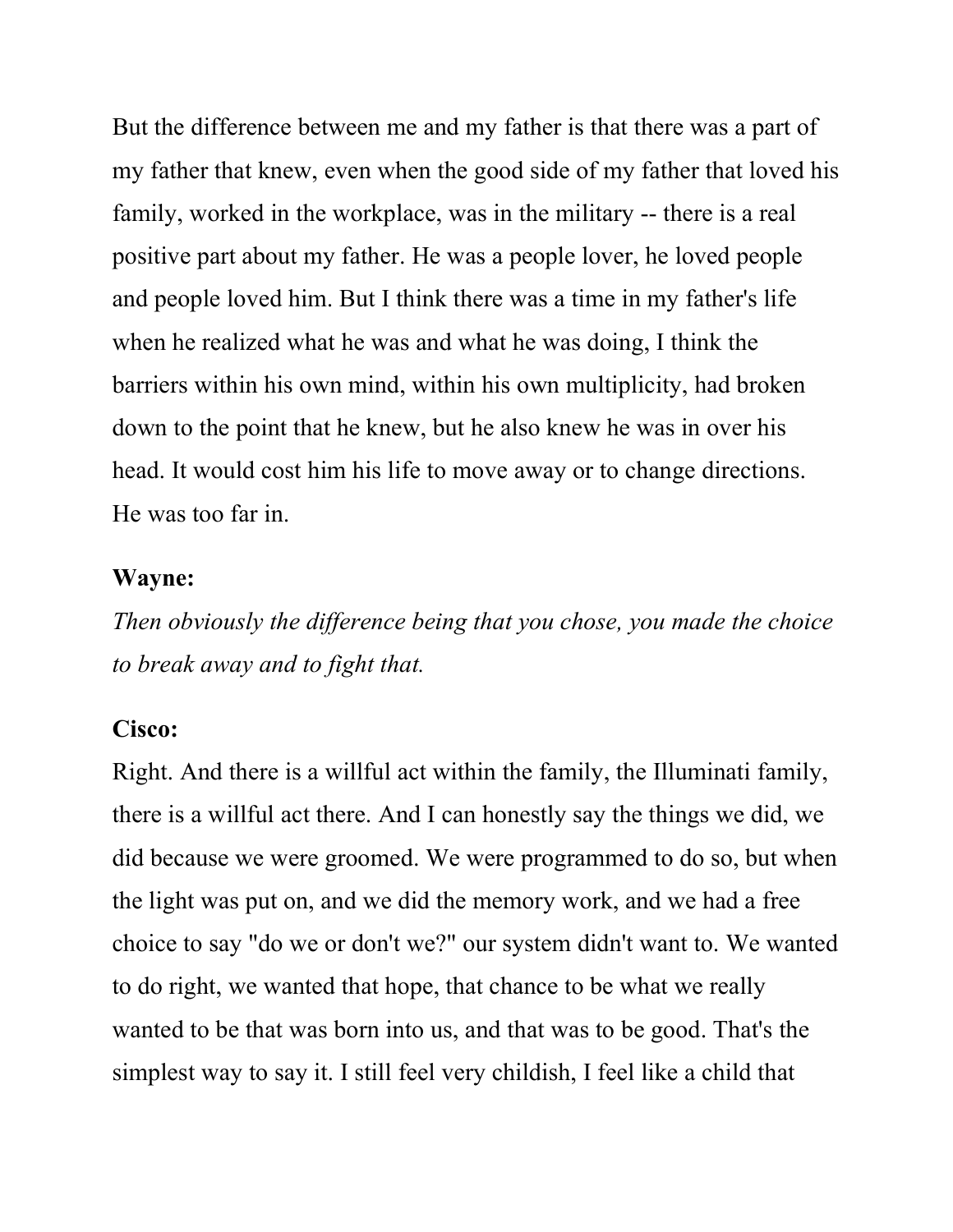But the difference between me and my father is that there was a part of my father that knew, even when the good side of my father that loved his family, worked in the workplace, was in the military -- there is a real positive part about my father. He was a people lover, he loved people and people loved him. But I think there was a time in my father's life when he realized what he was and what he was doing, I think the barriers within his own mind, within his own multiplicity, had broken down to the point that he knew, but he also knew he was in over his head. It would cost him his life to move away or to change directions. He was too far in.

#### Wayne:

Then obviously the difference being that you chose, you made the choice to break away and to fight that.

#### Cisco:

Right. And there is a willful act within the family, the Illuminati family, there is a willful act there. And I can honestly say the things we did, we did because we were groomed. We were programmed to do so, but when the light was put on, and we did the memory work, and we had a free choice to say "do we or don't we?" our system didn't want to. We wanted to do right, we wanted that hope, that chance to be what we really wanted to be that was born into us, and that was to be good. That's the simplest way to say it. I still feel very childish, I feel like a child that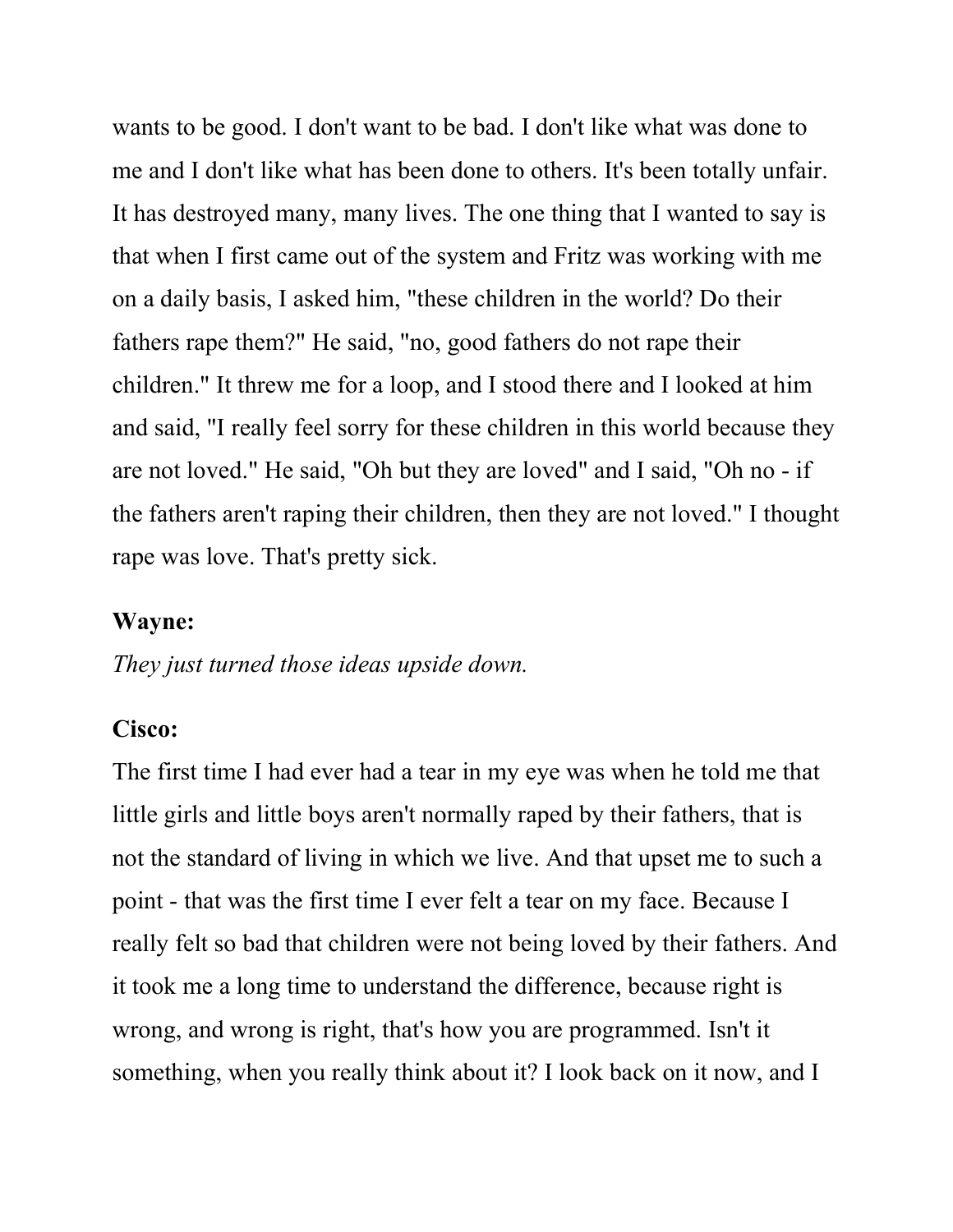wants to be good. I don't want to be bad. I don't like what was done to me and I don't like what has been done to others. It's been totally unfair. It has destroyed many, many lives. The one thing that I wanted to say is that when I first came out of the system and Fritz was working with me on a daily basis, I asked him, "these children in the world? Do their fathers rape them?" He said, "no, good fathers do not rape their children." It threw me for a loop, and I stood there and I looked at him and said, "I really feel sorry for these children in this world because they are not loved." He said, "Oh but they are loved" and I said, "Oh no - if the fathers aren't raping their children, then they are not loved." I thought rape was love. That's pretty sick.

#### Wayne:

They just turned those ideas upside down.

#### Cisco:

The first time I had ever had a tear in my eye was when he told me that little girls and little boys aren't normally raped by their fathers, that is not the standard of living in which we live. And that upset me to such a point - that was the first time I ever felt a tear on my face. Because I really felt so bad that children were not being loved by their fathers. And it took me a long time to understand the difference, because right is wrong, and wrong is right, that's how you are programmed. Isn't it something, when you really think about it? I look back on it now, and I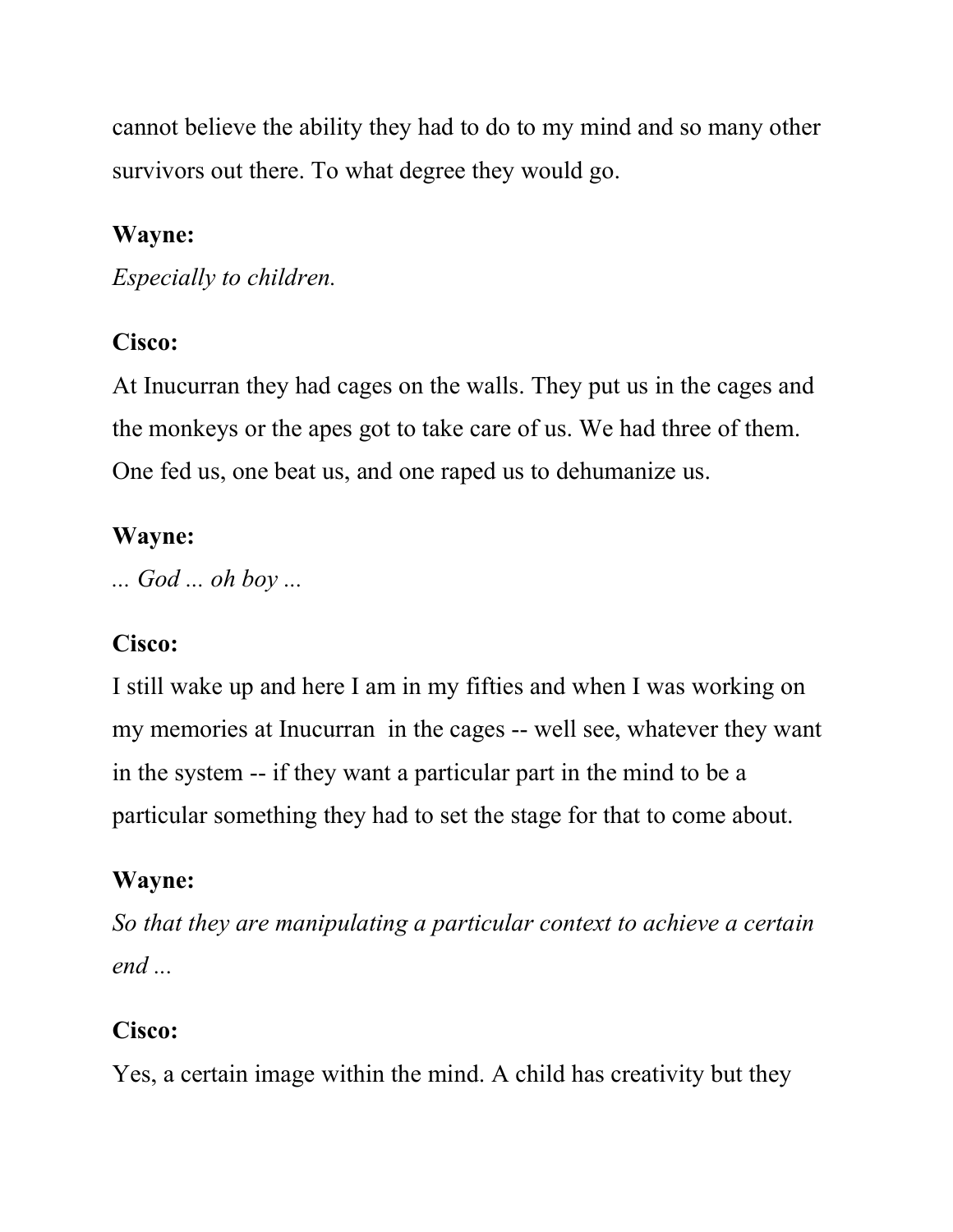cannot believe the ability they had to do to my mind and so many other survivors out there. To what degree they would go.

### Wayne:

Especially to children.

## Cisco:

At Inucurran they had cages on the walls. They put us in the cages and the monkeys or the apes got to take care of us. We had three of them. One fed us, one beat us, and one raped us to dehumanize us.

## Wayne:

... God ... oh boy ...

## Cisco:

I still wake up and here I am in my fifties and when I was working on my memories at Inucurran in the cages -- well see, whatever they want in the system -- if they want a particular part in the mind to be a particular something they had to set the stage for that to come about.

## Wayne:

So that they are manipulating a particular context to achieve a certain end ...

## Cisco:

Yes, a certain image within the mind. A child has creativity but they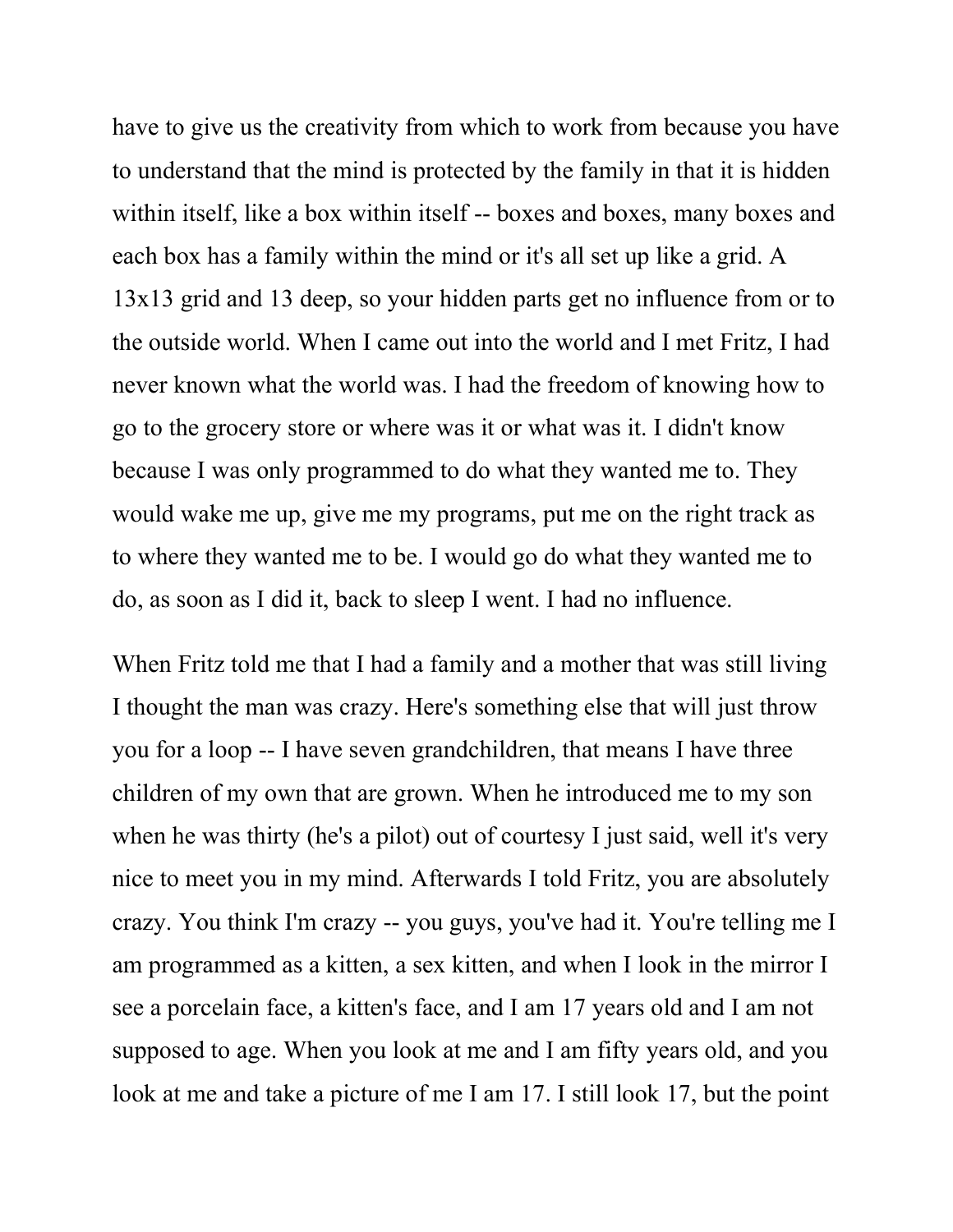have to give us the creativity from which to work from because you have to understand that the mind is protected by the family in that it is hidden within itself, like a box within itself -- boxes and boxes, many boxes and each box has a family within the mind or it's all set up like a grid. A 13x13 grid and 13 deep, so your hidden parts get no influence from or to the outside world. When I came out into the world and I met Fritz, I had never known what the world was. I had the freedom of knowing how to go to the grocery store or where was it or what was it. I didn't know because I was only programmed to do what they wanted me to. They would wake me up, give me my programs, put me on the right track as to where they wanted me to be. I would go do what they wanted me to do, as soon as I did it, back to sleep I went. I had no influence.

When Fritz told me that I had a family and a mother that was still living I thought the man was crazy. Here's something else that will just throw you for a loop -- I have seven grandchildren, that means I have three children of my own that are grown. When he introduced me to my son when he was thirty (he's a pilot) out of courtesy I just said, well it's very nice to meet you in my mind. Afterwards I told Fritz, you are absolutely crazy. You think I'm crazy -- you guys, you've had it. You're telling me I am programmed as a kitten, a sex kitten, and when I look in the mirror I see a porcelain face, a kitten's face, and I am 17 years old and I am not supposed to age. When you look at me and I am fifty years old, and you look at me and take a picture of me I am 17. I still look 17, but the point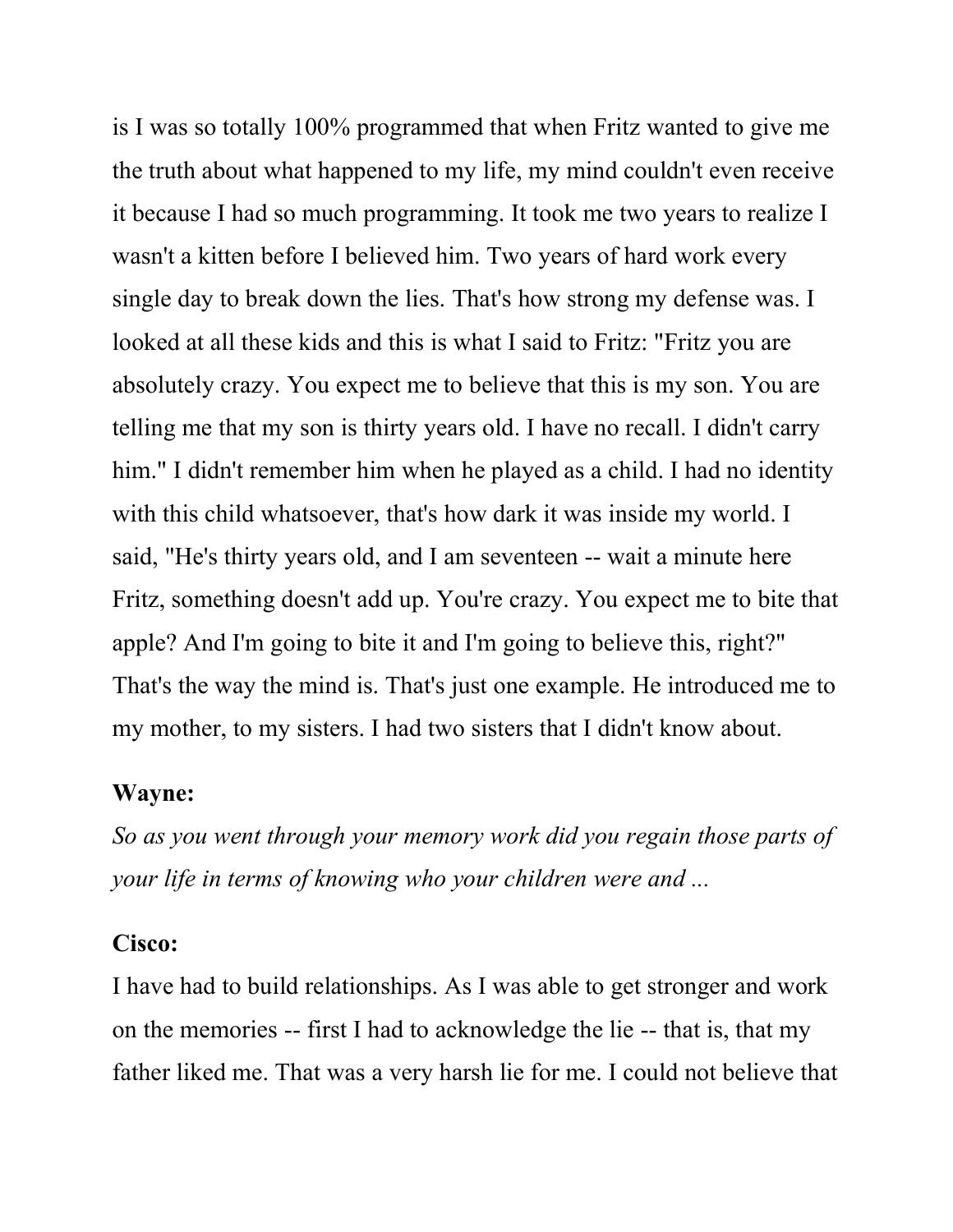is I was so totally 100% programmed that when Fritz wanted to give me the truth about what happened to my life, my mind couldn't even receive it because I had so much programming. It took me two years to realize I wasn't a kitten before I believed him. Two years of hard work every single day to break down the lies. That's how strong my defense was. I looked at all these kids and this is what I said to Fritz: "Fritz you are absolutely crazy. You expect me to believe that this is my son. You are telling me that my son is thirty years old. I have no recall. I didn't carry him." I didn't remember him when he played as a child. I had no identity with this child whatsoever, that's how dark it was inside my world. I said, "He's thirty years old, and I am seventeen -- wait a minute here Fritz, something doesn't add up. You're crazy. You expect me to bite that apple? And I'm going to bite it and I'm going to believe this, right?" That's the way the mind is. That's just one example. He introduced me to my mother, to my sisters. I had two sisters that I didn't know about.

#### Wayne:

So as you went through your memory work did you regain those parts of your life in terms of knowing who your children were and ...

#### Cisco:

I have had to build relationships. As I was able to get stronger and work on the memories -- first I had to acknowledge the lie -- that is, that my father liked me. That was a very harsh lie for me. I could not believe that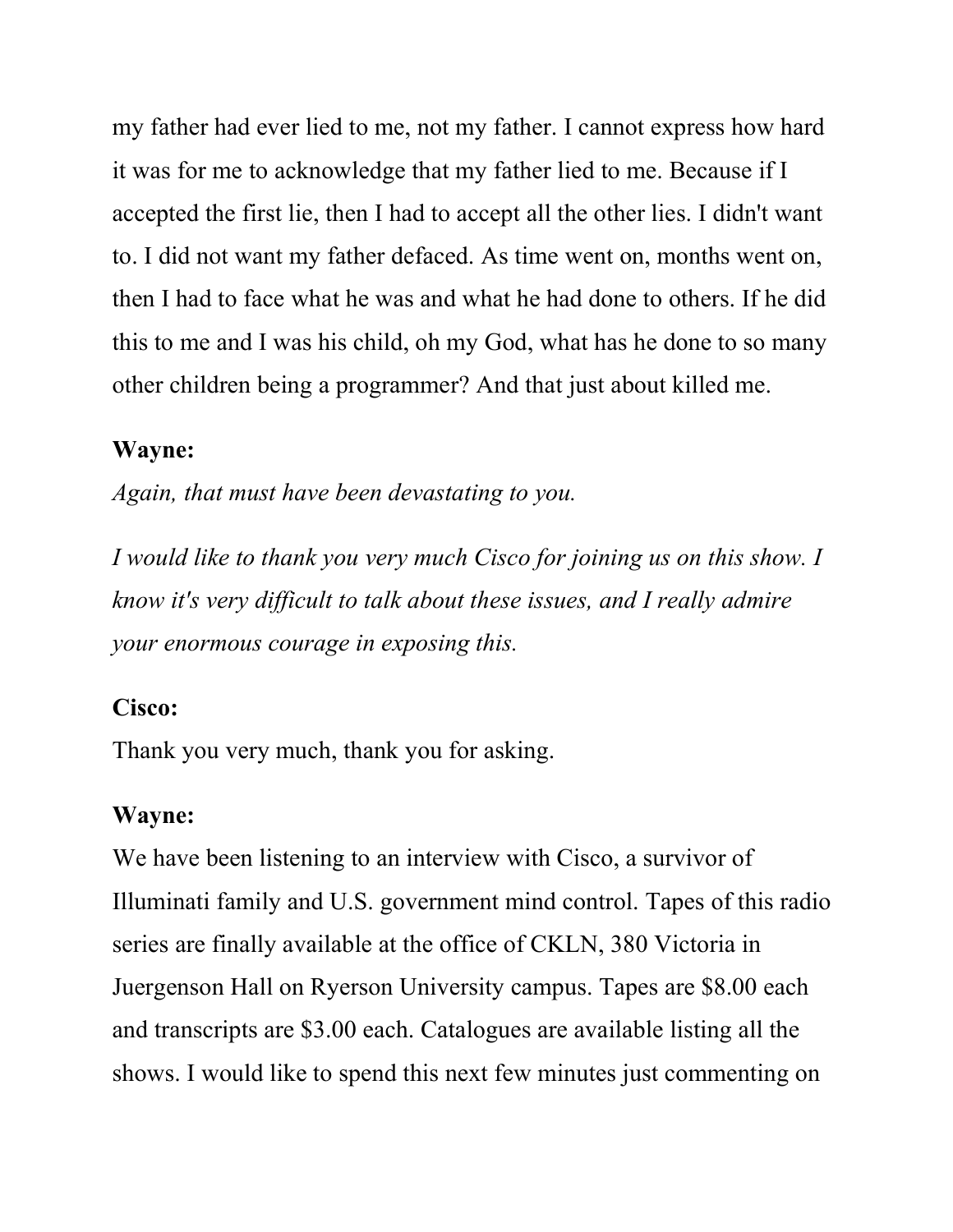my father had ever lied to me, not my father. I cannot express how hard it was for me to acknowledge that my father lied to me. Because if I accepted the first lie, then I had to accept all the other lies. I didn't want to. I did not want my father defaced. As time went on, months went on, then I had to face what he was and what he had done to others. If he did this to me and I was his child, oh my God, what has he done to so many other children being a programmer? And that just about killed me.

#### Wayne:

Again, that must have been devastating to you.

I would like to thank you very much Cisco for joining us on this show. I know it's very difficult to talk about these issues, and I really admire your enormous courage in exposing this.

#### Cisco:

Thank you very much, thank you for asking.

#### Wayne:

We have been listening to an interview with Cisco, a survivor of Illuminati family and U.S. government mind control. Tapes of this radio series are finally available at the office of CKLN, 380 Victoria in Juergenson Hall on Ryerson University campus. Tapes are \$8.00 each and transcripts are \$3.00 each. Catalogues are available listing all the shows. I would like to spend this next few minutes just commenting on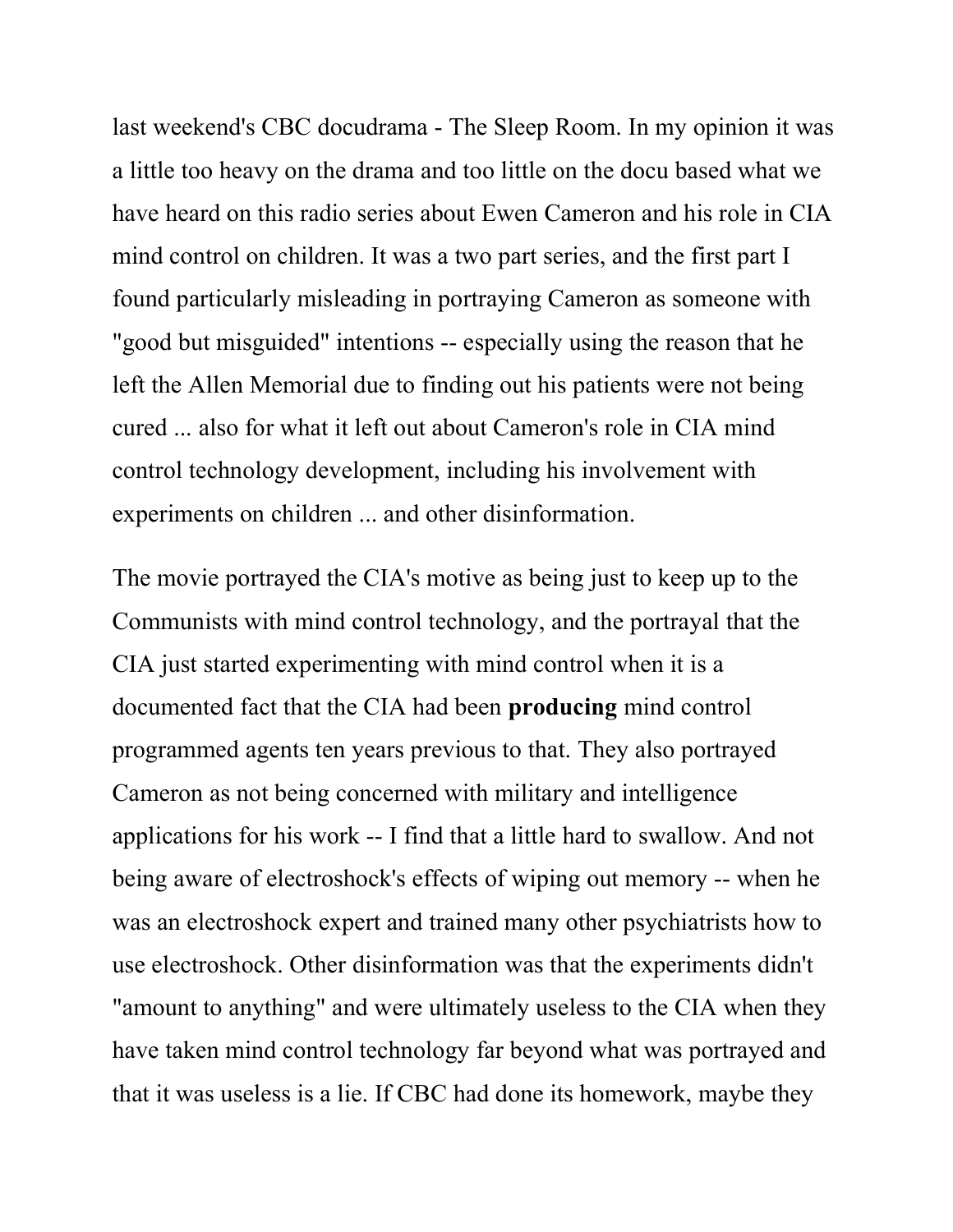last weekend's CBC docudrama - The Sleep Room. In my opinion it was a little too heavy on the drama and too little on the docu based what we have heard on this radio series about Ewen Cameron and his role in CIA mind control on children. It was a two part series, and the first part I found particularly misleading in portraying Cameron as someone with "good but misguided" intentions -- especially using the reason that he left the Allen Memorial due to finding out his patients were not being cured ... also for what it left out about Cameron's role in CIA mind control technology development, including his involvement with experiments on children ... and other disinformation.

The movie portrayed the CIA's motive as being just to keep up to the Communists with mind control technology, and the portrayal that the CIA just started experimenting with mind control when it is a documented fact that the CIA had been producing mind control programmed agents ten years previous to that. They also portrayed Cameron as not being concerned with military and intelligence applications for his work -- I find that a little hard to swallow. And not being aware of electroshock's effects of wiping out memory -- when he was an electroshock expert and trained many other psychiatrists how to use electroshock. Other disinformation was that the experiments didn't "amount to anything" and were ultimately useless to the CIA when they have taken mind control technology far beyond what was portrayed and that it was useless is a lie. If CBC had done its homework, maybe they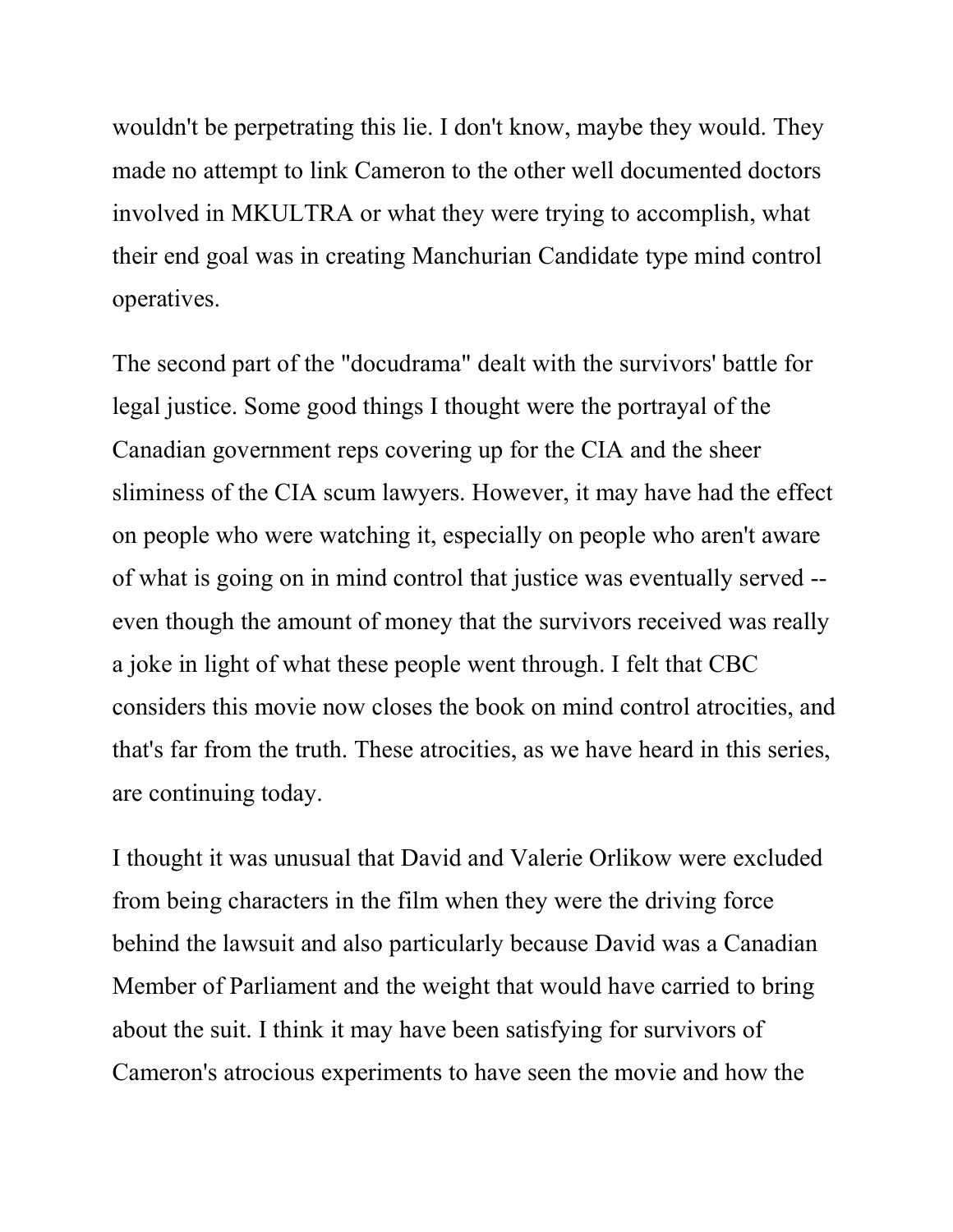wouldn't be perpetrating this lie. I don't know, maybe they would. They made no attempt to link Cameron to the other well documented doctors involved in MKULTRA or what they were trying to accomplish, what their end goal was in creating Manchurian Candidate type mind control operatives.

The second part of the "docudrama" dealt with the survivors' battle for legal justice. Some good things I thought were the portrayal of the Canadian government reps covering up for the CIA and the sheer sliminess of the CIA scum lawyers. However, it may have had the effect on people who were watching it, especially on people who aren't aware of what is going on in mind control that justice was eventually served - even though the amount of money that the survivors received was really a joke in light of what these people went through. I felt that CBC considers this movie now closes the book on mind control atrocities, and that's far from the truth. These atrocities, as we have heard in this series, are continuing today.

I thought it was unusual that David and Valerie Orlikow were excluded from being characters in the film when they were the driving force behind the lawsuit and also particularly because David was a Canadian Member of Parliament and the weight that would have carried to bring about the suit. I think it may have been satisfying for survivors of Cameron's atrocious experiments to have seen the movie and how the